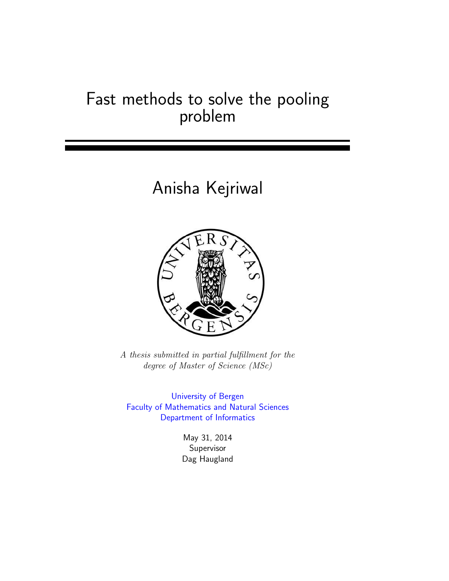### Fast methods to solve the pooling problem

# Anisha Kejriwal



A thesis submitted in partial fulfillment for the degree of Master of Science (MSc)

[University of Bergen](http://www.uib.no/en/) [Faculty of Mathematics and Natural Sciences](http://www.uib.no/en/matnat) [Department of Informatics](http://www.uib.no/en/ii)

> May 31, 2014 Supervisor Dag Haugland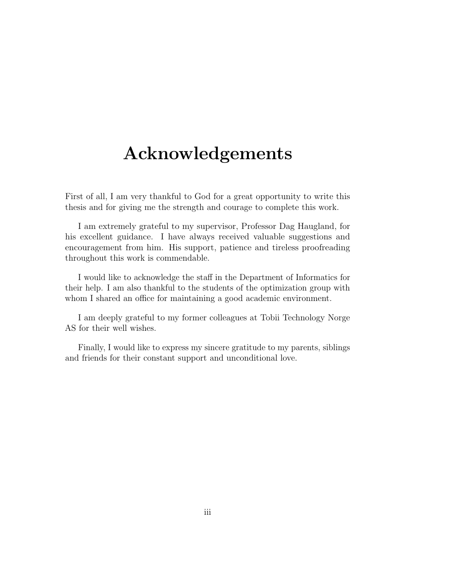### <span id="page-2-0"></span>Acknowledgements

First of all, I am very thankful to God for a great opportunity to write this thesis and for giving me the strength and courage to complete this work.

I am extremely grateful to my supervisor, Professor Dag Haugland, for his excellent guidance. I have always received valuable suggestions and encouragement from him. His support, patience and tireless proofreading throughout this work is commendable.

I would like to acknowledge the staff in the Department of Informatics for their help. I am also thankful to the students of the optimization group with whom I shared an office for maintaining a good academic environment.

I am deeply grateful to my former colleagues at Tobii Technology Norge AS for their well wishes.

Finally, I would like to express my sincere gratitude to my parents, siblings and friends for their constant support and unconditional love.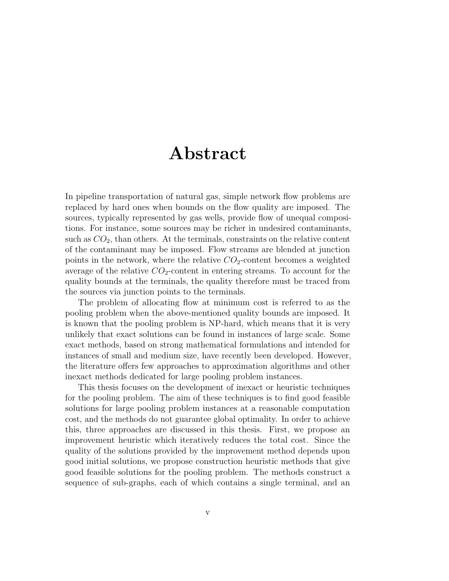### Abstract

<span id="page-4-0"></span>In pipeline transportation of natural gas, simple network flow problems are replaced by hard ones when bounds on the flow quality are imposed. The sources, typically represented by gas wells, provide flow of unequal compositions. For instance, some sources may be richer in undesired contaminants, such as  $CO<sub>2</sub>$ , than others. At the terminals, constraints on the relative content of the contaminant may be imposed. Flow streams are blended at junction points in the network, where the relative  $CO<sub>2</sub>$ -content becomes a weighted average of the relative  $CO_2$ -content in entering streams. To account for the quality bounds at the terminals, the quality therefore must be traced from the sources via junction points to the terminals.

The problem of allocating flow at minimum cost is referred to as the pooling problem when the above-mentioned quality bounds are imposed. It is known that the pooling problem is NP-hard, which means that it is very unlikely that exact solutions can be found in instances of large scale. Some exact methods, based on strong mathematical formulations and intended for instances of small and medium size, have recently been developed. However, the literature offers few approaches to approximation algorithms and other inexact methods dedicated for large pooling problem instances.

This thesis focuses on the development of inexact or heuristic techniques for the pooling problem. The aim of these techniques is to find good feasible solutions for large pooling problem instances at a reasonable computation cost, and the methods do not guarantee global optimality. In order to achieve this, three approaches are discussed in this thesis. First, we propose an improvement heuristic which iteratively reduces the total cost. Since the quality of the solutions provided by the improvement method depends upon good initial solutions, we propose construction heuristic methods that give good feasible solutions for the pooling problem. The methods construct a sequence of sub-graphs, each of which contains a single terminal, and an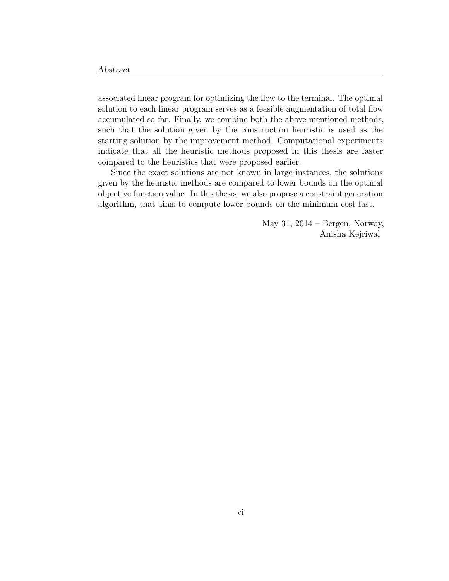associated linear program for optimizing the flow to the terminal. The optimal solution to each linear program serves as a feasible augmentation of total flow accumulated so far. Finally, we combine both the above mentioned methods, such that the solution given by the construction heuristic is used as the starting solution by the improvement method. Computational experiments indicate that all the heuristic methods proposed in this thesis are faster compared to the heuristics that were proposed earlier.

Since the exact solutions are not known in large instances, the solutions given by the heuristic methods are compared to lower bounds on the optimal objective function value. In this thesis, we also propose a constraint generation algorithm, that aims to compute lower bounds on the minimum cost fast.

> May 31, 2014 – Bergen, Norway, Anisha Kejriwal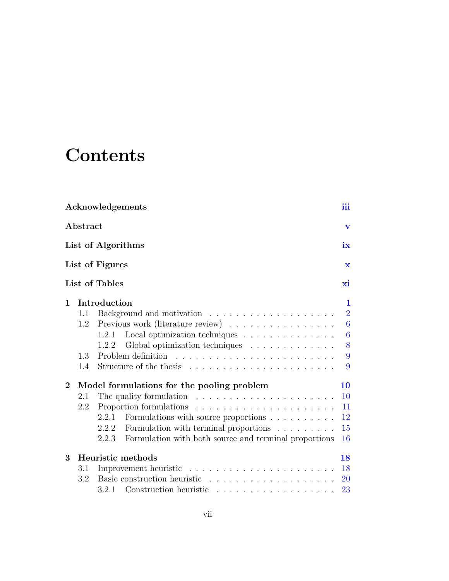# **Contents**

|              |          | Acknowledgements                                                                        | iii              |
|--------------|----------|-----------------------------------------------------------------------------------------|------------------|
|              | Abstract |                                                                                         | $\mathbf{V}$     |
|              |          | List of Algorithms                                                                      | ix               |
|              |          | List of Figures                                                                         | $\mathbf x$      |
|              |          | List of Tables                                                                          | хi               |
| 1            |          | Introduction                                                                            | 1                |
|              | 1.1      |                                                                                         | $\overline{2}$   |
|              | 1.2      | Previous work (literature review)                                                       | $\boldsymbol{6}$ |
|              |          | Local optimization techniques<br>1.2.1                                                  | $\overline{6}$   |
|              |          | Global optimization techniques<br>1.2.2                                                 | 8                |
|              | 1.3      | Problem definition<br>. The second contract is a second contract of the second $\alpha$ | 9                |
|              | 1.4      |                                                                                         | 9                |
| $\mathbf{2}$ |          | Model formulations for the pooling problem                                              | 10               |
|              | 2.1      | The quality formulation $\ldots \ldots \ldots \ldots \ldots \ldots \ldots$              | 10               |
|              | 2.2      |                                                                                         | 11               |
|              |          | 2.2.1<br>Formulations with source proportions                                           | 12               |
|              |          | Formulation with terminal proportions<br>2.2.2                                          | 15               |
|              |          | Formulation with both source and terminal proportions<br>2.2.3                          | 16               |
| 3            |          | Heuristic methods                                                                       | 18               |
|              | 3.1      |                                                                                         | 18               |
|              | 3.2      |                                                                                         | <b>20</b>        |
|              |          | 3.2.1 Construction heuristic                                                            | 23               |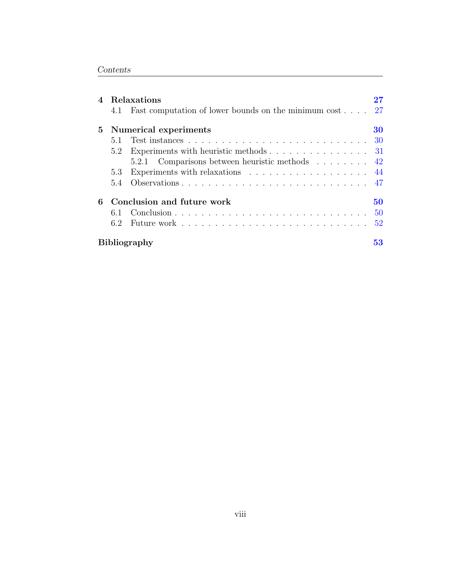| $\overline{4}$ |     | Relaxations                                                       |    |
|----------------|-----|-------------------------------------------------------------------|----|
|                | 4.1 | Fast computation of lower bounds on the minimum cost $27$         |    |
|                |     | 5 Numerical experiments                                           | 30 |
|                | 5.1 |                                                                   | 30 |
|                | 5.2 | Experiments with heuristic methods 31                             |    |
|                |     | 5.2.1 Comparisons between heuristic methods 42                    |    |
|                | 5.3 | Experiments with relaxations $\ldots \ldots \ldots \ldots \ldots$ |    |
|                | 5.4 |                                                                   |    |
| 6              |     | Conclusion and future work                                        | 50 |
|                | 6.1 |                                                                   | 50 |
|                | 6.2 |                                                                   | 52 |
|                |     | <b>Bibliography</b>                                               | 53 |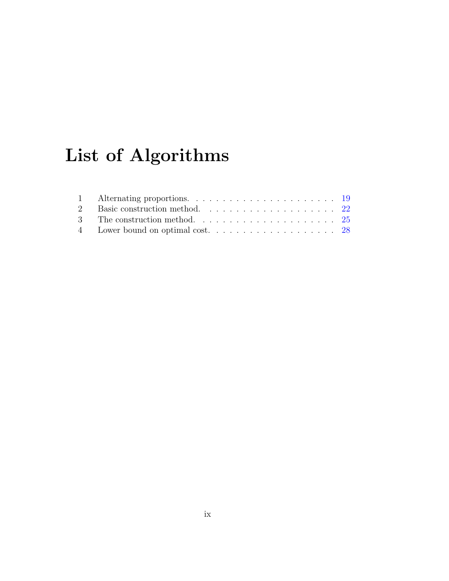# <span id="page-8-0"></span>List of Algorithms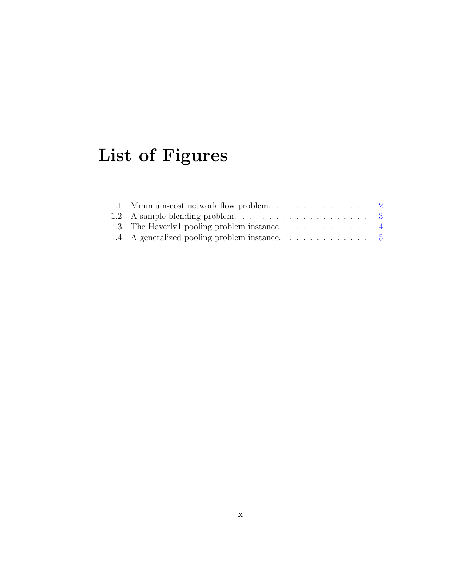# <span id="page-9-0"></span>List of Figures

| 1.2 A sample blending problem. $\ldots \ldots \ldots \ldots \ldots \ldots$ 3 |  |
|------------------------------------------------------------------------------|--|
| 1.3 The Haverly1 pooling problem instance. 4                                 |  |
| 1.4 A generalized pooling problem instance. 5                                |  |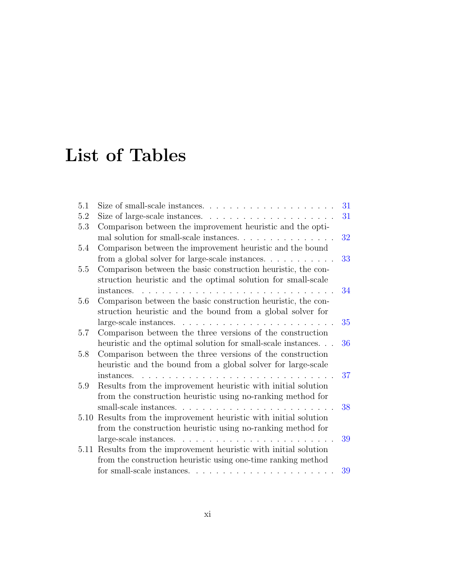# <span id="page-10-0"></span>List of Tables

| 5.1 | Size of small-scale instances. $\ldots \ldots \ldots \ldots \ldots \ldots$     | 31 |
|-----|--------------------------------------------------------------------------------|----|
| 5.2 | Size of large-scale instances. $\ldots \ldots \ldots \ldots \ldots$            | 31 |
| 5.3 | Comparison between the improvement heuristic and the opti-                     |    |
|     | mal solution for small-scale instances                                         | 32 |
| 5.4 | Comparison between the improvement heuristic and the bound                     |    |
|     | from a global solver for large-scale instances. $\ldots \ldots \ldots$         | 33 |
| 5.5 | Comparison between the basic construction heuristic, the con-                  |    |
|     | struction heuristic and the optimal solution for small-scale                   |    |
|     | instances.<br>and the state of the state of the state of                       | 34 |
| 5.6 | Comparison between the basic construction heuristic, the con-                  |    |
|     | struction heuristic and the bound from a global solver for                     |    |
|     |                                                                                | 35 |
| 5.7 | Comparison between the three versions of the construction                      |    |
|     | heuristic and the optimal solution for small-scale instances                   | 36 |
| 5.8 | Comparison between the three versions of the construction                      |    |
|     | heuristic and the bound from a global solver for large-scale                   |    |
|     | instances.<br>.                                                                | 37 |
| 5.9 | Results from the improvement heuristic with initial solution                   |    |
|     | from the construction heuristic using no-ranking method for                    |    |
|     |                                                                                | 38 |
|     | 5.10 Results from the improvement heuristic with initial solution              |    |
|     | from the construction heuristic using no-ranking method for                    |    |
|     | $large-scale instances. \dots \dots \dots \dots \dots \dots \dots \dots \dots$ | 39 |
|     | 5.11 Results from the improvement heuristic with initial solution              |    |
|     | from the construction heuristic using one-time ranking method                  |    |
|     |                                                                                | 39 |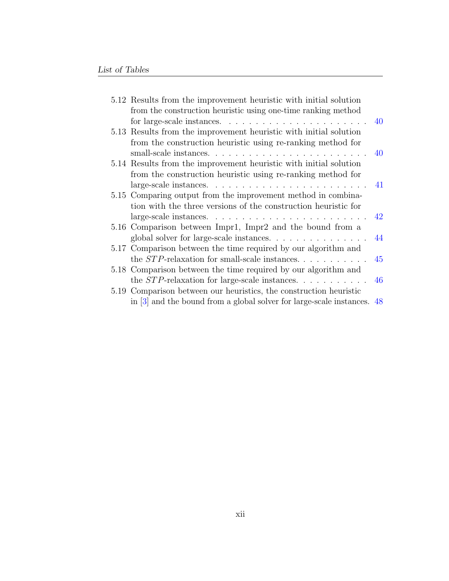| 5.12 Results from the improvement heuristic with initial solution                      |    |
|----------------------------------------------------------------------------------------|----|
| from the construction heuristic using one-time ranking method                          |    |
| for large-scale instances. $\ldots \ldots \ldots \ldots \ldots \ldots \ldots$          |    |
| 5.13 Results from the improvement heuristic with initial solution                      |    |
| from the construction heuristic using re-ranking method for                            |    |
|                                                                                        | 40 |
| 5.14 Results from the improvement heuristic with initial solution                      |    |
| from the construction heuristic using re-ranking method for                            |    |
|                                                                                        |    |
| 5.15 Comparing output from the improvement method in combina-                          |    |
| tion with the three versions of the construction heuristic for                         |    |
| $large-scale instances. \dots \dots \dots \dots \dots \dots \dots$                     | 42 |
| 5.16 Comparison between Impr1, Impr2 and the bound from a                              |    |
| global solver for large-scale instances.                                               | 44 |
| 5.17 Comparison between the time required by our algorithm and                         |    |
| the $STP$ -relaxation for small-scale instances                                        | 45 |
| 5.18 Comparison between the time required by our algorithm and                         |    |
| the $STP$ -relaxation for large-scale instances.                                       | 46 |
| 5.19 Comparison between our heuristics, the construction heuristic                     |    |
| in $\lbrack 3\rbrack$ and the bound from a global solver for large-scale instances. 48 |    |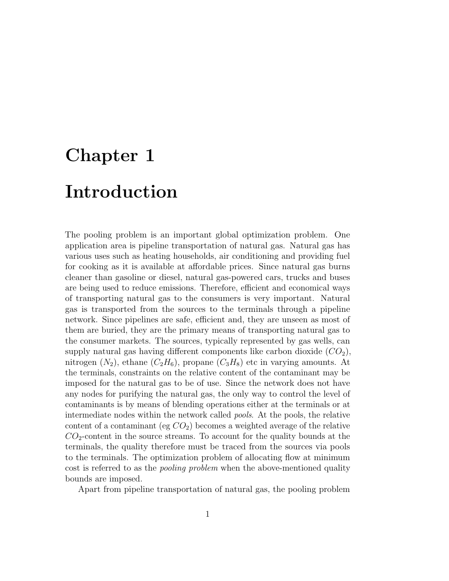# <span id="page-12-0"></span>Chapter 1 Introduction

The pooling problem is an important global optimization problem. One application area is pipeline transportation of natural gas. Natural gas has various uses such as heating households, air conditioning and providing fuel for cooking as it is available at affordable prices. Since natural gas burns cleaner than gasoline or diesel, natural gas-powered cars, trucks and buses are being used to reduce emissions. Therefore, efficient and economical ways of transporting natural gas to the consumers is very important. Natural gas is transported from the sources to the terminals through a pipeline network. Since pipelines are safe, efficient and, they are unseen as most of them are buried, they are the primary means of transporting natural gas to the consumer markets. The sources, typically represented by gas wells, can supply natural gas having different components like carbon dioxide  $(CO_2)$ , nitrogen  $(N_2)$ , ethane  $(C_2H_6)$ , propane  $(C_3H_8)$  etc in varying amounts. At the terminals, constraints on the relative content of the contaminant may be imposed for the natural gas to be of use. Since the network does not have any nodes for purifying the natural gas, the only way to control the level of contaminants is by means of blending operations either at the terminals or at intermediate nodes within the network called pools. At the pools, the relative content of a contaminant (eg  $CO<sub>2</sub>$ ) becomes a weighted average of the relative  $CO<sub>2</sub>$ -content in the source streams. To account for the quality bounds at the terminals, the quality therefore must be traced from the sources via pools to the terminals. The optimization problem of allocating flow at minimum cost is referred to as the *pooling problem* when the above-mentioned quality bounds are imposed.

Apart from pipeline transportation of natural gas, the pooling problem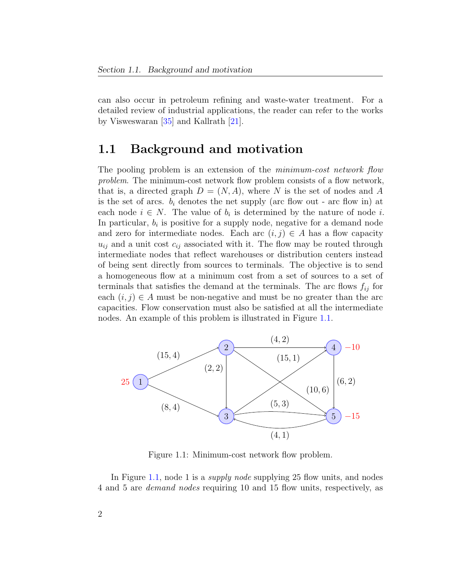can also occur in petroleum refining and waste-water treatment. For a detailed review of industrial applications, the reader can refer to the works by Visweswaran [\[35\]](#page-67-0) and Kallrath [\[21\]](#page-66-0).

### <span id="page-13-0"></span>1.1 Background and motivation

The pooling problem is an extension of the *minimum-cost network flow* problem. The minimum-cost network flow problem consists of a flow network, that is, a directed graph  $D = (N, A)$ , where N is the set of nodes and A is the set of arcs.  $b_i$  denotes the net supply (arc flow out - arc flow in) at each node  $i \in N$ . The value of  $b_i$  is determined by the nature of node i. In particular,  $b_i$  is positive for a supply node, negative for a demand node and zero for intermediate nodes. Each arc  $(i, j) \in A$  has a flow capacity  $u_{ij}$  and a unit cost  $c_{ij}$  associated with it. The flow may be routed through intermediate nodes that reflect warehouses or distribution centers instead of being sent directly from sources to terminals. The objective is to send a homogeneous flow at a minimum cost from a set of sources to a set of terminals that satisfies the demand at the terminals. The arc flows  $f_{ij}$  for each  $(i, j) \in A$  must be non-negative and must be no greater than the arc capacities. Flow conservation must also be satisfied at all the intermediate nodes. An example of this problem is illustrated in Figure [1.1.](#page-13-1)

<span id="page-13-1"></span>

Figure 1.1: Minimum-cost network flow problem.

In Figure [1.1,](#page-13-1) node 1 is a *supply node* supplying 25 flow units, and nodes 4 and 5 are demand nodes requiring 10 and 15 flow units, respectively, as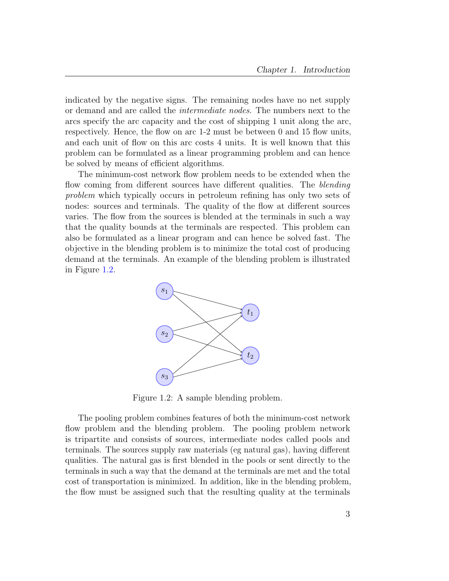indicated by the negative signs. The remaining nodes have no net supply or demand and are called the intermediate nodes. The numbers next to the arcs specify the arc capacity and the cost of shipping 1 unit along the arc, respectively. Hence, the flow on arc 1-2 must be between 0 and 15 flow units, and each unit of flow on this arc costs 4 units. It is well known that this problem can be formulated as a linear programming problem and can hence be solved by means of efficient algorithms.

The minimum-cost network flow problem needs to be extended when the flow coming from different sources have different qualities. The *blending* problem which typically occurs in petroleum refining has only two sets of nodes: sources and terminals. The quality of the flow at different sources varies. The flow from the sources is blended at the terminals in such a way that the quality bounds at the terminals are respected. This problem can also be formulated as a linear program and can hence be solved fast. The objective in the blending problem is to minimize the total cost of producing demand at the terminals. An example of the blending problem is illustrated in Figure [1.2.](#page-14-0)

<span id="page-14-0"></span>

Figure 1.2: A sample blending problem.

The pooling problem combines features of both the minimum-cost network flow problem and the blending problem. The pooling problem network is tripartite and consists of sources, intermediate nodes called pools and terminals. The sources supply raw materials (eg natural gas), having different qualities. The natural gas is first blended in the pools or sent directly to the terminals in such a way that the demand at the terminals are met and the total cost of transportation is minimized. In addition, like in the blending problem, the flow must be assigned such that the resulting quality at the terminals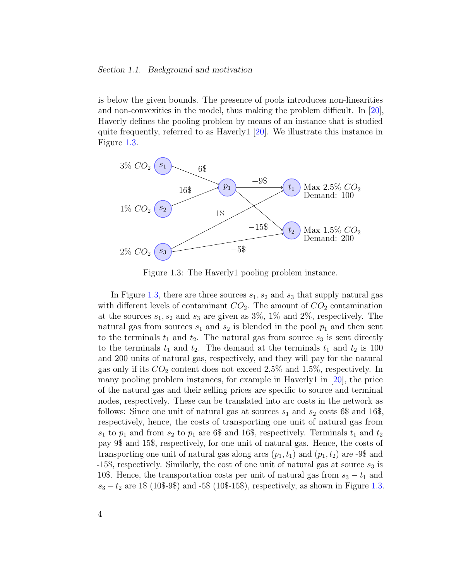is below the given bounds. The presence of pools introduces non-linearities and non-convexities in the model, thus making the problem difficult. In [\[20\]](#page-65-0), Haverly defines the pooling problem by means of an instance that is studied quite frequently, referred to as Haverly1 [\[20\]](#page-65-0). We illustrate this instance in Figure [1.3.](#page-15-0)

<span id="page-15-0"></span>

Figure 1.3: The Haverly1 pooling problem instance.

In Figure [1.3,](#page-15-0) there are three sources  $s_1, s_2$  and  $s_3$  that supply natural gas with different levels of contaminant  $CO<sub>2</sub>$ . The amount of  $CO<sub>2</sub>$  contamination at the sources  $s_1, s_2$  and  $s_3$  are given as 3\%, 1\% and 2\%, respectively. The natural gas from sources  $s_1$  and  $s_2$  is blended in the pool  $p_1$  and then sent to the terminals  $t_1$  and  $t_2$ . The natural gas from source  $s_3$  is sent directly to the terminals  $t_1$  and  $t_2$ . The demand at the terminals  $t_1$  and  $t_2$  is 100 and 200 units of natural gas, respectively, and they will pay for the natural gas only if its  $CO<sub>2</sub>$  content does not exceed 2.5% and 1.5%, respectively. In many pooling problem instances, for example in Haverly1 in [\[20\]](#page-65-0), the price of the natural gas and their selling prices are specific to source and terminal nodes, respectively. These can be translated into arc costs in the network as follows: Since one unit of natural gas at sources  $s_1$  and  $s_2$  costs 6\$ and 16\$, respectively, hence, the costs of transporting one unit of natural gas from  $s_1$  to  $p_1$  and from  $s_2$  to  $p_1$  are 6\$ and 16\$, respectively. Terminals  $t_1$  and  $t_2$ pay 9\$ and 15\$, respectively, for one unit of natural gas. Hence, the costs of transporting one unit of natural gas along arcs  $(p_1, t_1)$  and  $(p_1, t_2)$  are -9\$ and  $-15\$ , respectively. Similarly, the cost of one unit of natural gas at source  $s_3$  is 10\$. Hence, the transportation costs per unit of natural gas from  $s_3 - t_1$  and  $s_3 - t_2$  are 1\$ (10\$-9\$) and -5\$ (10\$-15\$), respectively, as shown in Figure [1.3.](#page-15-0)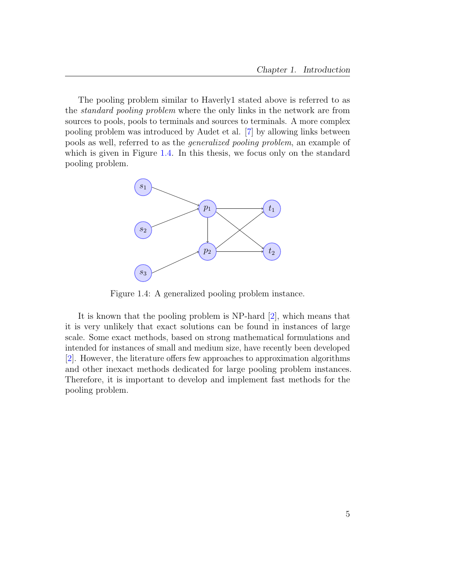The pooling problem similar to Haverly1 stated above is referred to as the standard pooling problem where the only links in the network are from sources to pools, pools to terminals and sources to terminals. A more complex pooling problem was introduced by Audet et al. [\[7\]](#page-64-2) by allowing links between pools as well, referred to as the generalized pooling problem, an example of which is given in Figure [1.4.](#page-16-0) In this thesis, we focus only on the standard pooling problem.

<span id="page-16-0"></span>

Figure 1.4: A generalized pooling problem instance.

It is known that the pooling problem is NP-hard [\[2\]](#page-64-3), which means that it is very unlikely that exact solutions can be found in instances of large scale. Some exact methods, based on strong mathematical formulations and intended for instances of small and medium size, have recently been developed [\[2\]](#page-64-3). However, the literature offers few approaches to approximation algorithms and other inexact methods dedicated for large pooling problem instances. Therefore, it is important to develop and implement fast methods for the pooling problem.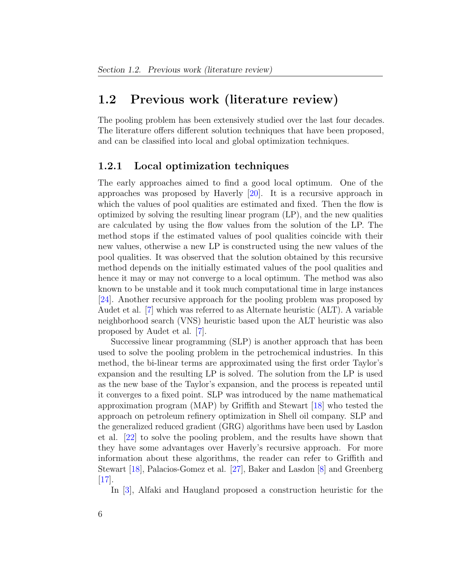### <span id="page-17-0"></span>1.2 Previous work (literature review)

The pooling problem has been extensively studied over the last four decades. The literature offers different solution techniques that have been proposed, and can be classified into local and global optimization techniques.

#### <span id="page-17-1"></span>1.2.1 Local optimization techniques

The early approaches aimed to find a good local optimum. One of the approaches was proposed by Haverly [\[20\]](#page-65-0). It is a recursive approach in which the values of pool qualities are estimated and fixed. Then the flow is optimized by solving the resulting linear program (LP), and the new qualities are calculated by using the flow values from the solution of the LP. The method stops if the estimated values of pool qualities coincide with their new values, otherwise a new LP is constructed using the new values of the pool qualities. It was observed that the solution obtained by this recursive method depends on the initially estimated values of the pool qualities and hence it may or may not converge to a local optimum. The method was also known to be unstable and it took much computational time in large instances [\[24\]](#page-66-1). Another recursive approach for the pooling problem was proposed by Audet et al. [\[7\]](#page-64-2) which was referred to as Alternate heuristic (ALT). A variable neighborhood search (VNS) heuristic based upon the ALT heuristic was also proposed by Audet et al. [\[7\]](#page-64-2).

Successive linear programming (SLP) is another approach that has been used to solve the pooling problem in the petrochemical industries. In this method, the bi-linear terms are approximated using the first order Taylor's expansion and the resulting LP is solved. The solution from the LP is used as the new base of the Taylor's expansion, and the process is repeated until it converges to a fixed point. SLP was introduced by the name mathematical approximation program (MAP) by Griffith and Stewart [\[18\]](#page-65-1) who tested the approach on petroleum refinery optimization in Shell oil company. SLP and the generalized reduced gradient (GRG) algorithms have been used by Lasdon et al. [\[22\]](#page-66-2) to solve the pooling problem, and the results have shown that they have some advantages over Haverly's recursive approach. For more information about these algorithms, the reader can refer to Griffith and Stewart [\[18\]](#page-65-1), Palacios-Gomez et al. [\[27\]](#page-66-3), Baker and Lasdon [\[8\]](#page-64-4) and Greenberg [\[17\]](#page-65-2).

In [\[3\]](#page-64-1), Alfaki and Haugland proposed a construction heuristic for the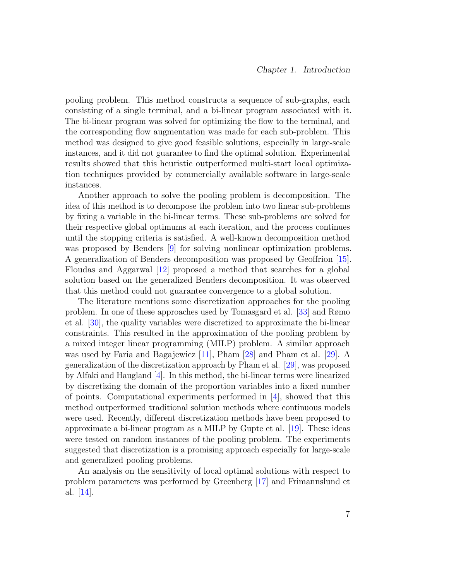pooling problem. This method constructs a sequence of sub-graphs, each consisting of a single terminal, and a bi-linear program associated with it. The bi-linear program was solved for optimizing the flow to the terminal, and the corresponding flow augmentation was made for each sub-problem. This method was designed to give good feasible solutions, especially in large-scale instances, and it did not guarantee to find the optimal solution. Experimental results showed that this heuristic outperformed multi-start local optimization techniques provided by commercially available software in large-scale instances.

Another approach to solve the pooling problem is decomposition. The idea of this method is to decompose the problem into two linear sub-problems by fixing a variable in the bi-linear terms. These sub-problems are solved for their respective global optimums at each iteration, and the process continues until the stopping criteria is satisfied. A well-known decomposition method was proposed by Benders [\[9\]](#page-64-5) for solving nonlinear optimization problems. A generalization of Benders decomposition was proposed by Geoffrion [\[15\]](#page-65-3). Floudas and Aggarwal [\[12\]](#page-65-4) proposed a method that searches for a global solution based on the generalized Benders decomposition. It was observed that this method could not guarantee convergence to a global solution.

The literature mentions some discretization approaches for the pooling problem. In one of these approaches used by Tomasgard et al. [\[33\]](#page-67-1) and Rømo et al. [\[30\]](#page-66-4), the quality variables were discretized to approximate the bi-linear constraints. This resulted in the approximation of the pooling problem by a mixed integer linear programming (MILP) problem. A similar approach was used by Faria and Bagajewicz [\[11\]](#page-65-5), Pham [\[28\]](#page-66-5) and Pham et al. [\[29\]](#page-66-6). A generalization of the discretization approach by Pham et al. [\[29\]](#page-66-6), was proposed by Alfaki and Haugland [\[4\]](#page-64-6). In this method, the bi-linear terms were linearized by discretizing the domain of the proportion variables into a fixed number of points. Computational experiments performed in [\[4\]](#page-64-6), showed that this method outperformed traditional solution methods where continuous models were used. Recently, different discretization methods have been proposed to approximate a bi-linear program as a MILP by Gupte et al. [\[19\]](#page-65-6). These ideas were tested on random instances of the pooling problem. The experiments suggested that discretization is a promising approach especially for large-scale and generalized pooling problems.

An analysis on the sensitivity of local optimal solutions with respect to problem parameters was performed by Greenberg [\[17\]](#page-65-2) and Frimannslund et al. [\[14\]](#page-65-7).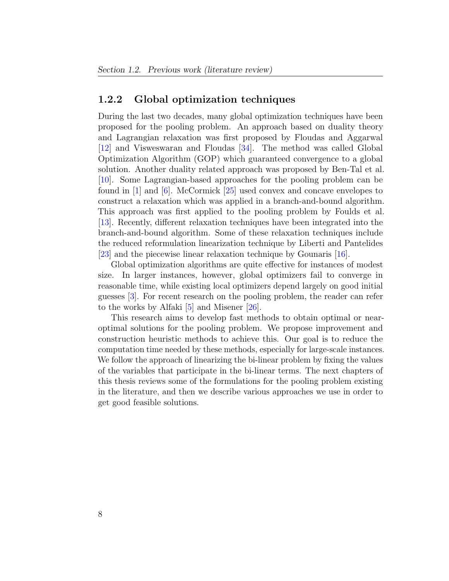#### <span id="page-19-0"></span>1.2.2 Global optimization techniques

During the last two decades, many global optimization techniques have been proposed for the pooling problem. An approach based on duality theory and Lagrangian relaxation was first proposed by Floudas and Aggarwal [\[12\]](#page-65-4) and Visweswaran and Floudas [\[34\]](#page-67-2). The method was called Global Optimization Algorithm (GOP) which guaranteed convergence to a global solution. Another duality related approach was proposed by Ben-Tal et al.  $[10]$ . Some Lagrangian-based approaches for the pooling problem can be found in [\[1\]](#page-64-7) and [\[6\]](#page-64-8). McCormick [\[25\]](#page-66-7) used convex and concave envelopes to construct a relaxation which was applied in a branch-and-bound algorithm. This approach was first applied to the pooling problem by Foulds et al. [\[13\]](#page-65-9). Recently, different relaxation techniques have been integrated into the branch-and-bound algorithm. Some of these relaxation techniques include the reduced reformulation linearization technique by Liberti and Pantelides [\[23\]](#page-66-8) and the piecewise linear relaxation technique by Gounaris [\[16\]](#page-65-10).

Global optimization algorithms are quite effective for instances of modest size. In larger instances, however, global optimizers fail to converge in reasonable time, while existing local optimizers depend largely on good initial guesses [\[3\]](#page-64-1). For recent research on the pooling problem, the reader can refer to the works by Alfaki [\[5\]](#page-64-9) and Misener [\[26\]](#page-66-9).

This research aims to develop fast methods to obtain optimal or nearoptimal solutions for the pooling problem. We propose improvement and construction heuristic methods to achieve this. Our goal is to reduce the computation time needed by these methods, especially for large-scale instances. We follow the approach of linearizing the bi-linear problem by fixing the values of the variables that participate in the bi-linear terms. The next chapters of this thesis reviews some of the formulations for the pooling problem existing in the literature, and then we describe various approaches we use in order to get good feasible solutions.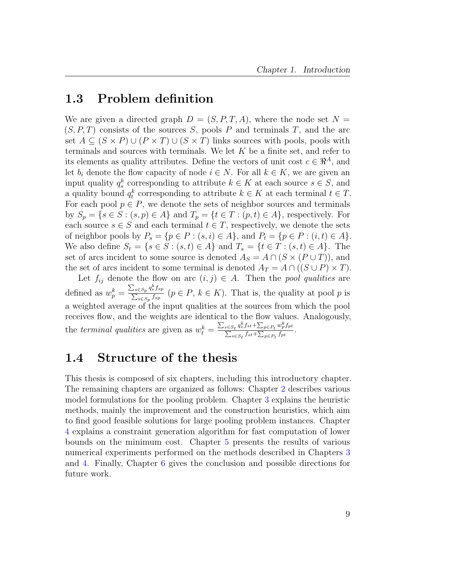#### <span id="page-20-0"></span>1.3 Problem definition

We are given a directed graph  $D = (S, P, T, A)$ , where the node set  $N =$  $(S, P, T)$  consists of the sources S, pools P and terminals T, and the arc set  $A \subseteq (S \times P) \cup (P \times T) \cup (S \times T)$  links sources with pools, pools with terminals and sources with terminals. We let  $K$  be a finite set, and refer to its elements as quality attributes. Define the vectors of unit cost  $c \in \mathbb{R}^A$ , and let  $b_i$  denote the flow capacity of node  $i \in N$ . For all  $k \in K$ , we are given an input quality  $q_s^k$  corresponding to attribute  $k \in K$  at each source  $s \in S$ , and a quality bound  $q_t^k$  corresponding to attribute  $k \in K$  at each terminal  $t \in T$ . For each pool  $p \in P$ , we denote the sets of neighbor sources and terminals by  $S_p = \{s \in S : (s, p) \in A\}$  and  $T_p = \{t \in T : (p, t) \in A\}$ , respectively. For each source  $s \in S$  and each terminal  $t \in T$ , respectively, we denote the sets of neighbor pools by  $P_s = \{p \in P : (s, i) \in A\}$ , and  $P_t = \{p \in P : (i, t) \in A\}$ . We also define  $S_t = \{ s \in S : (s, t) \in A \}$  and  $T_s = \{ t \in T : (s, t) \in A \}$ . The set of arcs incident to some source is denoted  $A_S = A \cap (S \times (P \cup T))$ , and the set of arcs incident to some terminal is denoted  $A_T = A \cap ((S \cup P) \times T)$ .

Let  $f_{ij}$  denote the flow on arc  $(i, j) \in A$ . Then the *pool qualities* are defined as  $w_p^k = \frac{\sum_{s \in S_p} q_s^k f_{sp}}{\sum_{s \in S_p} f_{sp}}$  $\frac{\sum_{s \in Sp} q_s s_s s_p}{\sum_{s \in Sp} f_{sp}}$   $(p \in P, k \in K)$ . That is, the quality at pool p is a weighted average of the input qualities at the sources from which the pool receives flow, and the weights are identical to the flow values. Analogously, the terminal qualities are given as  $w_t^k = \frac{\sum_{s \in S_t} q_s^k f_{st} + \sum_{p \in P_t} w_p^k f_{pt}}{\sum_{s \in S_t} f_{st} + \sum_{p \in P_t} f_{pt}}$  $\frac{\sum_{s\in S_t}q_s s s t + \sum_{p\in P_t}w_p s p t}{\sum_{s\in S_t} f_{st} + \sum_{p\in P_t} f_{pt}}$ .

### <span id="page-20-1"></span>1.4 Structure of the thesis

This thesis is composed of six chapters, including this introductory chapter. The remaining chapters are organized as follows: Chapter [2](#page-21-0) describes various model formulations for the pooling problem. Chapter [3](#page-29-0) explains the heuristic methods, mainly the improvement and the construction heuristics, which aim to find good feasible solutions for large pooling problem instances. Chapter [4](#page-38-0) explains a constraint generation algorithm for fast computation of lower bounds on the minimum cost. Chapter [5](#page-41-0) presents the results of various numerical experiments performed on the methods described in Chapters [3](#page-29-0) and [4.](#page-38-0) Finally, Chapter [6](#page-61-0) gives the conclusion and possible directions for future work.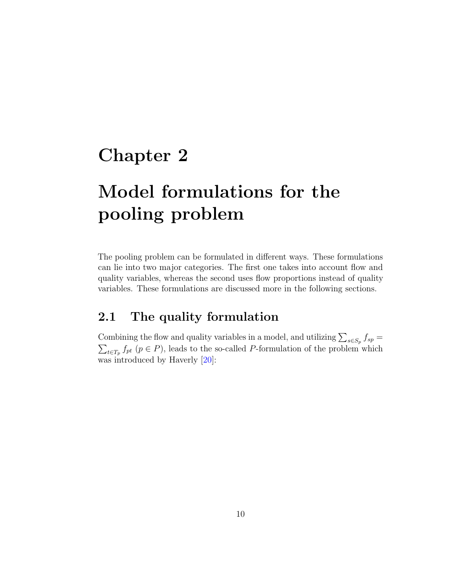### <span id="page-21-0"></span>Chapter 2

# Model formulations for the pooling problem

The pooling problem can be formulated in different ways. These formulations can lie into two major categories. The first one takes into account flow and quality variables, whereas the second uses flow proportions instead of quality variables. These formulations are discussed more in the following sections.

### <span id="page-21-1"></span>2.1 The quality formulation

Combining the flow and quality variables in a model, and utilizing  $\sum_{s \in S_p} f_{sp} =$  $\sum_{t\in T_p} f_{pt}$  ( $p \in P$ ), leads to the so-called P-formulation of the problem which was introduced by Haverly [\[20\]](#page-65-0):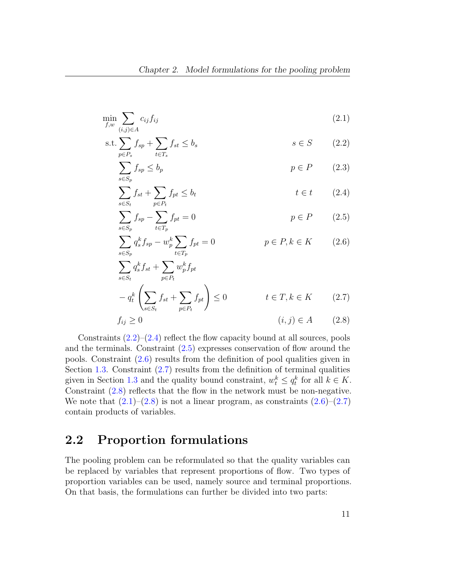$$
\min_{f,w} \sum_{(i,j)\in A} c_{ij} f_{ij} \tag{2.1}
$$

$$
s.t. \sum_{p \in P_s} f_{sp} + \sum_{t \in T_s} f_{st} \le b_s \qquad s \in S \qquad (2.2)
$$

<span id="page-22-8"></span><span id="page-22-7"></span><span id="page-22-1"></span>
$$
\sum_{s \in S_p} f_{sp} \le b_p \qquad \qquad p \in P \qquad (2.3)
$$

$$
\sum_{s \in S_t} f_{st} + \sum_{p \in P_t} f_{pt} \le b_t \qquad \qquad t \in t \qquad (2.4)
$$

<span id="page-22-3"></span><span id="page-22-2"></span>
$$
\sum_{s \in S_p} f_{sp} - \sum_{t \in T_p} f_{pt} = 0 \qquad p \in P \qquad (2.5)
$$

<span id="page-22-4"></span>
$$
\sum_{s \in S_p} q_s^k f_{sp} - w_p^k \sum_{t \in T_p} f_{pt} = 0 \qquad p \in P, k \in K \qquad (2.6)
$$

<span id="page-22-5"></span>
$$
\sum_{s \in S_t} q_s^k f_{st} + \sum_{p \in P_t} w_p^k f_{pt}
$$
  
-  $q_t^k \left( \sum_{s \in S_t} f_{st} + \sum_{p \in P_t} f_{pt} \right) \le 0$   $t \in T, k \in K$  (2.7)

<span id="page-22-6"></span>
$$
f_{ij} \ge 0 \qquad (i,j) \in A \qquad (2.8)
$$

Constraints  $(2.2)$ – $(2.4)$  reflect the flow capacity bound at all sources, pools and the terminals. Constraint [\(2.5\)](#page-22-3) expresses conservation of flow around the pools. Constraint [\(2.6\)](#page-22-4) results from the definition of pool qualities given in Section [1.3.](#page-20-0) Constraint  $(2.7)$  results from the definition of terminal qualities given in Section [1.3](#page-20-0) and the quality bound constraint,  $w_t^k \le q_t^k$  for all  $k \in K$ . Constraint [\(2.8\)](#page-22-6) reflects that the flow in the network must be non-negative. We note that  $(2.1)$ – $(2.8)$  is not a linear program, as constraints  $(2.6)$ – $(2.7)$ contain products of variables.

### <span id="page-22-0"></span>2.2 Proportion formulations

The pooling problem can be reformulated so that the quality variables can be replaced by variables that represent proportions of flow. Two types of proportion variables can be used, namely source and terminal proportions. On that basis, the formulations can further be divided into two parts: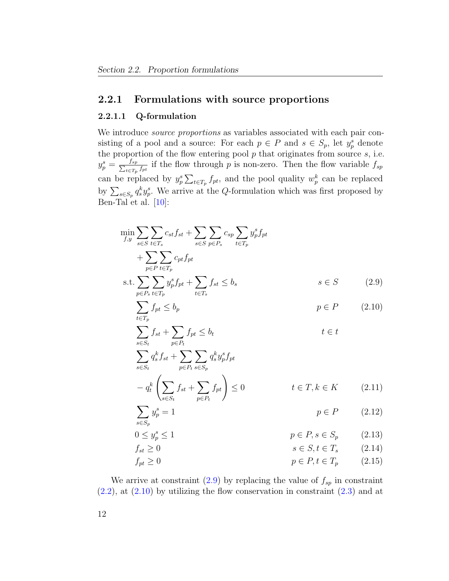#### <span id="page-23-0"></span>2.2.1 Formulations with source proportions

#### 2.2.1.1 Q-formulation

We introduce *source proportions* as variables associated with each pair consisting of a pool and a source: For each  $p \in P$  and  $s \in S_p$ , let  $y_p^s$  denote the proportion of the flow entering pool  $p$  that originates from source  $s$ , i.e.  $y_p^s = \frac{f_{sp}}{\sum_{t \in T_s} f_t}$  $\frac{f_{sp}}{f_{te}T_p}$  if the flow through p is non-zero. Then the flow variable  $f_{sp}$ can be replaced by  $y_p^s \sum_{t \in T_p} f_{pt}$ , and the pool quality  $w_p^k$  can be replaced by  $\sum_{s\in S_p} q_s^k y_p^s$ . We arrive at the Q-formulation which was first proposed by Ben-Tal et al. [\[10\]](#page-65-8):

$$
\min_{f,y} \sum_{s \in S} \sum_{t \in T_s} c_{st} f_{st} + \sum_{s \in S} \sum_{p \in P_s} c_{sp} \sum_{t \in T_p} y_p^s f_{pt}
$$
\n
$$
+ \sum_{p \in P} \sum_{t \in T_p} c_{pt} f_{pt}
$$
\n
$$
s.t. \sum_{p \in P_s} \sum_{t \in T_p} y_p^s f_{pt} + \sum_{t \in T_s} f_{st} \le b_s \qquad s \in S \qquad (2.9)
$$
\n
$$
\sum_{p \in P_s} f_{st} < b_n \qquad p \in P \qquad (2.10)
$$

<span id="page-23-2"></span><span id="page-23-1"></span>
$$
\sum_{t \in T_p} f_{pt} \le b_p \qquad \qquad p \in P \qquad (2.10)
$$
\n
$$
\sum_{t \in T_p} f_{st} + \sum_{t \in t} f_{pt} \le b_t \qquad \qquad t \in t
$$

$$
\sum_{s \in S_t}^{s \in S_t} q_s^k f_{st} + \sum_{p \in P_t} \sum_{s \in S_p} q_s^k y_p^s f_{pt}
$$

<span id="page-23-5"></span><span id="page-23-3"></span>
$$
- q_t^k \left( \sum_{s \in S_t} f_{st} + \sum_{p \in P_t} f_{pt} \right) \le 0 \qquad t \in T, k \in K \qquad (2.11)
$$

<span id="page-23-4"></span>
$$
\sum_{s \in S_p} y_p^s = 1 \qquad \qquad p \in P \qquad (2.12)
$$

$$
0 \le y_p^s \le 1 \qquad \qquad p \in P, s \in S_p \qquad (2.13)
$$

<span id="page-23-7"></span><span id="page-23-6"></span>
$$
f_{st} \ge 0 \qquad s \in S, t \in T_s \qquad (2.14)
$$
\n
$$
f_{pt} \ge 0 \qquad p \in P, t \in T_p \qquad (2.15)
$$

We arrive at constraint  $(2.9)$  by replacing the value of  $f_{sp}$  in constraint  $(2.2)$ , at  $(2.10)$  by utilizing the flow conservation in constraint  $(2.3)$  and at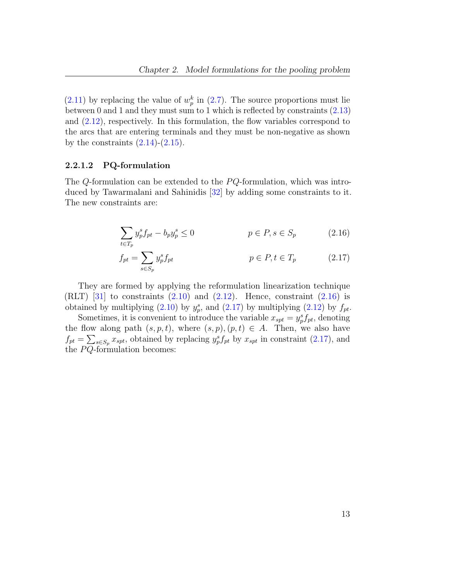$(2.11)$  by replacing the value of  $w_p^k$  in  $(2.7)$ . The source proportions must lie between 0 and 1 and they must sum to 1 which is reflected by constraints [\(2.13\)](#page-23-4) and  $(2.12)$ , respectively. In this formulation, the flow variables correspond to the arcs that are entering terminals and they must be non-negative as shown by the constraints  $(2.14)-(2.15)$  $(2.14)-(2.15)$  $(2.14)-(2.15)$ .

#### 2.2.1.2 PQ-formulation

The Q-formulation can be extended to the  $PQ$ -formulation, which was introduced by Tawarmalani and Sahinidis [\[32\]](#page-67-3) by adding some constraints to it. The new constraints are:

<span id="page-24-0"></span>
$$
\sum_{t \in T_p} y_p^s f_{pt} - b_p y_p^s \le 0 \qquad \qquad p \in P, s \in S_p \qquad (2.16)
$$

<span id="page-24-1"></span>
$$
f_{pt} = \sum_{s \in S_p} y_p^s f_{pt} \qquad p \in P, t \in T_p \qquad (2.17)
$$

They are formed by applying the reformulation linearization technique  $(RLT)$  [\[31\]](#page-67-4) to constraints  $(2.10)$  and  $(2.12)$ . Hence, constraint  $(2.16)$  is obtained by multiplying [\(2.10\)](#page-23-2) by  $y_p^s$ , and [\(2.17\)](#page-24-1) by multiplying [\(2.12\)](#page-23-5) by  $f_{pt}$ .

Sometimes, it is convenient to introduce the variable  $x_{spt} = y_p^s f_{pt}$ , denoting the flow along path  $(s, p, t)$ , where  $(s, p), (p, t) \in A$ . Then, we also have  $f_{pt} = \sum_{s \in S_p} x_{spt}$ , obtained by replacing  $y_p^s f_{pt}$  by  $x_{spt}$  in constraint [\(2.17\)](#page-24-1), and the  $PQ$ -formulation becomes: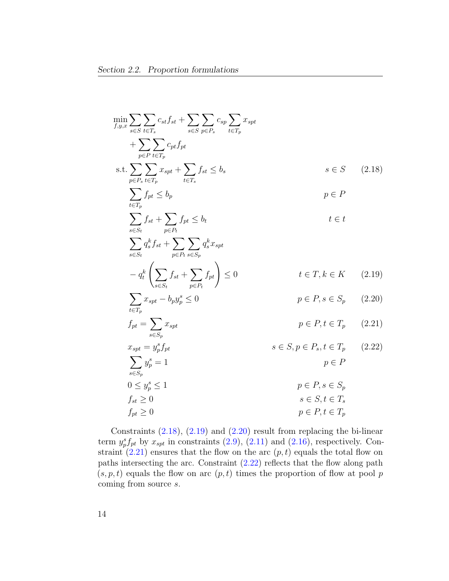<span id="page-25-1"></span><span id="page-25-0"></span>
$$
\min_{f,y,x} \sum_{s \in S} \sum_{t \in T_s} c_{st} f_{st} + \sum_{s \in S} \sum_{p \in P_s} c_{sp} \sum_{t \in T_p} x_{spt}
$$
\n
$$
+ \sum_{p \in P_s} \sum_{t \in T_p} c_{pt} f_{pt}
$$
\n
$$
s.t. \sum_{p \in P_s} \sum_{t \in T_p} x_{spt} + \sum_{t \in T_s} f_{st} \le b_s \qquad s \in S \quad (2.18)
$$
\n
$$
\sum_{p \in P_s} f_{pt} \le b_p \qquad p \in P
$$
\n
$$
\sum_{s \in S_t} f_{st} + \sum_{p \in P_t} f_{pt} \le b_t \qquad t \in t
$$
\n
$$
\sum_{s \in S_t} q_s^k f_{st} + \sum_{p \in P_t} \sum_{s \in S_p} q_s^k x_{spt}
$$
\n
$$
- q_t^k \left( \sum_{s \in S_t} f_{st} + \sum_{p \in P_t} f_{pt} \right) \le 0 \qquad t \in T, k \in K \quad (2.19)
$$
\n
$$
\sum_{t \in T_p} x_{spt} - b_p y_p^s \le 0 \qquad p \in P, s \in S_p \quad (2.20)
$$
\n
$$
f_{pt} = \sum_{s \in S_p} x_{spt} \qquad p \in P, t \in T_p \quad (2.21)
$$
\n
$$
\sum_{s \in S_p} y_p^s = 1 \qquad s \in S, p \in P_s, t \in T_p \quad (2.22)
$$
\n
$$
\sum_{s \in S_p} y_p^s = 1 \qquad p \in P, s \in S_p
$$
\n
$$
0 \le y_p^s \le 1 \qquad p \in P, s \in S_p
$$
\n
$$
f_{st} \ge 0 \qquad s \in S, t \in T_s
$$
\n
$$
f_{pt} \ge 0 \qquad p \in P, t \in T_p
$$

<span id="page-25-4"></span><span id="page-25-3"></span><span id="page-25-2"></span>Constraints  $(2.18)$ ,  $(2.19)$  and  $(2.20)$  result from replacing the bi-linear term  $y_p^s f_{pt}$  by  $x_{spt}$  in constraints  $(2.9)$ ,  $(2.11)$  and  $(2.16)$ , respectively. Constraint  $(2.21)$  ensures that the flow on the arc  $(p, t)$  equals the total flow on paths intersecting the arc. Constraint  $(2.22)$  reflects that the flow along path  $(s, p, t)$  equals the flow on arc  $(p, t)$  times the proportion of flow at pool p coming from source s.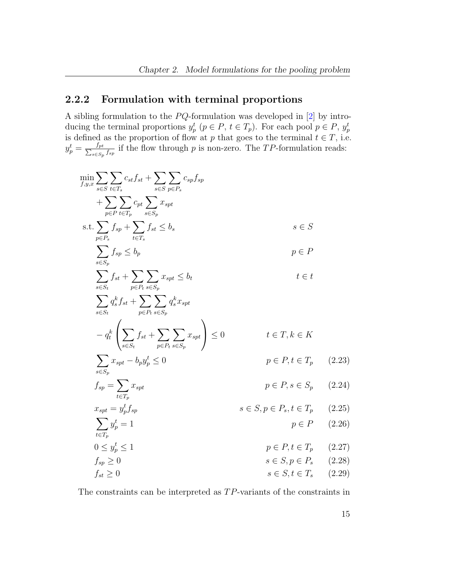### <span id="page-26-0"></span>2.2.2 Formulation with terminal proportions

A sibling formulation to the  $PQ$ -formulation was developed in [\[2\]](#page-64-3) by introducing the terminal proportions  $y_p^t$   $(p \in P, t \in T_p)$ . For each pool  $p \in P$ ,  $y_p^t$ is defined as the proportion of flow at p that goes to the terminal  $t \in T$ , i.e.  $y_p^t = \frac{f_{pt}}{\sum_{s \in S_n}}$  $\frac{J_{pt}}{s\in S_p}$  if the flow through p is non-zero. The TP-formulation reads:

$$
\min_{f,y,x} \sum_{s \in S} \sum_{t \in T_s} c_{st} f_{st} + \sum_{s \in S} \sum_{p \in P_s} c_{sp} f_{sp}
$$
\n
$$
+ \sum_{p \in P} \sum_{t \in T_p} c_{pt} \sum_{s \in S_p} x_{spt}
$$
\n
$$
s.t. \sum_{p \in P_s} f_{sp} + \sum_{t \in T_s} f_{st} \le b_s
$$
\n
$$
\sum_{s \in S_p} f_{sp} \le b_p
$$
\n
$$
= \sum_{s \in S_t} f_{st} + \sum_{p \in P_t} \sum_{s \in S_p} x_{spt} \le b_t
$$
\n
$$
= q_t^k \left( \sum_{s \in S_t} f_{st} + \sum_{p \in P_t} \sum_{s \in S_p} x_{spt} \right) \le 0
$$
\n
$$
t \in T, k \in K
$$
\n
$$
\sum_{s \in S_p} x_{spt} - b_p y_p^t \le 0
$$
\n
$$
f_{sp} = \sum_{t \in T_p} x_{spt}
$$
\n
$$
r_{spt} = y_p^t f_{sp}
$$
\n
$$
x_{spt} = y_p^t f_{sp}
$$
\n
$$
y \in P, s \in S_p
$$
\n
$$
y \in P, s \in S_p
$$
\n
$$
y \in P, s \in T_p
$$
\n
$$
0 \le y_p^t \le 1
$$
\n
$$
f_{sp} \ge 0
$$
\n
$$
f_{sf} \ge 0
$$
\n
$$
f_{sf} \ge 0
$$
\n
$$
f_{sf} \ge 0
$$
\n
$$
f_{sf} \ge 0
$$
\n
$$
f_{sf} \ge 0
$$
\n
$$
f_{sf} \ge 0
$$
\n
$$
f_{sf} \ge 0
$$
\n
$$
f_{sf} \ge 0
$$
\n
$$
f_{sf} \ge 0
$$
\n
$$
f_{sf} \ge 0
$$
\n
$$
f_{sf} \ge 0
$$
\n
$$
f_{sf} \ge 0
$$
\n
$$
f_{sf} \ge 0
$$
\n
$$
f_{sf}
$$

<span id="page-26-6"></span><span id="page-26-5"></span><span id="page-26-4"></span><span id="page-26-3"></span><span id="page-26-2"></span><span id="page-26-1"></span>The constraints can be interpreted as  $TP$ -variants of the constraints in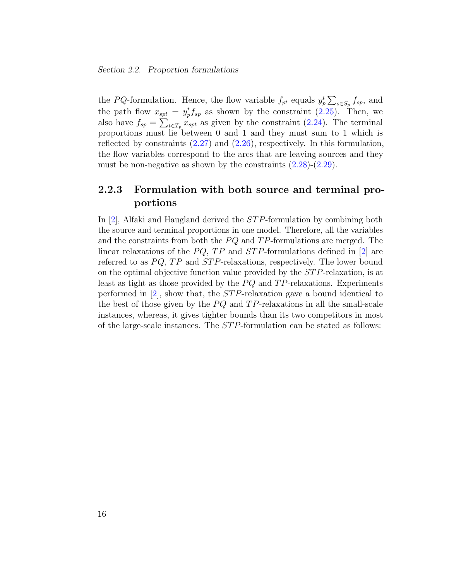the PQ-formulation. Hence, the flow variable  $f_{pt}$  equals  $y_p^t \sum_{s \in S_p} f_{sp}$ , and the path flow  $x_{spt} = y_p^t f_{sp}$  as shown by the constraint [\(2.25\)](#page-26-1). Then, we also have  $f_{sp} = \sum_{t \in T_p} x_{spt}$  as given by the constraint [\(2.24\)](#page-26-2). The terminal proportions must lie between 0 and 1 and they must sum to 1 which is reflected by constraints [\(2.27\)](#page-26-3) and [\(2.26\)](#page-26-4), respectively. In this formulation, the flow variables correspond to the arcs that are leaving sources and they must be non-negative as shown by the constraints  $(2.28)$ - $(2.29)$ .

### <span id="page-27-0"></span>2.2.3 Formulation with both source and terminal proportions

In  $[2]$ , Alfaki and Haugland derived the *STP*-formulation by combining both the source and terminal proportions in one model. Therefore, all the variables and the constraints from both the  $PQ$  and  $TP$ -formulations are merged. The linear relaxations of the  $PQ$ , TP and STP-formulations defined in [\[2\]](#page-64-3) are referred to as  $PQ$ ,  $TP$  and  $STP$ -relaxations, respectively. The lower bound on the optimal objective function value provided by the  $STP$ -relaxation, is at least as tight as those provided by the  $PQ$  and  $TP$ -relaxations. Experiments performed in  $[2]$ , show that, the *STP*-relaxation gave a bound identical to the best of those given by the  $PQ$  and  $TP$ -relaxations in all the small-scale instances, whereas, it gives tighter bounds than its two competitors in most of the large-scale instances. The ST P-formulation can be stated as follows: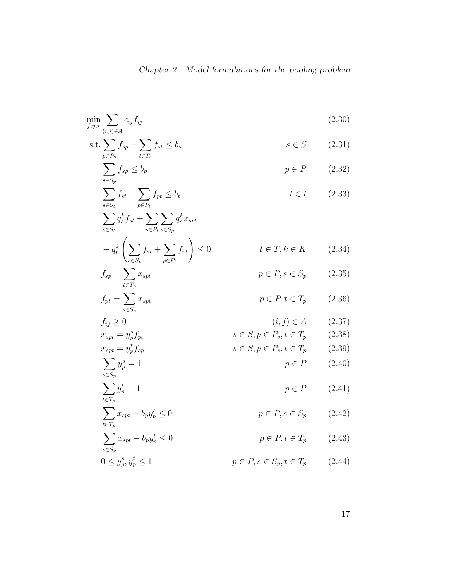$$
\min_{f,y,x} \sum_{(i,j)\in A} c_{ij} f_{ij}
$$
\n
$$
(2.30)
$$
\n
$$
\sum_{i=1}^{n} c_{ij} \sum_{j=1}^{n} f_{ij}
$$

$$
\text{s.t.} \sum_{p \in P_s} f_{sp} + \sum_{t \in T_s} f_{st} \le b_s \qquad s \in S \qquad (2.31)
$$

<span id="page-28-0"></span>
$$
\sum_{s \in S_p} f_{sp} \le b_p \qquad \qquad p \in P \qquad (2.32)
$$

$$
\sum_{s \in S_t} f_{st} + \sum_{p \in P_t} f_{pt} \le b_t \qquad t \in t \qquad (2.33)
$$

$$
\sum_{s \in S_t} q_s^k f_{st} + \sum_{p \in P_t} \sum_{s \in S_p} q_s^k x_{spt}
$$
  
\n
$$
- q_t^k \left( \sum_{s \in S_t} f_{st} + \sum_{p \in P_t} f_{pt} \right) \le 0 \qquad t \in T, k \in K \qquad (2.34)
$$
  
\n
$$
f_{sp} = \sum_{t \in T_p} x_{spt} \qquad p \in P, s \in S_p \qquad (2.35)
$$

$$
f_{pt} = \sum_{s \in S_p} x_{spt} \qquad p \in P, t \in T_p \qquad (2.36)
$$

$$
f_{ij} \ge 0 \qquad (i,j) \in A \qquad (2.37)
$$
  
\n
$$
x_{spt} = y_p^s f_{pt} \qquad s \in S, p \in P_s, t \in T_p \qquad (2.38)
$$

$$
x_{spt} = y_p^t f_{sp} \qquad \qquad s \in S, p \in P_s, t \in T_p \qquad (2.39)
$$

$$
\sum_{s \in S_p} y_p^s = 1 \qquad \qquad p \in P \qquad (2.40)
$$

$$
\sum_{t \in T_p} y_p^t = 1 \tag{2.41}
$$

$$
\sum_{t \in T_p} x_{spt} - b_p y_p^s \le 0 \qquad \qquad p \in P, s \in S_p \qquad (2.42)
$$

$$
\sum_{s \in S_p} x_{spt} - b_p y_p^t \le 0
$$
\n
$$
p \in P, t \in T_p \qquad (2.43)
$$
\n
$$
0 \le y_p^s, y_p^t \le 1
$$
\n
$$
p \in P, s \in S_p, t \in T_p \qquad (2.44)
$$

$$
y_p^s, y_p^t \le 1 \qquad \qquad p \in P, s \in S_p, t \in T_p \qquad (2.44)
$$

<span id="page-28-3"></span><span id="page-28-2"></span><span id="page-28-1"></span>17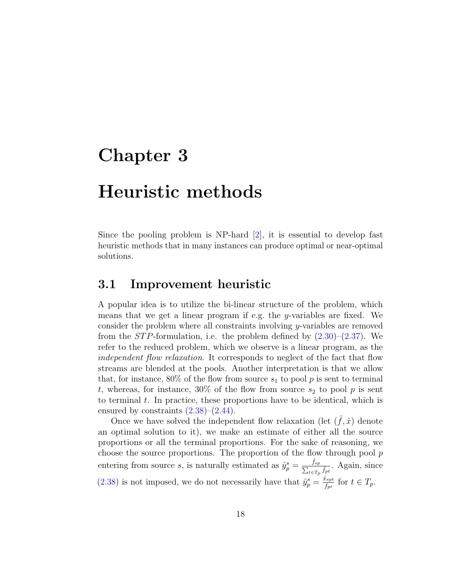### <span id="page-29-0"></span>Chapter 3

### Heuristic methods

Since the pooling problem is NP-hard [\[2\]](#page-64-3), it is essential to develop fast heuristic methods that in many instances can produce optimal or near-optimal solutions.

#### <span id="page-29-1"></span>3.1 Improvement heuristic

A popular idea is to utilize the bi-linear structure of the problem, which means that we get a linear program if e.g. the y-variables are fixed. We consider the problem where all constraints involving y-variables are removed from the *STP*-formulation, i.e. the problem defined by  $(2.30)$ – $(2.37)$ . We refer to the reduced problem, which we observe is a linear program, as the independent flow relaxation. It corresponds to neglect of the fact that flow streams are blended at the pools. Another interpretation is that we allow that, for instance, 80% of the flow from source  $s_1$  to pool p is sent to terminal t, whereas, for instance, 30% of the flow from source  $s_2$  to pool p is sent to terminal  $t$ . In practice, these proportions have to be identical, which is ensured by constraints  $(2.38)$ – $(2.44)$ .

Once we have solved the independent flow relaxation (let  $(\hat{f}, \hat{x})$ ) denote an optimal solution to it), we make an estimate of either all the source proportions or all the terminal proportions. For the sake of reasoning, we choose the source proportions. The proportion of the flow through pool  $p$ entering from source s, is naturally estimated as  $\hat{y}_p^s = \frac{\hat{f}_{sp}}{\sum_{t \in T_p} \hat{f}_{pt}}$ . Again, since [\(2.38\)](#page-28-2) is not imposed, we do not necessarily have that  $\hat{y}_p^s = \frac{\hat{x}_{spt}}{f_{nt}}$  $\frac{c_{spt}}{f_{pt}}$  for  $t \in T_p$ .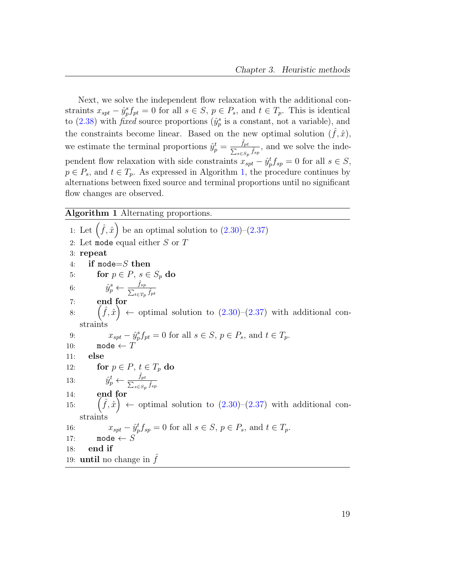Next, we solve the independent flow relaxation with the additional constraints  $x_{spt} - \hat{y}_p^s f_{pt} = 0$  for all  $s \in S$ ,  $p \in P_s$ , and  $t \in T_p$ . This is identical to [\(2.38\)](#page-28-2) with *fixed* source proportions ( $\hat{y}_p^s$  is a constant, not a variable), and the constraints become linear. Based on the new optimal solution  $(\hat{f}, \hat{x})$ , we estimate the terminal proportions  $\hat{y}_p^t = \frac{\hat{f}_p}{\sum_{k=1}^{t-1}}$  $\sum_{}^{}% \left( \sum_{}^{}% \left( \sum_{}^{}% \left( \sum_{}^{}% \left( \sum_{}^{}% \left( \sum_{}^{}% \left( \sum_{}^{}% \left( \sum_{}^{}% \left( \sum_{}^{}% \left( \sum_{}^{}% \right) \right) \right) \right) \right) \right) \right) \right)$ pt  $\frac{J_{pt}}{s\in S_p}\hat{f}_{sp}$ , and we solve the independent flow relaxation with side constraints  $x_{spt} - \hat{y}_p^t f_{sp} = 0$  for all  $s \in S$ ,  $p \in P_s$ , and  $t \in T_p$ . As expressed in Algorithm [1,](#page-30-0) the procedure continues by alternations between fixed source and terminal proportions until no significant flow changes are observed.

#### <span id="page-30-0"></span>Algorithm 1 Alternating proportions.

1: Let  $(\hat{f}, \hat{x})$  be an optimal solution to  $(2.30)$ – $(2.37)$ 2: Let mode equal either  $S$  or  $T$ 3: repeat 4: if mode= $S$  then 5: for  $p \in P$ ,  $s \in S_p$  do 6:  $\hat{y}_p^s \leftarrow \frac{\hat{f}_{sp}}{\sum_{t \in T_p} \hat{f}_{pt}}$ 7: end for 8:  $(\hat{f}, \hat{x}) \leftarrow$  optimal solution to  $(2.30)$ – $(2.37)$  with additional constraints 9:  $x_{spt} - \hat{y}_p^s f_{pt} = 0$  for all  $s \in S, p \in P_s$ , and  $t \in T_p$ . 10: mode  $\leftarrow T$ 11: else 12: for  $p \in P$ ,  $t \in T_p$  do 13:  $\hat{y}_p^t \leftarrow \frac{\hat{f}_p}{\sum_{s \in S}}$ pt  $_{s\in S_p}$   $\hat{f}_{sp}$ 14: end for 15:  $(\hat{f}, \hat{x}) \leftarrow$  optimal solution to  $(2.30)$ – $(2.37)$  with additional constraints 16:  $x_{spt} - \hat{y}_p^t f_{sp} = 0$  for all  $s \in S, p \in P_s$ , and  $t \in T_p$ . 17: mode  $\leftarrow$  S 18: end if 19: **until** no change in  $\hat{f}$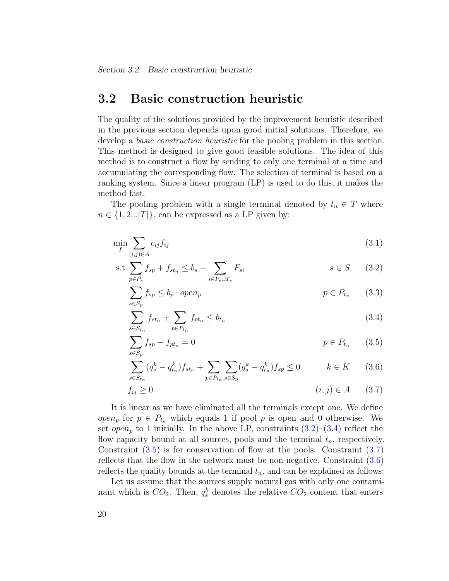#### <span id="page-31-0"></span>3.2 Basic construction heuristic

The quality of the solutions provided by the improvement heuristic described in the previous section depends upon good initial solutions. Therefore, we develop a *basic construction heuristic* for the pooling problem in this section. This method is designed to give good feasible solutions. The idea of this method is to construct a flow by sending to only one terminal at a time and accumulating the corresponding flow. The selection of terminal is based on a ranking system. Since a linear program (LP) is used to do this, it makes the method fast.

The pooling problem with a single terminal denoted by  $t_n \in T$  where  $n \in \{1, 2...|T|\}$ , can be expressed as a LP given by:

$$
\min_{f} \sum_{(i,j)\in A} c_{ij} f_{ij} \tag{3.1}
$$

s.t. 
$$
\sum_{p \in P_s} f_{sp} + f_{st_n} \le b_s - \sum_{i \in P_s \cup T_s} F_{si} \qquad s \in S \qquad (3.2)
$$

<span id="page-31-6"></span><span id="page-31-1"></span>
$$
\sum_{s \in S_p} f_{sp} \le b_p \cdot open_p \qquad \qquad p \in P_{t_n} \qquad (3.3)
$$

<span id="page-31-2"></span>
$$
\sum_{s \in S_{t_n}} f_{st_n} + \sum_{p \in P_{t_n}} f_{pt_n} \le b_{t_n} \tag{3.4}
$$

$$
\sum_{s \in S_p} f_{sp} - f_{pt_n} = 0 \qquad \qquad p \in P_{t_n} \qquad (3.5)
$$

<span id="page-31-5"></span><span id="page-31-4"></span><span id="page-31-3"></span>
$$
\sum_{s \in S_{t_n}} (q_s^k - q_{t_n}^k) f_{st_n} + \sum_{p \in P_{t_n}} \sum_{s \in S_p} (q_s^k - q_{t_n}^k) f_{sp} \le 0 \qquad k \in K \qquad (3.6)
$$

$$
f_{ij} \ge 0 \tag{3.7}
$$

It is linear as we have eliminated all the terminals except one. We define *open<sub>p</sub>* for  $p \in P_{t_n}$  which equals 1 if pool p is open and 0 otherwise. We set open<sub>p</sub> to 1 initially. In the above LP, constraints  $(3.2)$ – $(3.4)$  reflect the flow capacity bound at all sources, pools and the terminal  $t_n$ , respectively. Constraint [\(3.5\)](#page-31-3) is for conservation of flow at the pools. Constraint [\(3.7\)](#page-31-4) reflects that the flow in the network must be non-negative. Constraint [\(3.6\)](#page-31-5) reflects the quality bounds at the terminal  $t_n$ , and can be explained as follows:

Let us assume that the sources supply natural gas with only one contaminant which is  $CO_2$ . Then,  $q_s^k$  denotes the relative  $CO_2$  content that enters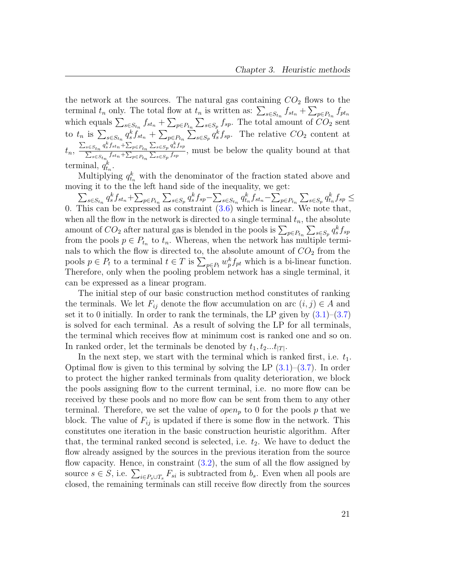the network at the sources. The natural gas containing  $CO<sub>2</sub>$  flows to the terminal  $t_n$  only. The total flow at  $t_n$  is written as:  $\sum_{s \in S_{t_n}} f_{st_n} + \sum_{p \in P_{t_n}} f_{pt_n}$ which equals  $\sum_{s \in S_{t_n}} f_{st_n} + \sum_{p \in P_{t_n}} \sum_{s \in S_p} f_{sp}$ . The total amount of  $CO_2$  sent to  $t_n$  is  $\sum_{s \in S_{t_n}} q_s^k f_{st_n} + \sum_{p \in P_{t_n}} \sum_{s \in S_p} q_s^k f_{sp}$ . The relative  $CO_2$  content at  $t_n, \frac{\sum_{s \in S_{t_n}} q_s^k f_{st_n} + \sum_{p \in P_{t_n}} \sum_{s \in S_p} q_s^k f_{sp}}{\sum_{s \in S_{t_n}} f_{st_n} + \sum_{p \in S_n} \sum_{s \in S_p} q_s^k f_{sp}}$  $\frac{\sum_{s \in S_{t_n}} q_s s_s s_s n + \sum_{p \in P_{t_n}} \sum_{s \in S_p} q_s s_s s_p}{\sum_{s \in S_{t_n}} f_{st_n} + \sum_{p \in P_{t_n}} \sum_{s \in S_p} f_{sp}}$ , must be below the quality bound at that terminal,  $q_{t_n}^k$ .

Multiplying  $q_{t_n}^k$  with the denominator of the fraction stated above and moving it to the the left hand side of the inequality, we get:

 $\sum\nolimits_{s \in S_{t_n}} q_s^{k} f_{st_n} + \sum\nolimits_{p \in P_{t_n}} \sum\nolimits_{s \in S_p} q_s^{k} f_{sp} - \sum\nolimits_{s \in S_{t_n}} q_{t_n}^{k} f_{st_n} - \sum\nolimits_{p \in P_{t_n}} \sum\nolimits_{s \in S_p} q_{t_n}^{k} f_{sp} \leq$ 0. This can be expressed as constraint  $(3.6)$  which is linear. We note that, when all the flow in the network is directed to a single terminal  $t_n$ , the absolute amount of  $CO_2$  after natural gas is blended in the pools is  $\sum_{p \in P_{t_n}} \sum_{s \in S_p} q_s^k f_{sp}$ from the pools  $p \in P_{t_n}$  to  $t_n$ . Whereas, when the network has multiple terminals to which the flow is directed to, the absolute amount of  $CO<sub>2</sub>$  from the pools  $p \in P_t$  to a terminal  $t \in T$  is  $\sum_{p \in P_t} w_p^k f_{pt}$  which is a bi-linear function. Therefore, only when the pooling problem network has a single terminal, it can be expressed as a linear program.

The initial step of our basic construction method constitutes of ranking the terminals. We let  $F_{ij}$  denote the flow accumulation on arc  $(i, j) \in A$  and set it to 0 initially. In order to rank the terminals, the LP given by  $(3.1)$ – $(3.7)$ is solved for each terminal. As a result of solving the LP for all terminals, the terminal which receives flow at minimum cost is ranked one and so on. In ranked order, let the terminals be denoted by  $t_1, t_2...t_{|T|}$ .

In the next step, we start with the terminal which is ranked first, i.e.  $t_1$ . Optimal flow is given to this terminal by solving the LP  $(3.1)$ – $(3.7)$ . In order to protect the higher ranked terminals from quality deterioration, we block the pools assigning flow to the current terminal, i.e. no more flow can be received by these pools and no more flow can be sent from them to any other terminal. Therefore, we set the value of  $open_p$  to 0 for the pools p that we block. The value of  $F_{ij}$  is updated if there is some flow in the network. This constitutes one iteration in the basic construction heuristic algorithm. After that, the terminal ranked second is selected, i.e.  $t_2$ . We have to deduct the flow already assigned by the sources in the previous iteration from the source flow capacity. Hence, in constraint [\(3.2\)](#page-31-1), the sum of all the flow assigned by source  $s \in S$ , i.e.  $\sum_{i \in P_s \cup T_s} F_{si}$  is subtracted from  $b_s$ . Even when all pools are closed, the remaining terminals can still receive flow directly from the sources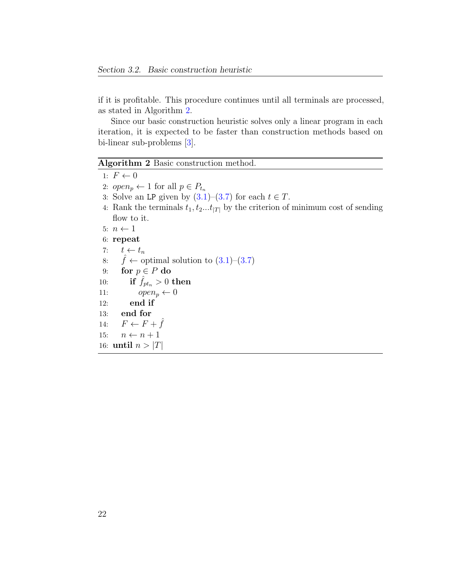if it is profitable. This procedure continues until all terminals are processed, as stated in Algorithm [2.](#page-33-0)

Since our basic construction heuristic solves only a linear program in each iteration, it is expected to be faster than construction methods based on bi-linear sub-problems [\[3\]](#page-64-1).

<span id="page-33-0"></span>Algorithm 2 Basic construction method.

- 1:  $F \leftarrow 0$
- 2:  $open_p \leftarrow 1$  for all  $p \in P_{t_n}$
- 3: Solve an LP given by  $(3.1)$ – $(3.7)$  for each  $t \in T$ .
- 4: Rank the terminals  $t_1, t_2...t_{|T|}$  by the criterion of minimum cost of sending flow to it.
- 5:  $n \leftarrow 1$
- 6: repeat
- 7:  $t \leftarrow t_n$
- 8:  $\hat{f} \leftarrow$  optimal solution to  $(3.1)$ – $(3.7)$
- 9: for  $p \in P$  do
- 10: if  $\hat{f}_{pt_n} > 0$  then
- 11:  $open_p \leftarrow 0$
- 12: end if

13: end for

- 14:  $F \leftarrow F + \hat{f}$
- 15:  $n \leftarrow n + 1$
- 16: until  $n > |T|$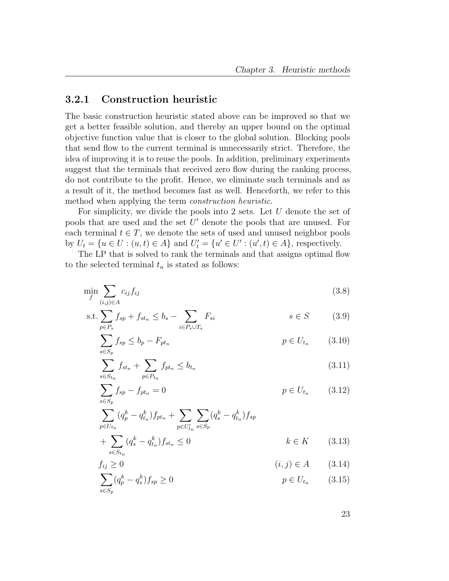#### <span id="page-34-0"></span>3.2.1 Construction heuristic

The basic construction heuristic stated above can be improved so that we get a better feasible solution, and thereby an upper bound on the optimal objective function value that is closer to the global solution. Blocking pools that send flow to the current terminal is unnecessarily strict. Therefore, the idea of improving it is to reuse the pools. In addition, preliminary experiments suggest that the terminals that received zero flow during the ranking process, do not contribute to the profit. Hence, we eliminate such terminals and as a result of it, the method becomes fast as well. Henceforth, we refer to this method when applying the term construction heuristic.

For simplicity, we divide the pools into 2 sets. Let  $U$  denote the set of pools that are used and the set  $U'$  denote the pools that are unused. For each terminal  $t \in T$ , we denote the sets of used and unused neighbor pools by  $U_t = \{u \in U : (u, t) \in A\}$  and  $U'_t = \{u' \in U' : (u', t) \in A\}$ , respectively.

The LP that is solved to rank the terminals and that assigns optimal flow to the selected terminal  $t_n$  is stated as follows:

$$
\min_{f} \sum_{(i,j)\in A} c_{ij} f_{ij} \tag{3.8}
$$

$$
s.t. \sum_{p \in P_s} f_{sp} + f_{st_n} \le b_s - \sum_{i \in P_s \cup T_s} F_{si} \qquad s \in S \qquad (3.9)
$$

<span id="page-34-8"></span>
$$
\sum_{s \in S_p} f_{sp} \le b_p - F_{pt_n} \tag{3.10}
$$

<span id="page-34-5"></span><span id="page-34-2"></span><span id="page-34-1"></span>
$$
\sum_{s \in S_{t_n}} f_{st_n} + \sum_{p \in P_{t_n}} f_{pt_n} \le b_{t_n} \tag{3.11}
$$

<span id="page-34-3"></span>
$$
\sum_{s \in S_p} f_{sp} - f_{pt_n} = 0 \qquad p \in U_{t_n} \qquad (3.12)
$$

$$
\sum_{p \in U_{t_n}} (q_p^k - q_{t_n}^k) f_{pt_n} + \sum_{p \in U_{t_n}'} \sum_{s \in S_p} (q_s^k - q_{t_n}^k) f_{sp}
$$
  
+ 
$$
\sum_{k \in K} (q_s^k - q_{t_n}^k) f_{st_n} \le 0 \qquad k \in K \qquad (3.13)
$$

<span id="page-34-7"></span>
$$
\sum_{s \in S_{t_n}} \sum_{i_n} \sum_{s \in S_n} \sum_{i_n} \sum_{i_n} \sum_{i_n} \sum_{i_n} \sum_{i_n} \sum_{i_n} \sum_{i_n} \sum_{i_n} \sum_{i_n} \sum_{i_n} \sum_{i_n} \sum_{i_n} \sum_{i_n} \sum_{i_n} \sum_{i_n} \sum_{i_n} \sum_{i_n} \sum_{i_n} \sum_{i_n} \sum_{i_n} \sum_{i_n} \sum_{i_n} \sum_{i_n} \sum_{i_n} \sum_{i_n} \sum_{i_n} \sum_{i_n} \sum_{i_n} \sum_{i_n} \sum_{i_n} \sum_{i_n} \sum_{i_n} \sum_{i_n} \sum_{i_n} \sum_{i_n} \sum_{i_n} \sum_{i_n} \sum_{i_n} \sum_{i_n} \sum_{i_n} \sum_{i_n} \sum_{i_n} \sum_{i_n} \sum_{i_n} \sum_{i_n} \sum_{i_n} \sum_{i_n} \sum_{i_n} \sum_{i_n} \sum_{i_n} \sum_{i_n} \sum_{i_n} \sum_{i_n} \sum_{i_n} \sum_{i_n} \sum_{i_n} \sum_{i_n} \sum_{i_n} \sum_{i_n} \sum_{i_n} \sum_{i_n} \sum_{i_n} \sum_{i_n} \sum_{i_n} \sum_{i_n} \sum_{i_n} \sum_{i_n} \sum_{i_n} \sum_{i_n} \sum_{i_n} \sum_{i_n} \sum_{i_n} \sum_{i_n} \sum_{i_n} \sum_{i_n} \sum_{i_n} \sum_{i_n} \sum_{i_n} \sum_{i_n} \sum_{i_n} \sum_{i_n} \sum_{i_n} \sum_{i_n} \sum_{i_n} \sum_{i_n} \sum_{i_n} \sum_{i_n} \sum_{i_n} \sum_{i_n} \sum_{i_n} \sum_{i_n} \sum_{i_n} \sum_{i_n} \sum_{i_n} \sum_{i_n} \sum_{i_n} \sum_{i_n} \sum_{i_n} \sum_{i_n} \sum_{i_n} \sum_{i_n} \sum_{i_n} \sum_{i_n} \sum_{i_n} \sum_{i_n} \sum_{i_n} \sum_{i_n} \sum_{i_n} \sum_{i_n} \sum_{i_n} \sum_{i_n} \sum_{i_n} \sum_{i_n} \sum_{i_n} \sum_{i_n} \sum_{i_n} \sum_{i_n} \sum_{i_n} \sum_{i_n} \sum_{i_n} \sum_{i_n} \sum_{i_n} \sum
$$

<span id="page-34-6"></span><span id="page-34-4"></span>
$$
\sum_{s \in S_p} (q_p^k - q_s^k) f_{sp} \ge 0
$$
\n
$$
p \in U_{t_n} \qquad (3.15)
$$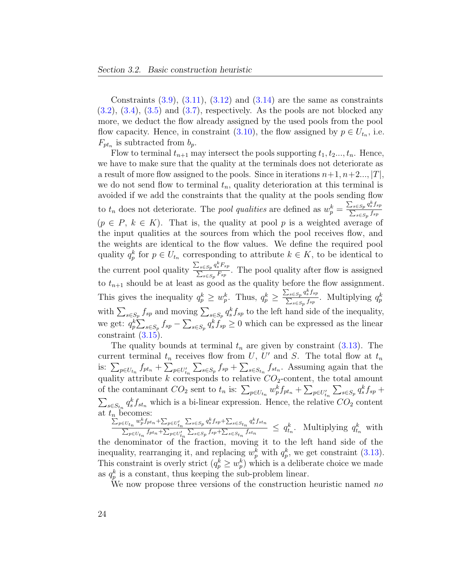Constraints  $(3.9)$ ,  $(3.11)$ ,  $(3.12)$  and  $(3.14)$  are the same as constraints  $(3.2)$ ,  $(3.4)$ ,  $(3.5)$  and  $(3.7)$ , respectively. As the pools are not blocked any more, we deduct the flow already assigned by the used pools from the pool flow capacity. Hence, in constraint [\(3.10\)](#page-34-5), the flow assigned by  $p \in U_{t_n}$ , i.e.  $F_{pt_n}$  is subtracted from  $b_p$ .

Flow to terminal  $t_{n+1}$  may intersect the pools supporting  $t_1, t_2, \ldots, t_n$ . Hence, we have to make sure that the quality at the terminals does not deteriorate as a result of more flow assigned to the pools. Since in iterations  $n+1, n+2, \ldots, |T|$ , we do not send flow to terminal  $t_n$ , quality deterioration at this terminal is avoided if we add the constraints that the quality at the pools sending flow to  $t_n$  does not deteriorate. The *pool qualities* are defined as  $w_p^k = \frac{\sum_{s \in S_p} q_s^k f_{sp}}{\sum_{s \in S_p} f_{sp}}$  $\sum_{s\in S_p} f_{sp}$  $(p \in P, k \in K)$ . That is, the quality at pool p is a weighted average of the input qualities at the sources from which the pool receives flow, and the weights are identical to the flow values. We define the required pool quality  $q_p^k$  for  $p \in U_{t_n}$  corresponding to attribute  $k \in K$ , to be identical to the current pool quality  $\frac{\sum_{s \in Sp} q_s^k F_{sp}}{\sum_{F} F_{sp}}$  $\frac{\sum_{s \in Sp} q_s s + sp}{\sum_{s \in Sp} F_{sp}}$ . The pool quality after flow is assigned to  $t_{n+1}$  should be at least as good as the quality before the flow assignment. This gives the inequality  $q_p^k \geq w_p^k$ . Thus,  $q_p^k \geq \frac{\sum_{s \in S_p} q_s^k f_{sp}}{\sum_{s \in S_p} f_{sp}}$  $\frac{\sum_{s \in S_p} q_s f_{sp}}{\sum_{s \in S_p} f_{sp}}$ . Multiplying  $q_p^k$ with  $\sum_{s\in S_p} f_{sp}$  and moving  $\sum_{s\in S_p} q_s^k f_{sp}$  to the left hand side of the inequality, we get:  $q_p^k \sum_{s \in S_p} f_{sp} - \sum_{s \in S_p} q_s^k f_{sp} \geq 0$  which can be expressed as the linear constraint [\(3.15\)](#page-34-6).

The quality bounds at terminal  $t_n$  are given by constraint  $(3.13)$ . The current terminal  $t_n$  receives flow from U, U' and S. The total flow at  $t_n$ is:  $\sum_{p\in U_{t_n}} f_{pt_n} + \sum_{p\in U'_{t_n}} \sum_{s\in S_p} f_{sp} + \sum_{s\in S_{t_n}} f_{st_n}$ . Assuming again that the quality attribute k corresponds to relative  $CO_2$ -content, the total amount of the contaminant  $CO_2$  sent to  $t_n$  is:  $\sum_{p \in U_{t_n}} w_p^k f_{pt_n} + \sum_{p \in U'_{t_n}} \sum_{s \in S_p} q_s^k f_{sp} +$  $\sum_{s \in S_{t_n}} q_s^k f_{st_n}$  which is a bi-linear expression. Hence, the relative  $CO_2$  content at  $t_n$  becomes:<br> $\sum_{x \in U} w_n^k f_{pt}$ 

 ${}_{p\in U_{t_{n}}}w_{p}^{k}f_{pt_{n}}+\sum_{p\in U_{t_{n}}^{\prime}}\sum_{s\in S_{p}}q_{s}^{k}f_{sp}+\sum_{s\in S_{t_{n}}}q_{s}^{k}f_{st_{n}}$  $\frac{\sum_{p \in U_{t_n}} \sum_{p \in U'_{t_n}} \sum_{s \in S_p} \sum_{s \in S_p} f_{sp} + \sum_{s \in S_{t_n}} f_{stn}}{\sum_{p \in U_{t_n}} f_{ptn} + \sum_{p \in U'_{t_n}} \sum_{s \in S_p} f_{sp} + \sum_{s \in S_{t_n}} f_{st_n}} \le q_{t_n}^k$ . Multiplying  $q_{t_n}^k$  with the denominator of the fraction, moving it to the left hand side of the inequality, rearranging it, and replacing  $w_p^k$  with  $q_p^k$ , we get constraint [\(3.13\)](#page-34-7). This constraint is overly strict  $(q_p^k \geq w_p^k)$  which is a deliberate choice we made as  $q_p^k$  is a constant, thus keeping the sub-problem linear.

We now propose three versions of the construction heuristic named no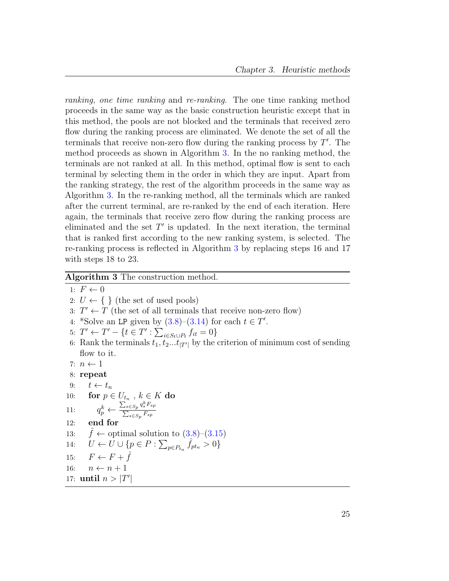ranking, one time ranking and re-ranking. The one time ranking method proceeds in the same way as the basic construction heuristic except that in this method, the pools are not blocked and the terminals that received zero flow during the ranking process are eliminated. We denote the set of all the terminals that receive non-zero flow during the ranking process by  $T'$ . The method proceeds as shown in Algorithm [3.](#page-36-0) In the no ranking method, the terminals are not ranked at all. In this method, optimal flow is sent to each terminal by selecting them in the order in which they are input. Apart from the ranking strategy, the rest of the algorithm proceeds in the same way as Algorithm [3.](#page-36-0) In the re-ranking method, all the terminals which are ranked after the current terminal, are re-ranked by the end of each iteration. Here again, the terminals that receive zero flow during the ranking process are eliminated and the set  $T'$  is updated. In the next iteration, the terminal that is ranked first according to the new ranking system, is selected. The re-ranking process is reflected in Algorithm [3](#page-36-0) by replacing steps 16 and 17 with steps 18 to 23.

#### <span id="page-36-0"></span>Algorithm 3 The construction method.

1:  $F \leftarrow 0$ 2:  $U \leftarrow \{\}$  (the set of used pools) 3:  $T' \leftarrow T$  (the set of all terminals that receive non-zero flow) 4: \*Solve an LP given by  $(3.8)$ - $(3.14)$  for each  $t \in T'$ . 5:  $T' \leftarrow T' - \{t \in T' : \sum_{i \in S_t \cup P_t} f_{it} = 0\}$ 6: Rank the terminals  $t_1, t_2...t_{|T'|}$  by the criterion of minimum cost of sending flow to it. 7:  $n \leftarrow 1$ 8: repeat 9:  $t \leftarrow t_n$ 10: for  $p \in U_{t_n}$ ,  $k \in K$  do 11:  $q_p^k \leftarrow \frac{\sum_{s \in S_p} q_s^k F_{sp}}{\sum_{s \in S} F_{sp}}$  $\sum_{s\in Sp}F_{sp}$ 12: end for 13:  $\hat{f} \leftarrow$  optimal solution to  $(3.8)$ – $(3.15)$ 14:  $U \leftarrow U \cup \{p \in P : \sum_{p \in P_{t_n}} \hat{f}_{pt_n} > 0\}$ 15:  $F \leftarrow F + \hat{f}$ 16:  $n \leftarrow n + 1$ 17: until  $n > |T'|$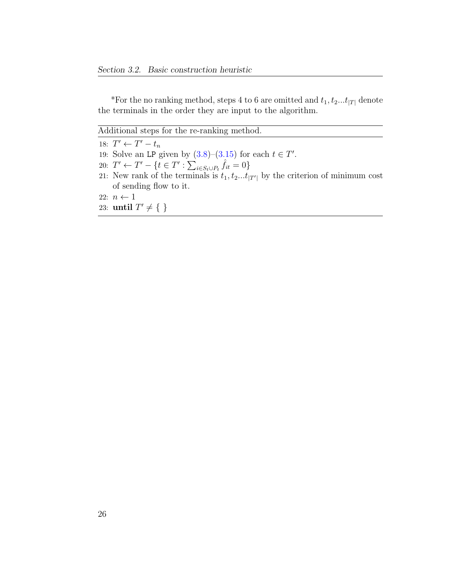\*For the no ranking method, steps 4 to 6 are omitted and  $t_1, t_2...t_{|T|}$  denote the terminals in the order they are input to the algorithm.

Additional steps for the re-ranking method.

18:  $T' \leftarrow T' - t_n$ 

- 19: Solve an LP given by  $(3.8)$ - $(3.15)$  for each  $t \in T'$ .
- 20:  $T' \leftarrow T' \{t \in T' : \sum_{i \in S_t \cup P_t} \hat{f}_{it} = 0\}$
- 21: New rank of the terminals is  $t_1, t_2...t_{|T'|}$  by the criterion of minimum cost of sending flow to it.
- 22:  $n \leftarrow 1$
- 23: until  $T' \neq \{\}$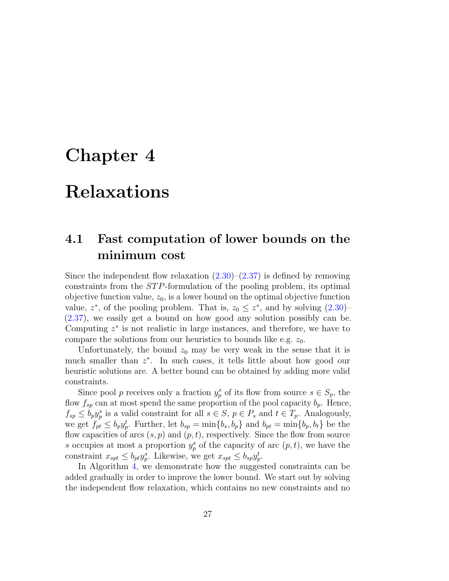### <span id="page-38-0"></span>Chapter 4

### Relaxations

### <span id="page-38-1"></span>4.1 Fast computation of lower bounds on the minimum cost

Since the independent flow relaxation  $(2.30)$ – $(2.37)$  is defined by removing constraints from the ST P-formulation of the pooling problem, its optimal objective function value,  $z_0$ , is a lower bound on the optimal objective function value,  $z^*$ , of the pooling problem. That is,  $z_0 \leq z^*$ , and by solving  $(2.30)$ [\(2.37\)](#page-28-1), we easily get a bound on how good any solution possibly can be. Computing  $z^*$  is not realistic in large instances, and therefore, we have to compare the solutions from our heuristics to bounds like e.g.  $z_0$ .

Unfortunately, the bound  $z_0$  may be very weak in the sense that it is much smaller than  $z^*$ . In such cases, it tells little about how good our heuristic solutions are. A better bound can be obtained by adding more valid constraints.

Since pool p receives only a fraction  $y_p^s$  of its flow from source  $s \in S_p$ , the flow  $f_{sp}$  can at most spend the same proportion of the pool capacity  $b_p$ . Hence,  $f_{sp} \leq b_p y_p^s$  is a valid constraint for all  $s \in S$ ,  $p \in P_s$  and  $t \in T_p$ . Analogously, we get  $f_{pt} \leq b_p y_p^t$ . Further, let  $b_{sp} = \min\{b_s, b_p\}$  and  $b_{pt} = \min\{b_p, b_t\}$  be the flow capacities of arcs  $(s, p)$  and  $(p, t)$ , respectively. Since the flow from source s occupies at most a proportion  $y_p^s$  of the capacity of arc  $(p, t)$ , we have the constraint  $x_{spt} \leq b_{pt} y_p^s$ . Likewise, we get  $x_{spt} \leq b_{sp} y_p^t$ .

In Algorithm [4,](#page-39-0) we demonstrate how the suggested constraints can be added gradually in order to improve the lower bound. We start out by solving the independent flow relaxation, which contains no new constraints and no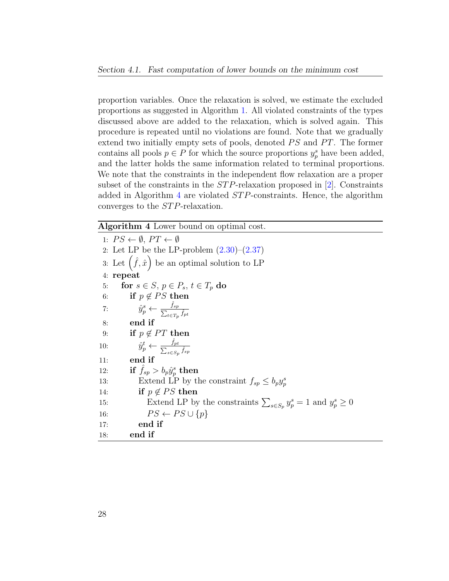proportion variables. Once the relaxation is solved, we estimate the excluded proportions as suggested in Algorithm [1.](#page-30-0) All violated constraints of the types discussed above are added to the relaxation, which is solved again. This procedure is repeated until no violations are found. Note that we gradually extend two initially empty sets of pools, denoted  $PS$  and  $PT$ . The former contains all pools  $p \in P$  for which the source proportions  $y_p^s$  have been added, and the latter holds the same information related to terminal proportions. We note that the constraints in the independent flow relaxation are a proper subset of the constraints in the *STP*-relaxation proposed in [\[2\]](#page-64-3). Constraints added in Algorithm [4](#page-39-0) are violated  $STP$ -constraints. Hence, the algorithm converges to the *STP*-relaxation.

<span id="page-39-0"></span>Algorithm 4 Lower bound on optimal cost.

1:  $PS \leftarrow \emptyset$ ,  $PT \leftarrow \emptyset$ 2: Let LP be the LP-problem  $(2.30)$ – $(2.37)$ 3: Let  $(\hat{f}, \hat{x})$  be an optimal solution to LP 4: repeat 5: for  $s \in S$ ,  $p \in P_s$ ,  $t \in T_p$  do 6: if  $p \notin PS$  then 7:  $\hat{y}_p^s \leftarrow \frac{\hat{f}_{sp}}{\sum_{t \in T_p} \hat{f}_{pt}}$ 8: end if 9: if  $p \notin PT$  then 10:  $\hat{y}_p^t \leftarrow \frac{\hat{f}_p}{\sum_{s \in S}}$ pt  $_{s\in S_p}$   $\hat{f}_{sp}$ 11: end if 12: if  $\hat{f}_{sp} > b_p \hat{y}^s_p$  then 13: Extend LP by the constraint  $f_{sp} \leq b_p y_p^s$ 14: if  $p \notin PS$  then 15: Extend LP by the constraints  $\sum_{s \in S_p} y_p^s = 1$  and  $y_p^s \ge 0$ 16:  $PS \leftarrow PS \cup \{p\}$ 17: end if 18: end if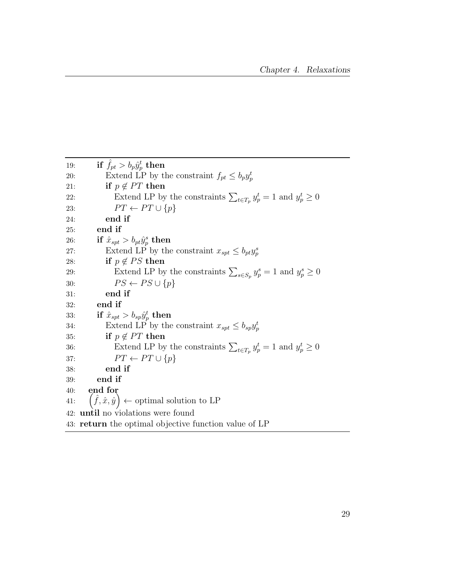| 19: | if $f_{pt} > b_p \hat{y}_p^t$ then                                           |
|-----|------------------------------------------------------------------------------|
| 20: | Extend LP by the constraint $f_{pt} \leq b_p y_p^t$                          |
| 21: | if $p \notin PT$ then                                                        |
| 22: | Extend LP by the constraints $\sum_{t \in T_p} y_p^t = 1$ and $y_p^t \geq 0$ |
| 23: | $PT \leftarrow PT \cup \{p\}$                                                |
| 24: | end if                                                                       |
| 25: | end if                                                                       |
| 26: | if $\hat{x}_{spt} > b_{pt} \hat{y}_p^s$ then                                 |
| 27: | Extend LP by the constraint $x_{spt} \leq b_{pt}y_n^s$                       |
| 28: | if $p \notin PS$ then                                                        |
| 29: | Extend LP by the constraints $\sum_{s \in S_n} y_p^s = 1$ and $y_p^s \geq 0$ |
| 30: | $PS \leftarrow PS \cup \{p\}$                                                |
| 31: | end if                                                                       |
| 32: | end if                                                                       |
| 33: | if $\hat{x}_{spt} > b_{sp} \hat{y}_{p}^{t}$ then                             |
| 34: | Extend LP by the constraint $x_{spt} \leq b_{sp}y_p^t$                       |
| 35: | if $p \notin PT$ then                                                        |
| 36: | Extend LP by the constraints $\sum_{t \in T_n} y_p^t = 1$ and $y_p^t \ge 0$  |
| 37: | $PT \leftarrow PT \cup \{p\}$                                                |
| 38: | end if                                                                       |
| 39: | end if                                                                       |
| 40: | end for                                                                      |
| 41: | $(\hat{f}, \hat{x}, \hat{y}) \leftarrow$ optimal solution to LP              |
|     | 42: <b>until</b> no violations were found                                    |
|     | 43: <b>return</b> the optimal objective function value of LP                 |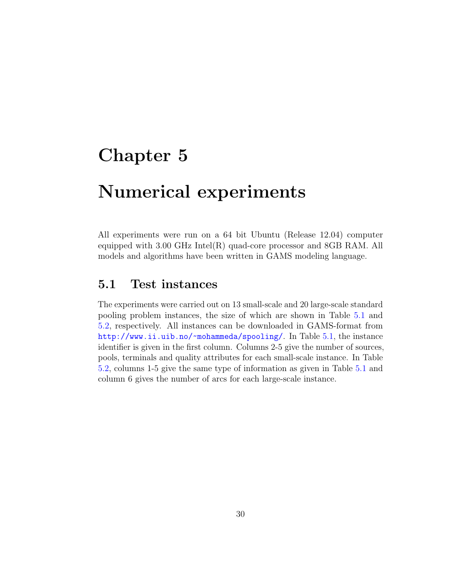### <span id="page-41-0"></span>Chapter 5

### Numerical experiments

All experiments were run on a 64 bit Ubuntu (Release 12.04) computer equipped with 3.00 GHz Intel(R) quad-core processor and 8GB RAM. All models and algorithms have been written in GAMS modeling language.

### <span id="page-41-1"></span>5.1 Test instances

The experiments were carried out on 13 small-scale and 20 large-scale standard pooling problem instances, the size of which are shown in Table [5.1](#page-42-1) and [5.2,](#page-42-2) respectively. All instances can be downloaded in GAMS-format from <http://www.ii.uib.no/~mohammeda/spooling/>. In Table [5.1,](#page-42-1) the instance identifier is given in the first column. Columns 2-5 give the number of sources, pools, terminals and quality attributes for each small-scale instance. In Table [5.2,](#page-42-2) columns 1-5 give the same type of information as given in Table [5.1](#page-42-1) and column 6 gives the number of arcs for each large-scale instance.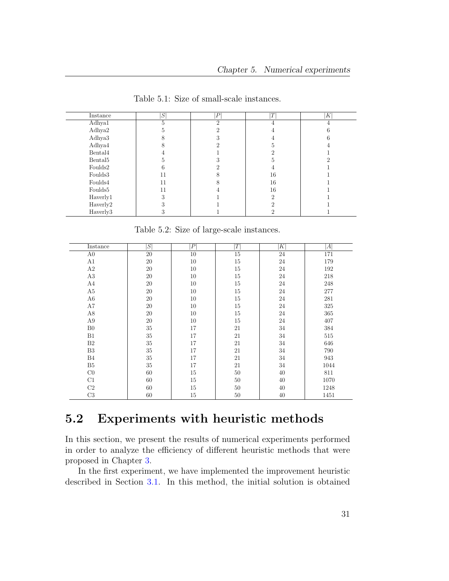<span id="page-42-1"></span>

| Instance            | $S^1$ | P        | T  | $\boldsymbol{K}$ |
|---------------------|-------|----------|----|------------------|
| Adhya1              | 5     | $\Omega$ |    |                  |
| Adhya2              |       |          |    |                  |
| Adhya3              |       |          |    |                  |
| Adhya4              |       |          |    |                  |
| Bental4             |       |          |    |                  |
| Bental <sub>5</sub> |       |          |    |                  |
| Foulds2             |       |          |    |                  |
| Foulds3             | 11    |          | 16 |                  |
| Foulds4             | 11    |          | 16 |                  |
| Foulds <sup>5</sup> | 11    |          | 16 |                  |
| Haverly1            | ۰,    |          | ച  |                  |
| Haverly2            |       |          | ٠, |                  |
| Haverly3            | Ő     |          |    |                  |

Table 5.1: Size of small-scale instances.

Table 5.2: Size of large-scale instances.

<span id="page-42-2"></span>

| Instance       | S      | $\left  P \right $ | T      | K  | A    |
|----------------|--------|--------------------|--------|----|------|
| A <sub>0</sub> | 20     | 10                 | 15     | 24 | 171  |
| A1             | $20\,$ | 10                 | $15\,$ | 24 | 179  |
| A2             | 20     | 10                 | $15\,$ | 24 | 192  |
| A3             | $20\,$ | 10                 | $15\,$ | 24 | 218  |
| A4             | 20     | 10                 | $15\,$ | 24 | 248  |
| A5             | 20     | 10                 | 15     | 24 | 277  |
| A6             | 20     | 10                 | 15     | 24 | 281  |
| A7             | 20     | 10                 | $15\,$ | 24 | 325  |
| A8             | 20     | 10                 | $15\,$ | 24 | 365  |
| A9             | 20     | 10                 | $15\,$ | 24 | 407  |
| B <sub>0</sub> | 35     | 17                 | 21     | 34 | 384  |
| B1             | 35     | 17                 | 21     | 34 | 515  |
| B <sub>2</sub> | 35     | 17                 | 21     | 34 | 646  |
| B <sub>3</sub> | 35     | 17                 | 21     | 34 | 790  |
| B4             | 35     | 17                 | 21     | 34 | 943  |
| B5             | 35     | 17                 | 21     | 34 | 1044 |
| C <sub>0</sub> | 60     | 15                 | $50\,$ | 40 | 811  |
| C1             | 60     | 15                 | $50\,$ | 40 | 1070 |
| C <sub>2</sub> | 60     | 15                 | $50\,$ | 40 | 1248 |
| C <sub>3</sub> | 60     | 15                 | 50     | 40 | 1451 |

### <span id="page-42-0"></span>5.2 Experiments with heuristic methods

In this section, we present the results of numerical experiments performed in order to analyze the efficiency of different heuristic methods that were proposed in Chapter [3.](#page-29-0)

In the first experiment, we have implemented the improvement heuristic described in Section [3.1.](#page-29-1) In this method, the initial solution is obtained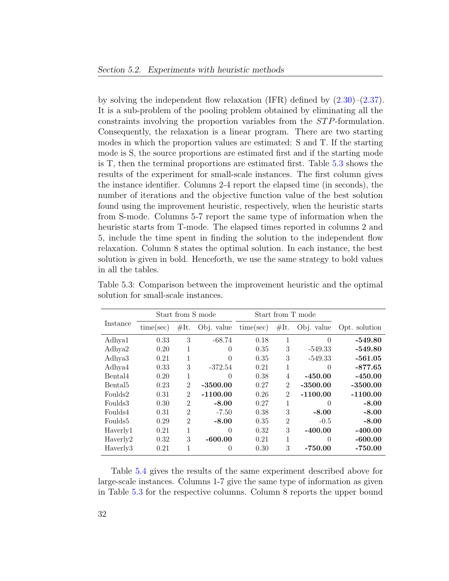by solving the independent flow relaxation (IFR) defined by [\(2.30\)](#page-28-0)–[\(2.37\)](#page-28-1). It is a sub-problem of the pooling problem obtained by eliminating all the constraints involving the proportion variables from the ST P-formulation. Consequently, the relaxation is a linear program. There are two starting modes in which the proportion values are estimated: S and T. If the starting mode is S, the source proportions are estimated first and if the starting mode is T, then the terminal proportions are estimated first. Table [5.3](#page-43-0) shows the results of the experiment for small-scale instances. The first column gives the instance identifier. Columns 2-4 report the elapsed time (in seconds), the number of iterations and the objective function value of the best solution found using the improvement heuristic, respectively, when the heuristic starts from S-mode. Columns 5-7 report the same type of information when the heuristic starts from T-mode. The elapsed times reported in columns 2 and 5, include the time spent in finding the solution to the independent flow relaxation. Column 8 states the optimal solution. In each instance, the best solution is given in bold. Henceforth, we use the same strategy to bold values in all the tables.

|                     |           |                             | Start from S mode |           |                             | Start from T mode |               |
|---------------------|-----------|-----------------------------|-------------------|-----------|-----------------------------|-------------------|---------------|
| Instance            | time/sec) | #It.                        | Obj. value        | time(sec) | #It.                        | Obj. value        | Opt. solution |
| Adhya1              | 0.33      | 3                           | $-68.74$          | 0.18      | 1                           | 0                 | $-549.80$     |
| Adhya2              | 0.20      | 1                           | $\left( \right)$  | 0.35      | 3                           | $-549.33$         | $-549.80$     |
| Adhya3              | 0.21      | 1                           | $\theta$          | 0.35      | 3                           | $-549.33$         | $-561.05$     |
| Adhya4              | 0.33      | 3                           | $-372.54$         | 0.21      | 1                           | $\left( \right)$  | $-877.65$     |
| Bental4             | 0.20      | 1                           | 0                 | 0.38      | 4                           | $-450.00$         | $-450.00$     |
| Bental <sub>5</sub> | 0.23      | 2                           | $-3500.00$        | 0.27      | $\overline{2}$              | $-3500.00$        | $-3500.00$    |
| Foulds2             | 0.31      | $\mathcal{D}_{\mathcal{L}}$ | $-1100.00$        | 0.26      | $\mathcal{D}_{\mathcal{A}}$ | $-1100.00$        | $-1100.00$    |
| Foulds3             | 0.30      | $\overline{2}$              | $-8.00$           | 0.27      | 1                           | $\left( \right)$  | $-8.00$       |
| Foulds4             | 0.31      | $\overline{2}$              | $-7.50$           | 0.38      | 3                           | $-8.00$           | $-8.00$       |
| Foulds5             | 0.29      | $\overline{2}$              | $-8.00$           | 0.35      | $\overline{2}$              | $-0.5$            | $-8.00$       |
| Haverly1            | 0.21      | 1                           | $\theta$          | 0.32      | 3                           | $-400.00$         | $-400.00$     |
| Haverly2            | 0.32      | 3                           | $-600.00$         | 0.21      | 1                           | 0                 | $-600.00$     |
| Haverly3            | 0.21      |                             | 0                 | 0.30      | 3                           | -750.00           | $-750.00$     |

<span id="page-43-0"></span>Table 5.3: Comparison between the improvement heuristic and the optimal solution for small-scale instances.

Table [5.4](#page-44-0) gives the results of the same experiment described above for large-scale instances. Columns 1-7 give the same type of information as given in Table [5.3](#page-43-0) for the respective columns. Column 8 reports the upper bound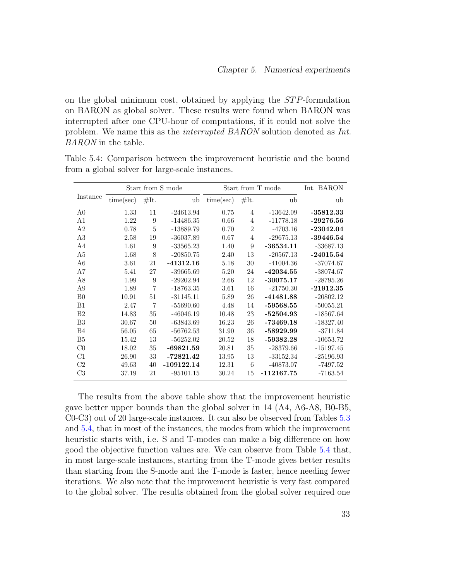on the global minimum cost, obtained by applying the  $STP$ -formulation on BARON as global solver. These results were found when BARON was interrupted after one CPU-hour of computations, if it could not solve the problem. We name this as the interrupted BARON solution denoted as Int. BARON in the table.

|                |           |                | Start from S mode |           |                | Start from T mode | Int. BARON  |
|----------------|-----------|----------------|-------------------|-----------|----------------|-------------------|-------------|
| Instance       | time(sec) | #It.           | ub                | time(sec) | #It.           | ub                | ub          |
| A0             | 1.33      | 11             | $-24613.94$       | 0.75      | 4              | $-13642.09$       | $-35812.33$ |
| A1             | 1.22      | 9              | $-14486.35$       | 0.66      | 4              | $-11778.18$       | $-29276.56$ |
| A2             | 0.78      | 5              | $-13889.79$       | 0.70      | $\overline{2}$ | $-4703.16$        | $-23042.04$ |
| A3             | 2.58      | 19             | $-36037.89$       | 0.67      | 4              | $-29675.13$       | $-39446.54$ |
| A4             | 1.61      | 9              | $-33565.23$       | 1.40      | 9              | $-36534.11$       | $-33687.13$ |
| A5             | 1.68      | 8              | $-20850.75$       | 2.40      | 13             | $-20567.13$       | $-24015.54$ |
| A6             | 3.61      | 21             | $-41312.16$       | 5.18      | 30             | $-41004.36$       | $-37074.67$ |
| A7             | 5.41      | 27             | $-39665.69$       | 5.20      | 24             | $-42034.55$       | $-38074.67$ |
| A8             | 1.99      | 9              | $-29202.94$       | 2.66      | 12             | $-30075.17$       | $-28795.26$ |
| A9             | 1.89      | $\overline{7}$ | $-18763.35$       | 3.61      | 16             | $-21750.30$       | $-21912.35$ |
| B <sub>0</sub> | 10.91     | 51             | $-31145.11$       | 5.89      | 26             | $-41481.88$       | $-20802.12$ |
| B1             | 2.47      | $\overline{7}$ | $-55690.60$       | 4.48      | 14             | $-59568.55$       | $-50055.21$ |
| B <sub>2</sub> | 14.83     | 35             | $-46046.19$       | 10.48     | 23             | $-52504.93$       | $-18567.64$ |
| B3             | 30.67     | 50             | $-63843.69$       | 16.23     | 26             | $-73469.18$       | $-18327.40$ |
| B4             | 56.05     | 65             | $-56762.53$       | 31.90     | 36             | -58929.99         | $-3711.84$  |
| B5             | 15.42     | 13             | $-56252.02$       | 20.52     | 18             | $-59382.28$       | $-10653.72$ |
| $_{\rm C0}$    | 18.02     | 35             | $-69821.59$       | 20.81     | 35             | $-28379.66$       | $-15197.45$ |
| C1             | 26.90     | 33             | $-72821.42$       | 13.95     | 13             | $-33152.34$       | $-25196.93$ |
| C2             | 49.63     | 40             | $-109122.14$      | 12.31     | 6              | $-40873.07$       | $-7497.52$  |
| C <sub>3</sub> | 37.19     | 21             | $-95101.15$       | 30.24     | 15             | $-112167.75$      | $-7163.54$  |

<span id="page-44-0"></span>Table 5.4: Comparison between the improvement heuristic and the bound from a global solver for large-scale instances.

The results from the above table show that the improvement heuristic gave better upper bounds than the global solver in 14 (A4, A6-A8, B0-B5, C0-C3) out of 20 large-scale instances. It can also be observed from Tables [5.3](#page-43-0) and [5.4,](#page-44-0) that in most of the instances, the modes from which the improvement heuristic starts with, i.e. S and T-modes can make a big difference on how good the objective function values are. We can observe from Table [5.4](#page-44-0) that, in most large-scale instances, starting from the T-mode gives better results than starting from the S-mode and the T-mode is faster, hence needing fewer iterations. We also note that the improvement heuristic is very fast compared to the global solver. The results obtained from the global solver required one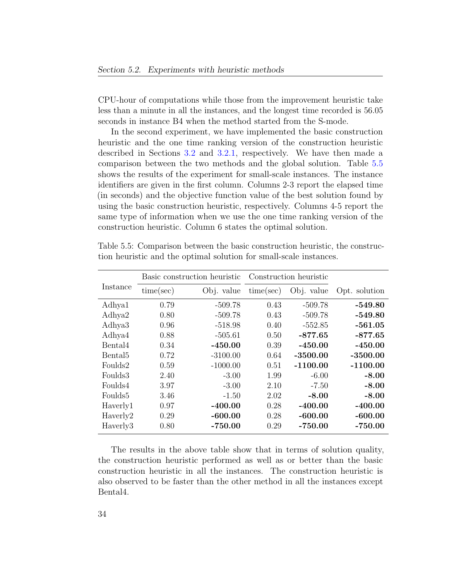CPU-hour of computations while those from the improvement heuristic take less than a minute in all the instances, and the longest time recorded is 56.05 seconds in instance B4 when the method started from the S-mode.

In the second experiment, we have implemented the basic construction heuristic and the one time ranking version of the construction heuristic described in Sections [3.2](#page-31-0) and [3.2.1,](#page-34-0) respectively. We have then made a comparison between the two methods and the global solution. Table [5.5](#page-45-0) shows the results of the experiment for small-scale instances. The instance identifiers are given in the first column. Columns 2-3 report the elapsed time (in seconds) and the objective function value of the best solution found by using the basic construction heuristic, respectively. Columns 4-5 report the same type of information when we use the one time ranking version of the construction heuristic. Column 6 states the optimal solution.

|                     |           | Basic construction heuristic | Construction heuristic |            |               |
|---------------------|-----------|------------------------------|------------------------|------------|---------------|
| Instance            | time(sec) | Obj. value                   | time(sec)              | Obj. value | Opt. solution |
| Adhya1              | 0.79      | $-509.78$                    | 0.43                   | $-509.78$  | $-549.80$     |
| Adhya2              | 0.80      | $-509.78$                    | 0.43                   | $-509.78$  | $-549.80$     |
| Adhya <sub>3</sub>  | 0.96      | $-518.98$                    | 0.40                   | $-552.85$  | $-561.05$     |
| Adhya4              | 0.88      | $-505.61$                    | 0.50                   | $-877.65$  | $-877.65$     |
| Bental4             | 0.34      | $-450.00$                    | 0.39                   | $-450.00$  | $-450.00$     |
| Bental <sub>5</sub> | 0.72      | $-3100.00$                   | 0.64                   | $-3500.00$ | $-3500.00$    |
| Foulds2             | 0.59      | $-1000.00$                   | 0.51                   | $-1100.00$ | $-1100.00$    |
| Foulds3             | 2.40      | $-3.00$                      | 1.99                   | $-6.00$    | $-8.00$       |
| Foulds4             | 3.97      | $-3.00$                      | 2.10                   | $-7.50$    | $-8.00$       |
| Foulds5             | 3.46      | $-1.50$                      | 2.02                   | $-8.00$    | $-8.00$       |
| Haverly1            | 0.97      | $-400.00$                    | 0.28                   | $-400.00$  | $-400.00$     |
| Haverly2            | 0.29      | $-600.00$                    | 0.28                   | $-600.00$  | $-600.00$     |
| Haverly3            | 0.80      | $-750.00$                    | 0.29                   | -750.00    | $-750.00$     |
|                     |           |                              |                        |            |               |

<span id="page-45-0"></span>Table 5.5: Comparison between the basic construction heuristic, the construction heuristic and the optimal solution for small-scale instances.

The results in the above table show that in terms of solution quality, the construction heuristic performed as well as or better than the basic construction heuristic in all the instances. The construction heuristic is also observed to be faster than the other method in all the instances except Bental4.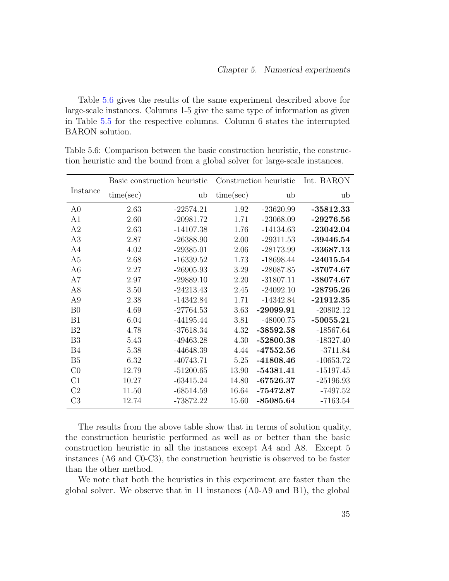Table [5.6](#page-46-0) gives the results of the same experiment described above for large-scale instances. Columns 1-5 give the same type of information as given in Table [5.5](#page-45-0) for the respective columns. Column 6 states the interrupted BARON solution.

|                |           | Basic construction heuristic |           | Construction heuristic | Int. BARON  |
|----------------|-----------|------------------------------|-----------|------------------------|-------------|
| Instance       | time(sec) | ub                           | time(sec) | ub                     | ub          |
| A <sub>0</sub> | 2.63      | $-22574.21$                  | 1.92      | $-23620.99$            | $-35812.33$ |
| A1             | 2.60      | $-20981.72$                  | 1.71      | $-23068.09$            | $-29276.56$ |
| A2             | 2.63      | $-14107.38$                  | 1.76      | $-14134.63$            | $-23042.04$ |
| A3             | 2.87      | $-26388.90$                  | 2.00      | $-29311.53$            | $-39446.54$ |
| A <sub>4</sub> | 4.02      | $-29385.01$                  | 2.06      | $-28173.99$            | $-33687.13$ |
| A <sub>5</sub> | 2.68      | $-16339.52$                  | 1.73      | $-18698.44$            | $-24015.54$ |
| A <sub>6</sub> | 2.27      | $-26905.93$                  | 3.29      | $-28087.85$            | $-37074.67$ |
| A7             | 2.97      | $-29889.10$                  | 2.20      | $-31807.11$            | $-38074.67$ |
| A <sub>8</sub> | 3.50      | $-24213.43$                  | 2.45      | $-24092.10$            | $-28795.26$ |
| A <sub>9</sub> | 2.38      | $-14342.84$                  | 1.71      | $-14342.84$            | $-21912.35$ |
| B <sub>0</sub> | 4.69      | $-27764.53$                  | 3.63      | $-29099.91$            | $-20802.12$ |
| B1             | 6.04      | $-44195.44$                  | 3.81      | $-48000.75$            | $-50055.21$ |
| B <sub>2</sub> | 4.78      | $-37618.34$                  | 4.32      | $-38592.58$            | $-18567.64$ |
| B <sub>3</sub> | 5.43      | $-49463.28$                  | 4.30      | $-52800.38$            | $-18327.40$ |
| B <sub>4</sub> | 5.38      | -44648.39                    | 4.44      | $-47552.56$            | $-3711.84$  |
| B <sub>5</sub> | 6.32      | $-40743.71$                  | 5.25      | $-41808.46$            | $-10653.72$ |
| CO             | 12.79     | $-51200.65$                  | 13.90     | $-54381.41$            | $-15197.45$ |
| C1             | 10.27     | $-63415.24$                  | 14.80     | $-67526.37$            | $-25196.93$ |
| C <sub>2</sub> | 11.50     | $-68514.59$                  | 16.64     | $-75472.87$            | $-7497.52$  |
| C <sub>3</sub> | 12.74     | $-73872.22$                  | 15.60     | $-85085.64$            | $-7163.54$  |

<span id="page-46-0"></span>Table 5.6: Comparison between the basic construction heuristic, the construction heuristic and the bound from a global solver for large-scale instances.

The results from the above table show that in terms of solution quality, the construction heuristic performed as well as or better than the basic construction heuristic in all the instances except A4 and A8. Except 5 instances (A6 and C0-C3), the construction heuristic is observed to be faster than the other method.

We note that both the heuristics in this experiment are faster than the global solver. We observe that in 11 instances (A0-A9 and B1), the global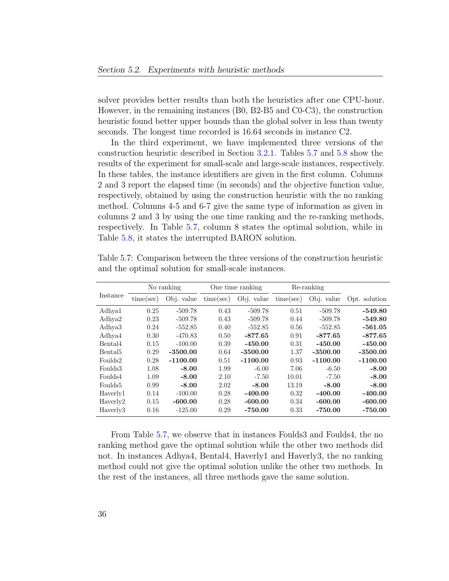solver provides better results than both the heuristics after one CPU-hour. However, in the remaining instances (B0, B2-B5 and C0-C3), the construction heuristic found better upper bounds than the global solver in less than twenty seconds. The longest time recorded is 16.64 seconds in instance C2.

In the third experiment, we have implemented three versions of the construction heuristic described in Section [3.2.1.](#page-34-0) Tables [5.7](#page-47-0) and [5.8](#page-48-0) show the results of the experiment for small-scale and large-scale instances, respectively. In these tables, the instance identifiers are given in the first column. Columns 2 and 3 report the elapsed time (in seconds) and the objective function value, respectively, obtained by using the construction heuristic with the no ranking method. Columns 4-5 and 6-7 give the same type of information as given in columns 2 and 3 by using the one time ranking and the re-ranking methods, respectively. In Table [5.7,](#page-47-0) column 8 states the optimal solution, while in Table [5.8,](#page-48-0) it states the interrupted BARON solution.

|                     | No ranking |            |           | One time ranking |           | Re-ranking |               |
|---------------------|------------|------------|-----------|------------------|-----------|------------|---------------|
| Instance            | time(sec)  | Obj. value | time(sec) | Obj. value       | time(sec) | Obj. value | Opt. solution |
| Adhya1              | 0.25       | $-509.78$  | 0.43      | $-509.78$        | 0.51      | $-509.78$  | $-549.80$     |
| Adhya2              | 0.23       | $-509.78$  | 0.43      | $-509.78$        | 0.44      | $-509.78$  | $-549.80$     |
| Adhya3              | 0.24       | $-552.85$  | 0.40      | $-552.85$        | 0.56      | $-552.85$  | $-561.05$     |
| Adhya4              | 0.30       | -470.83    | 0.50      | $-877.65$        | 0.91      | $-877.65$  | $-877.65$     |
| Bental4             | 0.15       | $-100.00$  | 0.39      | $-450.00$        | 0.31      | $-450.00$  | $-450.00$     |
| Bental <sub>5</sub> | 0.29       | $-3500.00$ | 0.64      | $-3500.00$       | 1.37      | $-3500.00$ | $-3500.00$    |
| Foulds2             | 0.28       | $-1100.00$ | 0.51      | $-1100.00$       | 0.93      | $-1100.00$ | $-1100.00$    |
| Foulds3             | 1.08       | $-8.00$    | 1.99      | $-6.00$          | 7.06      | $-6.50$    | $-8.00$       |
| Foulds4             | 1.09       | $-8.00$    | 2.10      | $-7.50$          | 10.01     | $-7.50$    | $-8.00$       |
| Foulds <sup>5</sup> | 0.99       | $-8.00$    | 2.02      | $-8.00$          | 13.19     | $-8.00$    | $-8.00$       |
| Haverly1            | 0.14       | $-100.00$  | 0.28      | $-400.00$        | 0.32      | $-400.00$  | $-400.00$     |
| Haverly2            | 0.15       | $-600.00$  | 0.28      | $-600.00$        | 0.34      | $-600.00$  | $-600.00$     |
| Haverly3            | 0.16       | $-125.00$  | 0.29      | $-750.00$        | 0.33      | $-750.00$  | $-750.00$     |

<span id="page-47-0"></span>Table 5.7: Comparison between the three versions of the construction heuristic and the optimal solution for small-scale instances.

From Table [5.7,](#page-47-0) we observe that in instances Foulds3 and Foulds4, the no ranking method gave the optimal solution while the other two methods did not. In instances Adhya4, Bental4, Haverly1 and Haverly3, the no ranking method could not give the optimal solution unlike the other two methods. In the rest of the instances, all three methods gave the same solution.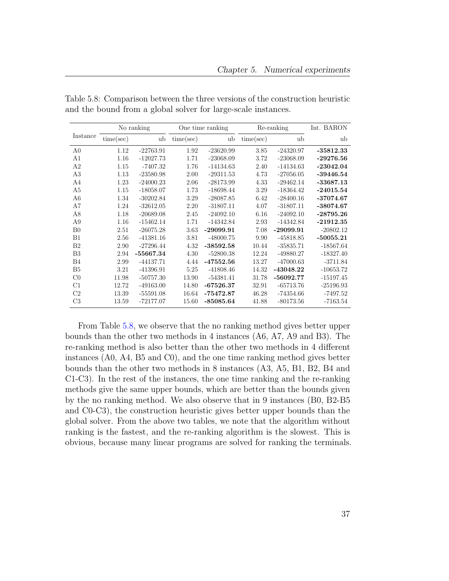|                |           | No ranking  |           | One time ranking |           | Re-ranking  | Int. BARON  |
|----------------|-----------|-------------|-----------|------------------|-----------|-------------|-------------|
| Instance       | time(sec) | ub          | time(sec) | ub               | time(sec) | ub          | ub          |
| A <sub>0</sub> | 1.12      | $-22763.91$ | 1.92      | $-23620.99$      | 3.85      | $-24320.97$ | $-35812.33$ |
| A <sub>1</sub> | 1.16      | $-12027.73$ | 1.71      | $-23068.09$      | 3.72      | $-23068.09$ | $-29276.56$ |
| A <sub>2</sub> | 1.15      | $-7407.32$  | 1.76      | $-14134.63$      | 2.40      | $-14134.63$ | $-23042.04$ |
| A3             | 1.13      | $-23580.98$ | 2.00      | $-29311.53$      | 4.73      | $-27056.05$ | $-39446.54$ |
| A4             | 1.23      | $-24000.23$ | 2.06      | $-28173.99$      | 4.33      | $-29462.14$ | $-33687.13$ |
| A <sub>5</sub> | 1.15      | $-18058.07$ | 1.73      | $-18698.44$      | 3.29      | $-18364.42$ | $-24015.54$ |
| A6             | 1.34      | $-30202.84$ | 3.29      | $-28087.85$      | 6.42      | $-28400.16$ | $-37074.67$ |
| A7             | 1.24      | $-32612.05$ | 2.20      | $-31807.11$      | 4.07      | $-31807.11$ | $-38074.67$ |
| A8             | 1.18      | $-20689.08$ | 2.45      | $-24092.10$      | 6.16      | $-24092.10$ | $-28795.26$ |
| A9             | 1.16      | $-15462.14$ | 1.71      | $-14342.84$      | 2.93      | $-14342.84$ | $-21912.35$ |
| B <sub>0</sub> | 2.51      | $-26075.28$ | 3.63      | $-29099.91$      | 7.08      | $-29099.91$ | $-20802.12$ |
| B1             | 2.56      | $-41381.16$ | 3.81      | $-48000.75$      | 9.90      | $-45818.85$ | $-50055.21$ |
| B <sub>2</sub> | 2.90      | $-27296.44$ | 4.32      | $-38592.58$      | 10.44     | $-35835.71$ | $-18567.64$ |
| B <sub>3</sub> | 2.94      | $-55667.34$ | 4.30      | $-52800.38$      | 12.24     | -49880.27   | $-18327.40$ |
| B <sub>4</sub> | 2.99      | $-44137.71$ | 4.44      | $-47552.56$      | 13.27     | $-47000.63$ | $-3711.84$  |
| B <sub>5</sub> | 3.21      | $-41396.91$ | 5.25      | $-41808.46$      | 14.32     | $-43048.22$ | $-10653.72$ |
| C <sub>0</sub> | 11.98     | $-50757.30$ | 13.90     | $-54381.41$      | 31.78     | $-56092.77$ | $-15197.45$ |
| C1             | 12.72     | $-49163.00$ | 14.80     | $-67526.37$      | 32.91     | $-65713.76$ | $-25196.93$ |
| C <sub>2</sub> | 13.39     | $-55591.08$ | 16.64     | $-75472.87$      | 46.28     | $-74354.66$ | $-7497.52$  |
| C <sub>3</sub> | 13.59     | $-72177.07$ | 15.60     | $-85085.64$      | 41.88     | $-80173.56$ | $-7163.54$  |

<span id="page-48-0"></span>Table 5.8: Comparison between the three versions of the construction heuristic and the bound from a global solver for large-scale instances.

From Table [5.8,](#page-48-0) we observe that the no ranking method gives better upper bounds than the other two methods in 4 instances (A6, A7, A9 and B3). The re-ranking method is also better than the other two methods in 4 different instances (A0, A4, B5 and C0), and the one time ranking method gives better bounds than the other two methods in 8 instances (A3, A5, B1, B2, B4 and C1-C3). In the rest of the instances, the one time ranking and the re-ranking methods give the same upper bounds, which are better than the bounds given by the no ranking method. We also observe that in 9 instances (B0, B2-B5 and C0-C3), the construction heuristic gives better upper bounds than the global solver. From the above two tables, we note that the algorithm without ranking is the fastest, and the re-ranking algorithm is the slowest. This is obvious, because many linear programs are solved for ranking the terminals.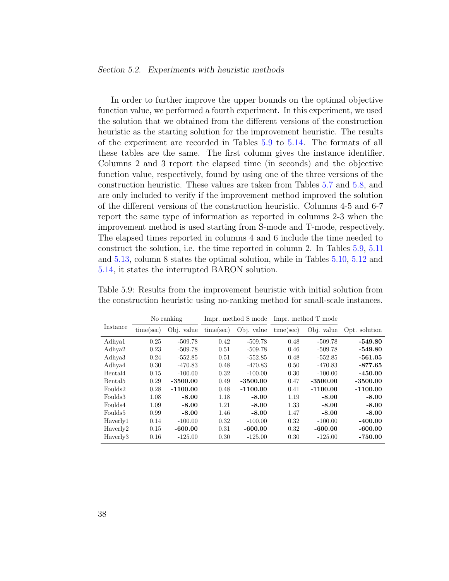In order to further improve the upper bounds on the optimal objective function value, we performed a fourth experiment. In this experiment, we used the solution that we obtained from the different versions of the construction heuristic as the starting solution for the improvement heuristic. The results of the experiment are recorded in Tables [5.9](#page-49-0) to [5.14.](#page-52-0) The formats of all these tables are the same. The first column gives the instance identifier. Columns 2 and 3 report the elapsed time (in seconds) and the objective function value, respectively, found by using one of the three versions of the construction heuristic. These values are taken from Tables [5.7](#page-47-0) and [5.8,](#page-48-0) and are only included to verify if the improvement method improved the solution of the different versions of the construction heuristic. Columns 4-5 and 6-7 report the same type of information as reported in columns 2-3 when the improvement method is used starting from S-mode and T-mode, respectively. The elapsed times reported in columns 4 and 6 include the time needed to construct the solution, i.e. the time reported in column 2. In Tables [5.9,](#page-49-0) [5.11](#page-50-1) and [5.13,](#page-51-1) column 8 states the optimal solution, while in Tables [5.10,](#page-50-0) [5.12](#page-51-0) and [5.14,](#page-52-0) it states the interrupted BARON solution.

|                     | No ranking |            |           | Impr. method S mode |           | Impr. method T mode |               |
|---------------------|------------|------------|-----------|---------------------|-----------|---------------------|---------------|
| Instance            | time(sec)  | Obj. value | time(sec) | Obj. value          | time(sec) | Obj. value          | Opt. solution |
| Adhya1              | 0.25       | $-509.78$  | 0.42      | $-509.78$           | 0.48      | $-509.78$           | $-549.80$     |
| Adhya2              | 0.23       | $-509.78$  | 0.51      | $-509.78$           | 0.46      | $-509.78$           | $-549.80$     |
| Adhya3              | 0.24       | $-552.85$  | 0.51      | $-552.85$           | 0.48      | $-552.85$           | $-561.05$     |
| Adhya4              | 0.30       | $-470.83$  | 0.48      | $-470.83$           | 0.50      | $-470.83$           | $-877.65$     |
| Bental4             | 0.15       | $-100.00$  | 0.32      | $-100.00$           | 0.30      | $-100.00$           | $-450.00$     |
| Bental <sub>5</sub> | 0.29       | $-3500.00$ | 0.49      | $-3500.00$          | 0.47      | $-3500.00$          | $-3500.00$    |
| Foulds2             | 0.28       | $-1100.00$ | 0.48      | $-1100.00$          | 0.41      | $-1100.00$          | $-1100.00$    |
| Foulds3             | 1.08       | $-8.00$    | 1.18      | $-8.00$             | 1.19      | $-8.00$             | $-8.00$       |
| Foulds4             | 1.09       | $-8.00$    | 1.21      | $-8.00$             | 1.33      | $-8.00$             | $-8.00$       |
| Foulds <sup>5</sup> | 0.99       | $-8.00$    | 1.46      | $-8.00$             | 1.47      | $-8.00$             | $-8.00$       |
| Haverly1            | 0.14       | $-100.00$  | 0.32      | $-100.00$           | 0.32      | $-100.00$           | $-400.00$     |
| Haverly2            | 0.15       | $-600.00$  | 0.31      | $-600.00$           | 0.32      | $-600.00$           | $-600.00$     |
| Haverly3            | 0.16       | $-125.00$  | 0.30      | $-125.00$           | 0.30      | $-125.00$           | $-750.00$     |

<span id="page-49-0"></span>Table 5.9: Results from the improvement heuristic with initial solution from the construction heuristic using no-ranking method for small-scale instances.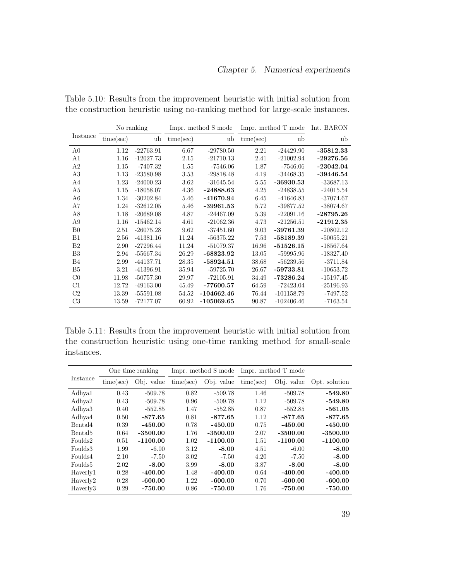|                |           | No ranking  |           | Impr. method S mode |           | Impr. method T mode | Int. BARON  |
|----------------|-----------|-------------|-----------|---------------------|-----------|---------------------|-------------|
| Instance       | time(sec) | ub          | time(sec) | ub                  | time(sec) | ub                  | ub          |
| A <sub>0</sub> | 1.12      | $-22763.91$ | 6.67      | $-29780.50$         | 2.21      | $-24429.90$         | $-35812.33$ |
| A1             | 1.16      | $-12027.73$ | 2.15      | $-21710.13$         | 2.41      | $-21002.94$         | $-29276.56$ |
| A <sub>2</sub> | 1.15      | $-7407.32$  | 1.55      | $-7546.06$          | 1.87      | $-7546.06$          | $-23042.04$ |
| A3             | 1.13      | $-23580.98$ | 3.53      | $-29818.48$         | 4.19      | $-34468.35$         | $-39446.54$ |
| A4             | 1.23      | $-24000.23$ | 3.62      | $-31645.54$         | 5.55      | $-36930.53$         | $-33687.13$ |
| A5             | 1.15      | $-18058.07$ | 4.36      | $-24888.63$         | 4.25      | $-24838.55$         | $-24015.54$ |
| A6             | 1.34      | $-30202.84$ | 5.46      | -41670.94           | 6.45      | $-41646.83$         | $-37074.67$ |
| A7             | 1.24      | $-32612.05$ | 5.46      | $-39961.53$         | 5.72      | $-39877.52$         | $-38074.67$ |
| A8             | 1.18      | $-20689.08$ | 4.87      | $-24467.09$         | 5.39      | $-22091.16$         | $-28795.26$ |
| A <sub>9</sub> | 1.16      | $-15462.14$ | 4.61      | $-21062.36$         | 4.73      | $-21256.51$         | $-21912.35$ |
| B <sub>0</sub> | 2.51      | $-26075.28$ | 9.62      | $-37451.60$         | 9.03      | $-39761.39$         | $-20802.12$ |
| <b>B1</b>      | 2.56      | $-41381.16$ | 11.24     | $-56375.22$         | 7.53      | $-58189.39$         | $-50055.21$ |
| B <sub>2</sub> | 2.90      | $-27296.44$ | 11.24     | $-51079.37$         | 16.96     | $-51526.15$         | $-18567.64$ |
| B <sub>3</sub> | 2.94      | $-55667.34$ | 26.29     | $-68823.92$         | 13.05     | -59995.96           | $-18327.40$ |
| B4             | 2.99      | $-44137.71$ | 28.35     | $-58924.51$         | 38.68     | $-56239.56$         | $-3711.84$  |
| B5             | 3.21      | $-41396.91$ | 35.94     | $-59725.70$         | 26.67     | $-59733.81$         | $-10653.72$ |
| CO             | 11.98     | $-50757.30$ | 29.97     | $-72105.91$         | 34.49     | $-73286.24$         | $-15197.45$ |
| C1             | 12.72     | $-49163.00$ | 45.49     | $-77600.57$         | 64.59     | $-72423.04$         | $-25196.93$ |
| C <sub>2</sub> | 13.39     | $-55591.08$ | 54.52     | $-104662.46$        | 76.44     | $-101158.79$        | $-7497.52$  |
| C <sub>3</sub> | 13.59     | $-72177.07$ | 60.92     | $-105069.65$        | 90.87     | $-102406.46$        | $-7163.54$  |

<span id="page-50-0"></span>Table 5.10: Results from the improvement heuristic with initial solution from the construction heuristic using no-ranking method for large-scale instances.

<span id="page-50-1"></span>Table 5.11: Results from the improvement heuristic with initial solution from the construction heuristic using one-time ranking method for small-scale instances.

|                     |           | One time ranking |           | Impr. method S mode |           | Impr. method T mode |               |
|---------------------|-----------|------------------|-----------|---------------------|-----------|---------------------|---------------|
| Instance            | time(sec) | Obj. value       | time(sec) | Obj. value          | time(sec) | Obj. value          | Opt. solution |
| Adhya1              | 0.43      | $-509.78$        | 0.82      | $-509.78$           | 1.46      | $-509.78$           | $-549.80$     |
| Adhya2              | 0.43      | $-509.78$        | 0.96      | $-509.78$           | 1.12      | $-509.78$           | $-549.80$     |
| Adhya3              | 0.40      | $-552.85$        | 1.47      | $-552.85$           | 0.87      | $-552.85$           | $-561.05$     |
| Adhya4              | 0.50      | $-877.65$        | 0.81      | $-877.65$           | 1.12      | $-877.65$           | $-877.65$     |
| Bental4             | 0.39      | $-450.00$        | 0.78      | $-450.00$           | 0.75      | $-450.00$           | $-450.00$     |
| Bental <sub>5</sub> | 0.64      | $-3500.00$       | 1.76      | $-3500.00$          | 2.07      | $-3500.00$          | $-3500.00$    |
| Foulds2             | 0.51      | $-1100.00$       | 1.02      | $-1100.00$          | 1.51      | $-1100.00$          | $-1100.00$    |
| Foulds3             | 1.99      | $-6.00$          | 3.12      | $-8.00$             | 4.51      | $-6.00$             | $-8.00$       |
| Foulds4             | 2.10      | $-7.50$          | 3.02      | $-7.50$             | 4.20      | $-7.50$             | $-8.00$       |
| Foulds <sup>5</sup> | 2.02      | $-8.00$          | 3.99      | $-8.00$             | 3.87      | $-8.00$             | $-8.00$       |
| Haverly1            | 0.28      | $-400.00$        | 1.48      | $-400.00$           | 0.64      | -400.00             | $-400.00$     |
| Haverly2            | 0.28      | $-600.00$        | 1.22      | $-600.00$           | 0.70      | $-600.00$           | $-600.00$     |
| Haverly3            | 0.29      | -750.00          | 0.86      | $-750.00$           | 1.76      | -750.00             | $-750.00$     |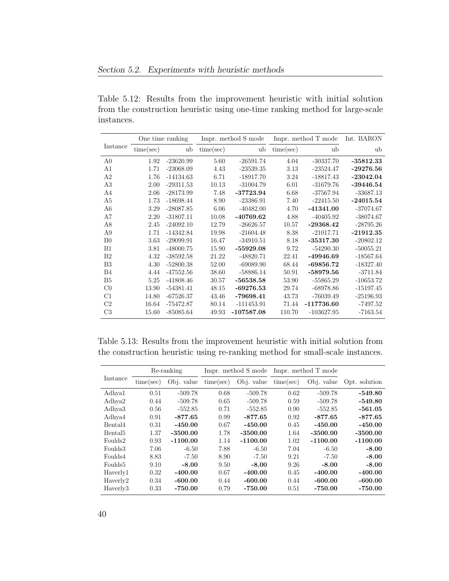<span id="page-51-0"></span>Table 5.12: Results from the improvement heuristic with initial solution from the construction heuristic using one-time ranking method for large-scale instances.

|                |           | One time ranking |           | Impr. method S mode |           | Impr. method T mode | Int. BARON  |
|----------------|-----------|------------------|-----------|---------------------|-----------|---------------------|-------------|
| Instance       | time(sec) | ub               | time(see) | ub                  | time(sec) | ub                  | ub          |
| A <sub>0</sub> | 1.92      | $-23620.99$      | 5.60      | $-26591.74$         | 4.04      | $-30337.70$         | $-35812.33$ |
| A <sub>1</sub> | 1.71      | $-23068.09$      | 4.43      | $-23539.35$         | 3.13      | $-23524.47$         | $-29276.56$ |
| A <sub>2</sub> | 1.76      | $-14134.63$      | 6.71      | $-18917.70$         | 3.24      | $-18817.43$         | $-23042.04$ |
| A3             | 2.00      | $-29311.53$      | 10.13     | $-31004.79$         | 6.01      | $-31679.76$         | $-39446.54$ |
| A <sub>4</sub> | 2.06      | $-28173.99$      | 7.48      | $-37723.94$         | 6.68      | $-37567.94$         | $-33687.13$ |
| A <sub>5</sub> | 1.73      | $-18698.44$      | 8.90      | $-23386.91$         | 7.40      | $-22415.50$         | $-24015.54$ |
| A <sub>6</sub> | 3.29      | $-28087.85$      | 6.06      | $-40482.00$         | 4.70      | $-41341.00$         | $-37074.67$ |
| A7             | 2.20      | $-31807.11$      | 10.08     | -40769.62           | 4.88      | $-40405.92$         | $-38074.67$ |
| A <sub>8</sub> | 2.45      | $-24092.10$      | 12.79     | $-26626.57$         | 10.57     | $-29368.42$         | $-28795.26$ |
| A <sub>9</sub> | 1.71      | $-14342.84$      | 19.98     | $-21604.48$         | 8.38      | $-21017.71$         | $-21912.35$ |
| B <sub>0</sub> | 3.63      | $-29099.91$      | 16.47     | $-34910.51$         | 8.18      | $-35317.30$         | $-20802.12$ |
| B1             | 3.81      | $-48000.75$      | 15.90     | $-55929.08$         | 9.72      | $-54290.30$         | $-50055.21$ |
| B <sub>2</sub> | 4.32      | $-38592.58$      | 21.22     | $-48820.71$         | 22.41     | -49946.69           | $-18567.64$ |
| B <sub>3</sub> | 4.30      | $-52800.38$      | 52.00     | $-69089.90$         | 68.44     | $-69856.72$         | $-18327.40$ |
| <b>B4</b>      | 4.44      | $-47552.56$      | 38.60     | $-58886.14$         | 50.91     | $-58979.56$         | $-3711.84$  |
| B <sub>5</sub> | 5.25      | $-41808.46$      | 30.57     | $-56538.58$         | 53.90     | $-55865.29$         | $-10653.72$ |
| C <sub>0</sub> | 13.90     | $-54381.41$      | 48.15     | $-69276.53$         | 29.74     | $-68978.86$         | $-15197.45$ |
| C1             | 14.80     | $-67526.37$      | 43.46     | $-79698.41$         | 43.73     | $-76039.49$         | $-25196.93$ |
| C <sub>2</sub> | 16.64     | $-75472.87$      | 80.14     | $-111453.91$        | 71.44     | -117736.60          | $-7497.52$  |
| C <sub>3</sub> | 15.60     | $-85085.64$      | 49.93     | $-107587.08$        | 110.70    | $-103627.95$        | $-7163.54$  |

<span id="page-51-1"></span>Table 5.13: Results from the improvement heuristic with initial solution from the construction heuristic using re-ranking method for small-scale instances.

|                     |           | Re-ranking |           | Impr. method S mode |           | Impr. method T mode |               |
|---------------------|-----------|------------|-----------|---------------------|-----------|---------------------|---------------|
| Instance            | time(sec) | Obj. value | time(sec) | Obj. value          | time(sec) | Obj. value          | Opt. solution |
| Adhya1              | 0.51      | $-509.78$  | 0.68      | $-509.78$           | 0.62      | $-509.78$           | $-549.80$     |
| Adhya2              | 0.44      | $-509.78$  | 0.65      | $-509.78$           | 0.59      | $-509.78$           | $-549.80$     |
| Adhya3              | 0.56      | $-552.85$  | 0.71      | $-552.85$           | 0.90      | $-552.85$           | $-561.05$     |
| Adhya4              | 0.91      | $-877.65$  | 0.99      | $-877.65$           | 0.92      | $-877.65$           | $-877.65$     |
| Bental4             | 0.31      | $-450.00$  | 0.67      | $-450.00$           | 0.45      | $-450.00$           | $-450.00$     |
| Bental <sub>5</sub> | 1.37      | $-3500.00$ | 1.78      | $-3500.00$          | 1.64      | $-3500.00$          | $-3500.00$    |
| Foulds2             | 0.93      | $-1100.00$ | 1.14      | $-1100.00$          | 1.02      | $-1100.00$          | $-1100.00$    |
| Foulds3             | 7.06      | $-6.50$    | 7.88      | $-6.50$             | 7.04      | $-6.50$             | $-8.00$       |
| Foulds4             | 8.83      | $-7.50$    | 8.90      | $-7.50$             | 9.21      | $-7.50$             | $-8.00$       |
| Foulds <sub>5</sub> | 9.10      | $-8.00$    | 9.50      | $-8.00$             | 9.26      | $-8.00$             | $-8.00$       |
| Haverly1            | 0.32      | $-400.00$  | 0.67      | $-400.00$           | 0.45      | $-400.00$           | $-400.00$     |
| Haverly2            | 0.34      | $-600.00$  | 0.44      | $-600.00$           | 0.44      | $-600.00$           | $-600.00$     |
| Haverly3            | 0.33      | $-750.00$  | 0.79      | $-750.00$           | 0.51      | $-750.00$           | $-750.00$     |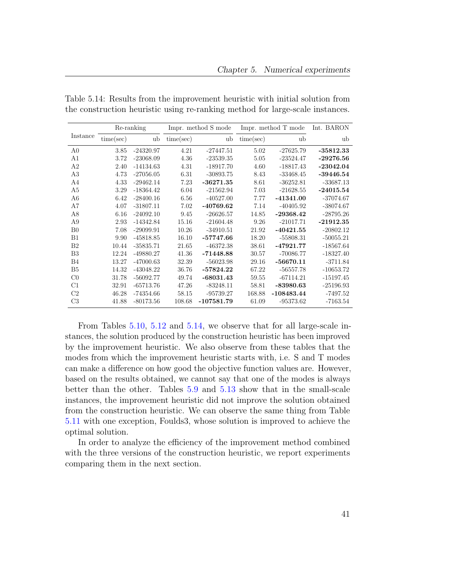|                |           | Re-ranking  |           | Impr. method S mode |           | Impr. method T mode | Int. BARON  |
|----------------|-----------|-------------|-----------|---------------------|-----------|---------------------|-------------|
| Instance       | time(sec) | ub          | time(sec) | ub                  | time(sec) | ub                  | ub          |
| A <sub>0</sub> | 3.85      | $-24320.97$ | 4.21      | $-27447.51$         | 5.02      | $-27625.79$         | $-35812.33$ |
| A1             | 3.72      | $-23068.09$ | 4.36      | $-23539.35$         | 5.05      | $-23524.47$         | $-29276.56$ |
| A <sub>2</sub> | 2.40      | $-14134.63$ | 4.31      | $-18917.70$         | 4.60      | $-18817.43$         | $-23042.04$ |
| A3             | 4.73      | $-27056.05$ | 6.31      | $-30893.75$         | 8.43      | $-33468.45$         | $-39446.54$ |
| A4             | 4.33      | $-29462.14$ | 7.23      | $-36271.35$         | 8.61      | $-36252.81$         | $-33687.13$ |
| A <sub>5</sub> | 3.29      | $-18364.42$ | 6.04      | $-21562.94$         | 7.03      | $-21628.55$         | $-24015.54$ |
| A6             | 6.42      | $-28400.16$ | 6.56      | $-40527.00$         | 7.77      | $-41341.00$         | $-37074.67$ |
| A7             | 4.07      | $-31807.11$ | 7.02      | -40769.62           | 7.14      | $-40405.92$         | $-38074.67$ |
| A8             | 6.16      | $-24092.10$ | 9.45      | $-26626.57$         | 14.85     | $-29368.42$         | $-28795.26$ |
| A9             | 2.93      | $-14342.84$ | 15.16     | $-21604.48$         | 9.26      | $-21017.71$         | $-21912.35$ |
| B <sub>0</sub> | 7.08      | $-29099.91$ | 10.26     | $-34910.51$         | 21.92     | $-40421.55$         | $-20802.12$ |
| B1             | 9.90      | $-45818.85$ | 16.10     | $-57747.66$         | 18.20     | $-55808.31$         | $-50055.21$ |
| B <sub>2</sub> | 10.44     | $-35835.71$ | 21.65     | $-46372.38$         | 38.61     | $-47921.77$         | $-18567.64$ |
| B <sub>3</sub> | 12.24     | -49880.27   | 41.36     | $-71448.88$         | 30.57     | $-70086.77$         | $-18327.40$ |
| <b>B4</b>      | 13.27     | $-47000.63$ | 32.39     | $-56023.98$         | 29.16     | $-56670.11$         | $-3711.84$  |
| B <sub>5</sub> | 14.32     | $-43048.22$ | 36.76     | $-57824.22$         | 67.22     | $-56557.78$         | $-10653.72$ |
| C <sub>0</sub> | 31.78     | $-56092.77$ | 49.74     | $-68031.43$         | 59.55     | $-67114.21$         | $-15197.45$ |
| C1             | 32.91     | $-65713.76$ | 47.26     | $-83248.11$         | 58.81     | $-83980.63$         | $-25196.93$ |
| C <sub>2</sub> | 46.28     | $-74354.66$ | 58.15     | $-95739.27$         | 168.88    | $-108483.44$        | $-7497.52$  |
| C <sub>3</sub> | 41.88     | $-80173.56$ | 108.68    | $-107581.79$        | 61.09     | $-95373.62$         | $-7163.54$  |

<span id="page-52-0"></span>Table 5.14: Results from the improvement heuristic with initial solution from the construction heuristic using re-ranking method for large-scale instances.

From Tables [5.10,](#page-50-0) [5.12](#page-51-0) and [5.14,](#page-52-0) we observe that for all large-scale instances, the solution produced by the construction heuristic has been improved by the improvement heuristic. We also observe from these tables that the modes from which the improvement heuristic starts with, i.e. S and T modes can make a difference on how good the objective function values are. However, based on the results obtained, we cannot say that one of the modes is always better than the other. Tables [5.9](#page-49-0) and [5.13](#page-51-1) show that in the small-scale instances, the improvement heuristic did not improve the solution obtained from the construction heuristic. We can observe the same thing from Table [5.11](#page-50-1) with one exception, Foulds3, whose solution is improved to achieve the optimal solution.

In order to analyze the efficiency of the improvement method combined with the three versions of the construction heuristic, we report experiments comparing them in the next section.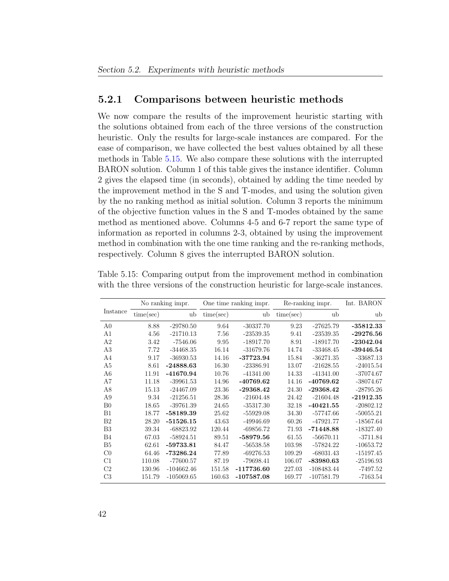#### <span id="page-53-0"></span>5.2.1 Comparisons between heuristic methods

We now compare the results of the improvement heuristic starting with the solutions obtained from each of the three versions of the construction heuristic. Only the results for large-scale instances are compared. For the ease of comparison, we have collected the best values obtained by all these methods in Table [5.15.](#page-53-1) We also compare these solutions with the interrupted BARON solution. Column 1 of this table gives the instance identifier. Column 2 gives the elapsed time (in seconds), obtained by adding the time needed by the improvement method in the S and T-modes, and using the solution given by the no ranking method as initial solution. Column 3 reports the minimum of the objective function values in the S and T-modes obtained by the same method as mentioned above. Columns 4-5 and 6-7 report the same type of information as reported in columns 2-3, obtained by using the improvement method in combination with the one time ranking and the re-ranking methods, respectively. Column 8 gives the interrupted BARON solution.

|                |           | No ranking impr. |           | One time ranking impr. |           | Re-ranking impr. | Int. BARON  |
|----------------|-----------|------------------|-----------|------------------------|-----------|------------------|-------------|
| Instance       | time(sec) | ub               | time(sec) | ub                     | time(sec) | ub               | ub          |
| A <sub>0</sub> | 8.88      | $-29780.50$      | 9.64      | $-30337.70$            | 9.23      | $-27625.79$      | $-35812.33$ |
| A1             | 4.56      | $-21710.13$      | 7.56      | $-23539.35$            | 9.41      | $-23539.35$      | $-29276.56$ |
| A2             | 3.42      | $-7546.06$       | 9.95      | $-18917.70$            | 8.91      | $-18917.70$      | $-23042.04$ |
| A3             | 7.72      | $-34468.35$      | 16.14     | $-31679.76$            | 14.74     | $-33468.45$      | $-39446.54$ |
| A4             | 9.17      | $-36930.53$      | 14.16     | $-37723.94$            | 15.84     | $-36271.35$      | $-33687.13$ |
| A <sub>5</sub> | 8.61      | $-24888.63$      | 16.30     | $-23386.91$            | 13.07     | $-21628.55$      | $-24015.54$ |
| A <sub>6</sub> | 11.91     | -41670.94        | 10.76     | $-41341.00$            | 14.33     | $-41341.00$      | $-37074.67$ |
| A7             | 11.18     | $-39961.53$      | 14.96     | -40769.62              | 14.16     | -40769.62        | $-38074.67$ |
| A8             | 15.13     | $-24467.09$      | 23.36     | $-29368.42$            | 24.30     | $-29368.42$      | $-28795.26$ |
| A9             | 9.34      | $-21256.51$      | 28.36     | $-21604.48$            | 24.42     | $-21604.48$      | $-21912.35$ |
| B <sub>0</sub> | 18.65     | $-39761.39$      | 24.65     | $-35317.30$            | 32.18     | $-40421.55$      | $-20802.12$ |
| B1             | 18.77     | $-58189.39$      | 25.62     | $-55929.08$            | 34.30     | $-57747.66$      | $-50055.21$ |
| B2             | 28.20     | $-51526.15$      | 43.63     | $-49946.69$            | 60.26     | $-47921.77$      | $-18567.64$ |
| B <sub>3</sub> | 39.34     | $-68823.92$      | 120.44    | $-69856.72$            | 71.93     | $-71448.88$      | $-18327.40$ |
| B4             | 67.03     | $-58924.51$      | 89.51     | $-58979.56$            | 61.55     | $-56670.11$      | $-3711.84$  |
| B <sub>5</sub> | 62.61     | $-59733.81$      | 84.47     | $-56538.58$            | 103.98    | $-57824.22$      | $-10653.72$ |
| $_{\rm C0}$    | 64.46     | $-73286.24$      | 77.89     | $-69276.53$            | 109.29    | $-68031.43$      | $-15197.45$ |
| C1             | 110.08    | $-77600.57$      | 87.19     | $-79698.41$            | 106.07    | $-83980.63$      | $-25196.93$ |
| C <sub>2</sub> | 130.96    | $-104662.46$     | 151.58    | $-117736.60$           | 227.03    | $-108483.44$     | $-7497.52$  |
| C <sub>3</sub> | 151.79    | $-105069.65$     | 160.63    | $-107587.08$           | 169.77    | $-107581.79$     | $-7163.54$  |

<span id="page-53-1"></span>Table 5.15: Comparing output from the improvement method in combination with the three versions of the construction heuristic for large-scale instances.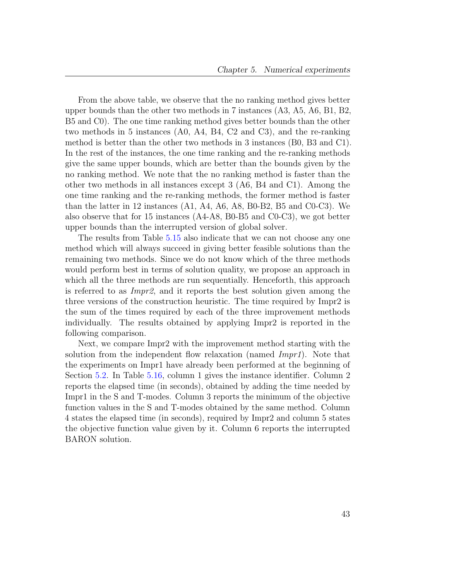From the above table, we observe that the no ranking method gives better upper bounds than the other two methods in 7 instances (A3, A5, A6, B1, B2, B5 and C0). The one time ranking method gives better bounds than the other two methods in 5 instances (A0, A4, B4, C2 and C3), and the re-ranking method is better than the other two methods in 3 instances (B0, B3 and C1). In the rest of the instances, the one time ranking and the re-ranking methods give the same upper bounds, which are better than the bounds given by the no ranking method. We note that the no ranking method is faster than the other two methods in all instances except 3 (A6, B4 and C1). Among the one time ranking and the re-ranking methods, the former method is faster than the latter in 12 instances (A1, A4, A6, A8, B0-B2, B5 and C0-C3). We also observe that for 15 instances (A4-A8, B0-B5 and C0-C3), we got better upper bounds than the interrupted version of global solver.

The results from Table [5.15](#page-53-1) also indicate that we can not choose any one method which will always succeed in giving better feasible solutions than the remaining two methods. Since we do not know which of the three methods would perform best in terms of solution quality, we propose an approach in which all the three methods are run sequentially. Henceforth, this approach is referred to as Impr2, and it reports the best solution given among the three versions of the construction heuristic. The time required by Impr2 is the sum of the times required by each of the three improvement methods individually. The results obtained by applying Impr2 is reported in the following comparison.

Next, we compare Impr2 with the improvement method starting with the solution from the independent flow relaxation (named *Impr1*). Note that the experiments on Impr1 have already been performed at the beginning of Section [5.2.](#page-42-0) In Table [5.16,](#page-55-1) column 1 gives the instance identifier. Column 2 reports the elapsed time (in seconds), obtained by adding the time needed by Impr1 in the S and T-modes. Column 3 reports the minimum of the objective function values in the S and T-modes obtained by the same method. Column 4 states the elapsed time (in seconds), required by Impr2 and column 5 states the objective function value given by it. Column 6 reports the interrupted BARON solution.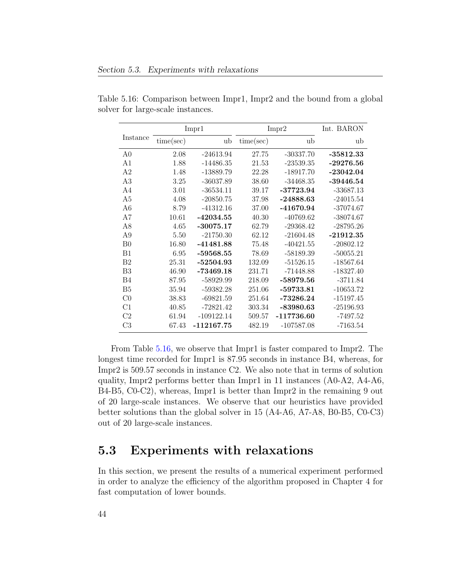|                |           | Impr1        |           | Impr2        | Int. BARON  |
|----------------|-----------|--------------|-----------|--------------|-------------|
| Instance       | time(sec) | ub           | time(sec) | ub           | ub          |
| A <sub>0</sub> | 2.08      | $-24613.94$  | 27.75     | $-30337.70$  | $-35812.33$ |
| A1             | 1.88      | $-14486.35$  | 21.53     | $-23539.35$  | $-29276.56$ |
| A <sub>2</sub> | 1.48      | $-13889.79$  | 22.28     | $-18917.70$  | $-23042.04$ |
| A3             | 3.25      | $-36037.89$  | 38.60     | $-34468.35$  | $-39446.54$ |
| A4             | 3.01      | $-36534.11$  | 39.17     | $-37723.94$  | $-33687.13$ |
| A5             | 4.08      | $-20850.75$  | 37.98     | $-24888.63$  | $-24015.54$ |
| A6             | 8.79      | $-41312.16$  | 37.00     | -41670.94    | $-37074.67$ |
| A7             | 10.61     | $-42034.55$  | 40.30     | $-40769.62$  | $-38074.67$ |
| A8             | 4.65      | $-30075.17$  | 62.79     | $-29368.42$  | $-28795.26$ |
| A9             | 5.50      | $-21750.30$  | 62.12     | $-21604.48$  | $-21912.35$ |
| B <sub>0</sub> | 16.80     | $-41481.88$  | 75.48     | $-40421.55$  | $-20802.12$ |
| B1             | 6.95      | $-59568.55$  | 78.69     | $-58189.39$  | $-50055.21$ |
| B <sub>2</sub> | 25.31     | $-52504.93$  | 132.09    | $-51526.15$  | $-18567.64$ |
| B3             | 46.90     | $-73469.18$  | 231.71    | $-71448.88$  | $-18327.40$ |
| B4             | 87.95     | $-58929.99$  | 218.09    | -58979.56    | $-3711.84$  |
| B <sub>5</sub> | 35.94     | $-59382.28$  | 251.06    | $-59733.81$  | $-10653.72$ |
| $_{\rm C0}$    | 38.83     | $-69821.59$  | 251.64    | $-73286.24$  | $-15197.45$ |
| C1             | 40.85     | $-72821.42$  | 303.34    | $-83980.63$  | $-25196.93$ |
| C2             | 61.94     | $-109122.14$ | 509.57    | $-117736.60$ | $-7497.52$  |
| C3             | 67.43     | $-112167.75$ | 482.19    | $-107587.08$ | $-7163.54$  |

<span id="page-55-1"></span>Table 5.16: Comparison between Impr1, Impr2 and the bound from a global solver for large-scale instances.

From Table [5.16,](#page-55-1) we observe that Impr1 is faster compared to Impr2. The longest time recorded for Impr1 is 87.95 seconds in instance B4, whereas, for Impr2 is 509.57 seconds in instance C2. We also note that in terms of solution quality, Impr2 performs better than Impr1 in 11 instances (A0-A2, A4-A6, B4-B5, C0-C2), whereas, Impr1 is better than Impr2 in the remaining 9 out of 20 large-scale instances. We observe that our heuristics have provided better solutions than the global solver in 15 (A4-A6, A7-A8, B0-B5, C0-C3) out of 20 large-scale instances.

### <span id="page-55-0"></span>5.3 Experiments with relaxations

In this section, we present the results of a numerical experiment performed in order to analyze the efficiency of the algorithm proposed in Chapter 4 for fast computation of lower bounds.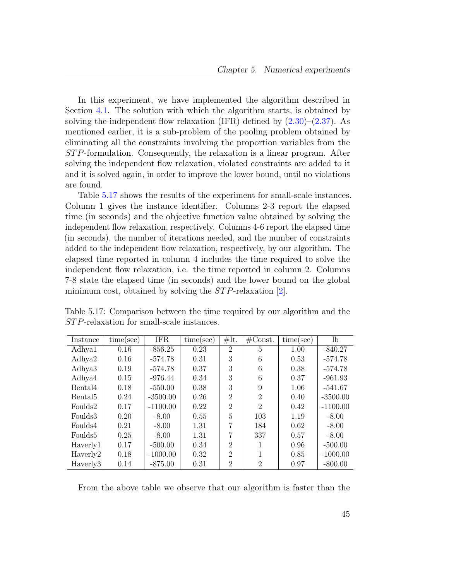In this experiment, we have implemented the algorithm described in Section [4.1.](#page-38-1) The solution with which the algorithm starts, is obtained by solving the independent flow relaxation (IFR) defined by  $(2.30)$ – $(2.37)$ . As mentioned earlier, it is a sub-problem of the pooling problem obtained by eliminating all the constraints involving the proportion variables from the ST P-formulation. Consequently, the relaxation is a linear program. After solving the independent flow relaxation, violated constraints are added to it and it is solved again, in order to improve the lower bound, until no violations are found.

Table [5.17](#page-56-0) shows the results of the experiment for small-scale instances. Column 1 gives the instance identifier. Columns 2-3 report the elapsed time (in seconds) and the objective function value obtained by solving the independent flow relaxation, respectively. Columns 4-6 report the elapsed time (in seconds), the number of iterations needed, and the number of constraints added to the independent flow relaxation, respectively, by our algorithm. The elapsed time reported in column 4 includes the time required to solve the independent flow relaxation, i.e. the time reported in column 2. Columns 7-8 state the elapsed time (in seconds) and the lower bound on the global minimum cost, obtained by solving the  $STP$ -relaxation [\[2\]](#page-64-3).

| Instance            | time(sec) | <b>IFR</b> | time(sec) | #It.                        | $\#\text{Const.}$ | time(sec) | lb         |
|---------------------|-----------|------------|-----------|-----------------------------|-------------------|-----------|------------|
| Adhya1              | 0.16      | $-856.25$  | 0.23      | $\overline{2}$              | 5                 | 1.00      | $-840.27$  |
| Adhya2              | 0.16      | $-574.78$  | 0.31      | 3                           | 6                 | 0.53      | $-574.78$  |
| Adhya3              | 0.19      | $-574.78$  | 0.37      | 3                           | 6                 | 0.38      | $-574.78$  |
| Adhya4              | 0.15      | $-976.44$  | 0.34      | 3                           | 6                 | 0.37      | $-961.93$  |
| Bental4             | 0.18      | $-550.00$  | 0.38      | 3                           | 9                 | 1.06      | $-541.67$  |
| Bental <sub>5</sub> | 0.24      | $-3500.00$ | 0.26      | $\mathcal{D}$               | $\overline{2}$    | 0.40      | $-3500.00$ |
| Foulds2             | 0.17      | $-1100.00$ | 0.22      | $\mathcal{D}$               | $\overline{2}$    | 0.42      | $-1100.00$ |
| Foulds3             | 0.20      | $-8.00$    | 0.55      | 5                           | 103               | 1.19      | $-8.00$    |
| Foulds4             | 0.21      | $-8.00$    | 1.31      | 7                           | 184               | 0.62      | $-8.00$    |
| Foulds <sub>5</sub> | 0.25      | $-8.00$    | 1.31      | 7                           | 337               | 0.57      | $-8.00$    |
| Haverly1            | 0.17      | $-500.00$  | 0.34      | $\mathcal{D}_{\mathcal{L}}$ | 1                 | 0.96      | $-500.00$  |
| Haverly2            | 0.18      | $-1000.00$ | 0.32      | $\mathcal{D}$               |                   | 0.85      | $-1000.00$ |
| Haverly3            | 0.14      | $-875.00$  | 0.31      | $\overline{2}$              | $\overline{2}$    | 0.97      | $-800.00$  |

<span id="page-56-0"></span>Table 5.17: Comparison between the time required by our algorithm and the ST P-relaxation for small-scale instances.

From the above table we observe that our algorithm is faster than the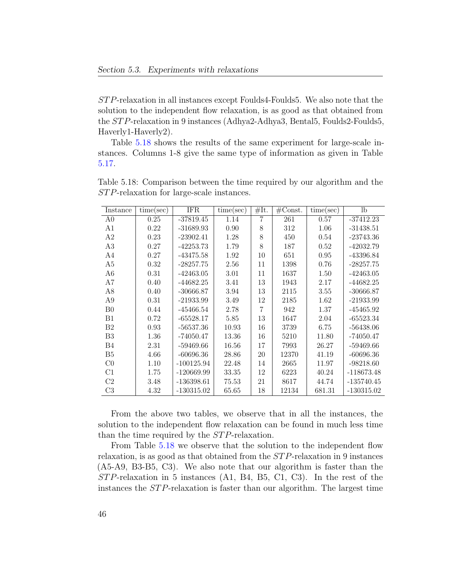ST P-relaxation in all instances except Foulds4-Foulds5. We also note that the solution to the independent flow relaxation, is as good as that obtained from the ST P-relaxation in 9 instances (Adhya2-Adhya3, Bental5, Foulds2-Foulds5, Haverly1-Haverly2).

Table [5.18](#page-57-0) shows the results of the same experiment for large-scale instances. Columns 1-8 give the same type of information as given in Table [5.17.](#page-56-0)

<span id="page-57-0"></span>Table 5.18: Comparison between the time required by our algorithm and the ST P-relaxation for large-scale instances.

| Instance       | time(sec) | <b>IFR</b>   | time(sec) | #It. | $\#\text{Const.}$ | time(sec) | $_{\rm lb}$  |
|----------------|-----------|--------------|-----------|------|-------------------|-----------|--------------|
| A <sub>0</sub> | 0.25      | $-37819.45$  | 1.14      | 7    | 261               | 0.57      | $-37412.23$  |
| A1             | 0.22      | $-31689.93$  | 0.90      | 8    | 312               | 1.06      | $-31438.51$  |
| A2             | 0.23      | $-23902.41$  | 1.28      | 8    | 450               | 0.54      | $-23743.36$  |
| A3             | 0.27      | $-42253.73$  | 1.79      | 8    | 187               | 0.52      | $-42032.79$  |
| A4             | 0.27      | $-43475.58$  | 1.92      | 10   | 651               | 0.95      | $-43396.84$  |
| A5             | 0.32      | $-28257.75$  | 2.56      | 11   | 1398              | 0.76      | $-28257.75$  |
| A6             | 0.31      | $-42463.05$  | 3.01      | 11   | 1637              | 1.50      | $-42463.05$  |
| A7             | 0.40      | -44682.25    | 3.41      | 13   | 1943              | 2.17      | $-44682.25$  |
| A8             | 0.40      | $-30666.87$  | 3.94      | 13   | 2115              | 3.55      | $-30666.87$  |
| A9             | 0.31      | $-21933.99$  | 3.49      | 12   | 2185              | 1.62      | $-21933.99$  |
| B <sub>0</sub> | 0.44      | $-45466.54$  | 2.78      | 7    | 942               | 1.37      | $-45465.92$  |
| B1             | 0.72      | $-65528.17$  | 5.85      | 13   | 1647              | 2.04      | $-65523.34$  |
| B <sub>2</sub> | 0.93      | $-56537.36$  | 10.93     | 16   | 3739              | 6.75      | $-56438.06$  |
| B <sub>3</sub> | 1.36      | $-74050.47$  | 13.36     | 16   | 5210              | 11.80     | $-74050.47$  |
| B4             | 2.31      | $-59469.66$  | 16.56     | 17   | 7993              | 26.27     | $-59469.66$  |
| B <sub>5</sub> | 4.66      | $-60696.36$  | 28.86     | 20   | 12370             | 41.19     | $-60696.36$  |
| C <sub>0</sub> | 1.10      | $-100125.94$ | 22.48     | 14   | 2665              | 11.97     | $-98218.60$  |
| C1             | 1.75      | $-120669.99$ | 33.35     | 12   | 6223              | 40.24     | $-118673.48$ |
| C <sub>2</sub> | 3.48      | $-136398.61$ | 75.53     | 21   | 8617              | 44.74     | $-135740.45$ |
| C3             | 4.32      | $-130315.02$ | 65.65     | 18   | 12134             | 681.31    | $-130315.02$ |

From the above two tables, we observe that in all the instances, the solution to the independent flow relaxation can be found in much less time than the time required by the *STP*-relaxation.

From Table [5.18](#page-57-0) we observe that the solution to the independent flow relaxation, is as good as that obtained from the ST P-relaxation in 9 instances (A5-A9, B3-B5, C3). We also note that our algorithm is faster than the  $STP$ -relaxation in 5 instances (A1, B4, B5, C1, C3). In the rest of the instances the ST P-relaxation is faster than our algorithm. The largest time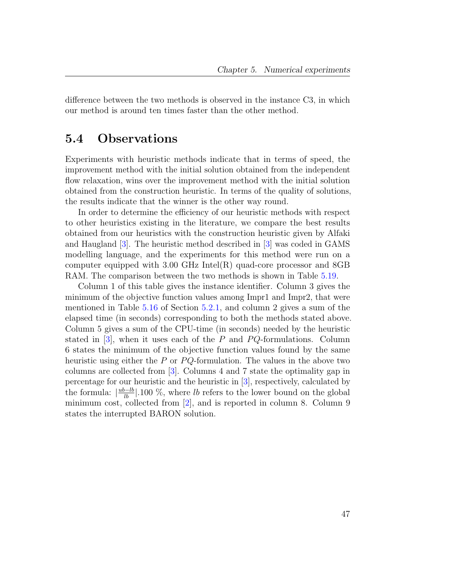difference between the two methods is observed in the instance C3, in which our method is around ten times faster than the other method.

### <span id="page-58-0"></span>5.4 Observations

Experiments with heuristic methods indicate that in terms of speed, the improvement method with the initial solution obtained from the independent flow relaxation, wins over the improvement method with the initial solution obtained from the construction heuristic. In terms of the quality of solutions, the results indicate that the winner is the other way round.

In order to determine the efficiency of our heuristic methods with respect to other heuristics existing in the literature, we compare the best results obtained from our heuristics with the construction heuristic given by Alfaki and Haugland [\[3\]](#page-64-1). The heuristic method described in [\[3\]](#page-64-1) was coded in GAMS modelling language, and the experiments for this method were run on a computer equipped with 3.00 GHz Intel(R) quad-core processor and 8GB RAM. The comparison between the two methods is shown in Table [5.19.](#page-59-0)

Column 1 of this table gives the instance identifier. Column 3 gives the minimum of the objective function values among Impr1 and Impr2, that were mentioned in Table [5.16](#page-55-1) of Section [5.2.1,](#page-53-0) and column 2 gives a sum of the elapsed time (in seconds) corresponding to both the methods stated above. Column 5 gives a sum of the CPU-time (in seconds) needed by the heuristic stated in  $[3]$ , when it uses each of the P and PQ-formulations. Column 6 states the minimum of the objective function values found by the same heuristic using either the  $P$  or  $PQ$ -formulation. The values in the above two columns are collected from [\[3\]](#page-64-1). Columns 4 and 7 state the optimality gap in percentage for our heuristic and the heuristic in [\[3\]](#page-64-1), respectively, calculated by the formula:  $\left|\frac{ub-lb}{lb}\right|$ .100 %, where lb refers to the lower bound on the global minimum cost, collected from [\[2\]](#page-64-3), and is reported in column 8. Column 9 states the interrupted BARON solution.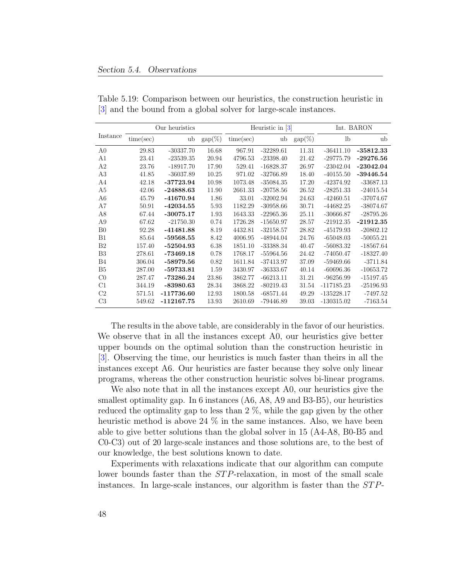|                |           | Our heuristics |                  | Heuristic in $\lceil 3 \rceil$ | Int. BARON  |                  |              |             |
|----------------|-----------|----------------|------------------|--------------------------------|-------------|------------------|--------------|-------------|
| Instance       | time(sec) | ub             | $\text{gap}(\%)$ | time(sec)                      | ub          | $\text{gap}(\%)$ | $_{\rm lb}$  | ub          |
| A <sub>0</sub> | 29.83     | $-30337.70$    | 16.68            | 967.91                         | $-32289.61$ | 11.31            | $-36411.10$  | $-35812.33$ |
| A1             | 23.41     | $-23539.35$    | 20.94            | 4796.53                        | $-23398.40$ | 21.42            | $-29775.79$  | $-29276.56$ |
| A <sub>2</sub> | 23.76     | $-18917.70$    | 17.90            | 529.41                         | $-16828.37$ | 26.97            | $-23042.04$  | $-23042.04$ |
| A3             | 41.85     | $-36037.89$    | 10.25            | 971.02                         | $-32766.89$ | 18.40            | $-40155.50$  | $-39446.54$ |
| A4             | 42.18     | $-37723.94$    | 10.98            | 1073.48                        | $-35084.35$ | 17.20            | -42374.92    | $-33687.13$ |
| A <sub>5</sub> | 42.06     | $-24888.63$    | 11.90            | 2661.33                        | $-20758.56$ | 26.52            | $-28251.33$  | $-24015.54$ |
| A <sub>6</sub> | 45.79     | -41670.94      | 1.86             | 33.01                          | $-32002.94$ | 24.63            | $-42460.51$  | $-37074.67$ |
| A7             | 50.91     | $-42034.55$    | 5.93             | 1182.29                        | $-30958.66$ | 30.71            | $-44682.25$  | $-38074.67$ |
| A <sub>8</sub> | 67.44     | $-30075.17$    | 1.93             | 1643.33                        | $-22965.36$ | 25.11            | $-30666.87$  | $-28795.26$ |
| A <sub>9</sub> | 67.62     | $-21750.30$    | 0.74             | 1726.28                        | $-15650.97$ | 28.57            | $-21912.35$  | $-21912.35$ |
| B <sub>0</sub> | 92.28     | $-41481.88$    | 8.19             | 4432.81                        | $-32158.57$ | 28.82            | $-45179.93$  | $-20802.12$ |
| B1             | 85.64     | $-59568.55$    | 8.42             | 4006.95                        | -48944.04   | 24.76            | $-65048.03$  | $-50055.21$ |
| B <sub>2</sub> | 157.40    | $-52504.93$    | 6.38             | 1851.10                        | $-33388.34$ | 40.47            | $-56083.32$  | $-18567.64$ |
| B <sub>3</sub> | 278.61    | $-73469.18$    | 0.78             | 1768.17                        | $-55964.56$ | 24.42            | $-74050.47$  | $-18327.40$ |
| <b>B4</b>      | 306.04    | $-58979.56$    | 0.82             | 1611.84                        | $-37413.97$ | 37.09            | $-59469.66$  | $-3711.84$  |
| B <sub>5</sub> | 287.00    | $-59733.81$    | 1.59             | 3430.97                        | $-36333.67$ | 40.14            | $-60696.36$  | $-10653.72$ |
| $_{\rm C0}$    | 287.47    | $-73286.24$    | 23.86            | 3862.77                        | $-66213.11$ | 31.21            | $-96256.99$  | $-15197.45$ |
| C1             | 344.19    | $-83980.63$    | 28.34            | 3868.22                        | $-80219.43$ | 31.54            | $-117185.23$ | $-25196.93$ |
| C <sub>2</sub> | 571.51    | $-117736.60$   | 12.93            | 1800.58                        | $-68571.44$ | 49.29            | $-135228.17$ | $-7497.52$  |
| C <sub>3</sub> | 549.62    | $-112167.75$   | 13.93            | 2610.69                        | $-79446.89$ | 39.03            | $-130315.02$ | $-7163.54$  |

<span id="page-59-0"></span>Table 5.19: Comparison between our heuristics, the construction heuristic in [\[3\]](#page-64-1) and the bound from a global solver for large-scale instances.

The results in the above table, are considerably in the favor of our heuristics. We observe that in all the instances except A0, our heuristics give better upper bounds on the optimal solution than the construction heuristic in [\[3\]](#page-64-1). Observing the time, our heuristics is much faster than theirs in all the instances except A6. Our heuristics are faster because they solve only linear programs, whereas the other construction heuristic solves bi-linear programs.

We also note that in all the instances except A0, our heuristics give the smallest optimality gap. In 6 instances (A6, A8, A9 and B3-B5), our heuristics reduced the optimality gap to less than 2 %, while the gap given by the other heuristic method is above 24  $\%$  in the same instances. Also, we have been able to give better solutions than the global solver in 15 (A4-A8, B0-B5 and C0-C3) out of 20 large-scale instances and those solutions are, to the best of our knowledge, the best solutions known to date.

Experiments with relaxations indicate that our algorithm can compute lower bounds faster than the *STP*-relaxation, in most of the small scale instances. In large-scale instances, our algorithm is faster than the  $STP$ -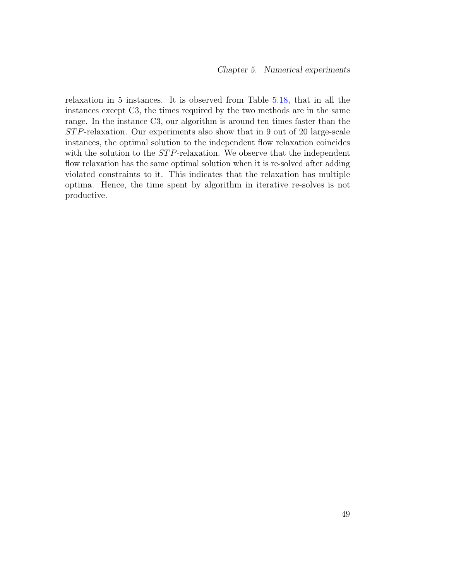relaxation in 5 instances. It is observed from Table [5.18,](#page-57-0) that in all the instances except C3, the times required by the two methods are in the same range. In the instance C3, our algorithm is around ten times faster than the ST P-relaxation. Our experiments also show that in 9 out of 20 large-scale instances, the optimal solution to the independent flow relaxation coincides with the solution to the STP-relaxation. We observe that the independent flow relaxation has the same optimal solution when it is re-solved after adding violated constraints to it. This indicates that the relaxation has multiple optima. Hence, the time spent by algorithm in iterative re-solves is not productive.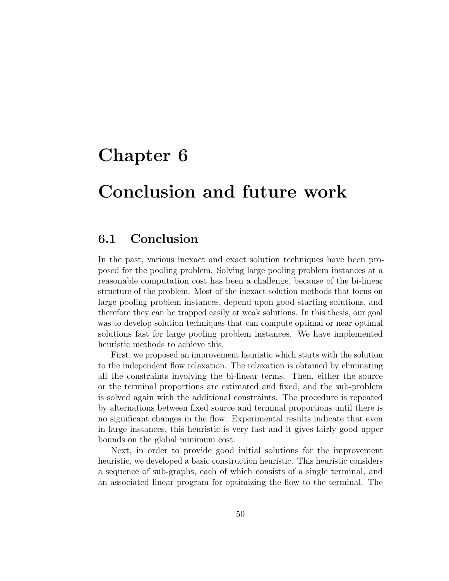### <span id="page-61-0"></span>Chapter 6

### Conclusion and future work

### <span id="page-61-1"></span>6.1 Conclusion

In the past, various inexact and exact solution techniques have been proposed for the pooling problem. Solving large pooling problem instances at a reasonable computation cost has been a challenge, because of the bi-linear structure of the problem. Most of the inexact solution methods that focus on large pooling problem instances, depend upon good starting solutions, and therefore they can be trapped easily at weak solutions. In this thesis, our goal was to develop solution techniques that can compute optimal or near optimal solutions fast for large pooling problem instances. We have implemented heuristic methods to achieve this.

First, we proposed an improvement heuristic which starts with the solution to the independent flow relaxation. The relaxation is obtained by eliminating all the constraints involving the bi-linear terms. Then, either the source or the terminal proportions are estimated and fixed, and the sub-problem is solved again with the additional constraints. The procedure is repeated by alternations between fixed source and terminal proportions until there is no significant changes in the flow. Experimental results indicate that even in large instances, this heuristic is very fast and it gives fairly good upper bounds on the global minimum cost.

Next, in order to provide good initial solutions for the improvement heuristic, we developed a basic construction heuristic. This heuristic considers a sequence of sub-graphs, each of which consists of a single terminal, and an associated linear program for optimizing the flow to the terminal. The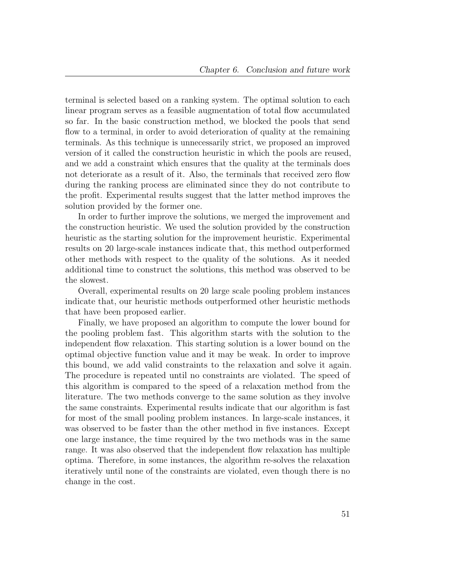terminal is selected based on a ranking system. The optimal solution to each linear program serves as a feasible augmentation of total flow accumulated so far. In the basic construction method, we blocked the pools that send flow to a terminal, in order to avoid deterioration of quality at the remaining terminals. As this technique is unnecessarily strict, we proposed an improved version of it called the construction heuristic in which the pools are reused, and we add a constraint which ensures that the quality at the terminals does not deteriorate as a result of it. Also, the terminals that received zero flow during the ranking process are eliminated since they do not contribute to the profit. Experimental results suggest that the latter method improves the solution provided by the former one.

In order to further improve the solutions, we merged the improvement and the construction heuristic. We used the solution provided by the construction heuristic as the starting solution for the improvement heuristic. Experimental results on 20 large-scale instances indicate that, this method outperformed other methods with respect to the quality of the solutions. As it needed additional time to construct the solutions, this method was observed to be the slowest.

Overall, experimental results on 20 large scale pooling problem instances indicate that, our heuristic methods outperformed other heuristic methods that have been proposed earlier.

Finally, we have proposed an algorithm to compute the lower bound for the pooling problem fast. This algorithm starts with the solution to the independent flow relaxation. This starting solution is a lower bound on the optimal objective function value and it may be weak. In order to improve this bound, we add valid constraints to the relaxation and solve it again. The procedure is repeated until no constraints are violated. The speed of this algorithm is compared to the speed of a relaxation method from the literature. The two methods converge to the same solution as they involve the same constraints. Experimental results indicate that our algorithm is fast for most of the small pooling problem instances. In large-scale instances, it was observed to be faster than the other method in five instances. Except one large instance, the time required by the two methods was in the same range. It was also observed that the independent flow relaxation has multiple optima. Therefore, in some instances, the algorithm re-solves the relaxation iteratively until none of the constraints are violated, even though there is no change in the cost.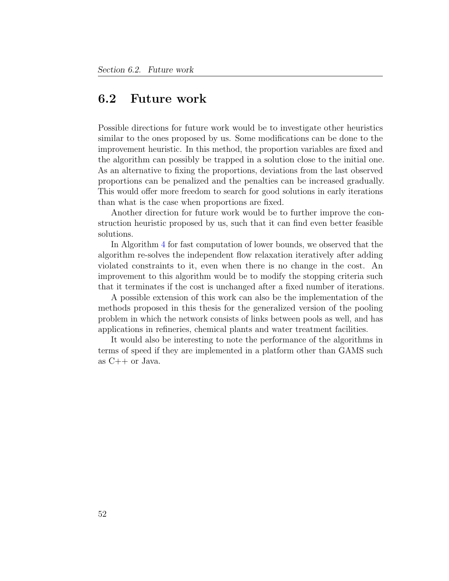### <span id="page-63-0"></span>6.2 Future work

Possible directions for future work would be to investigate other heuristics similar to the ones proposed by us. Some modifications can be done to the improvement heuristic. In this method, the proportion variables are fixed and the algorithm can possibly be trapped in a solution close to the initial one. As an alternative to fixing the proportions, deviations from the last observed proportions can be penalized and the penalties can be increased gradually. This would offer more freedom to search for good solutions in early iterations than what is the case when proportions are fixed.

Another direction for future work would be to further improve the construction heuristic proposed by us, such that it can find even better feasible solutions.

In Algorithm [4](#page-39-0) for fast computation of lower bounds, we observed that the algorithm re-solves the independent flow relaxation iteratively after adding violated constraints to it, even when there is no change in the cost. An improvement to this algorithm would be to modify the stopping criteria such that it terminates if the cost is unchanged after a fixed number of iterations.

A possible extension of this work can also be the implementation of the methods proposed in this thesis for the generalized version of the pooling problem in which the network consists of links between pools as well, and has applications in refineries, chemical plants and water treatment facilities.

It would also be interesting to note the performance of the algorithms in terms of speed if they are implemented in a platform other than GAMS such as C++ or Java.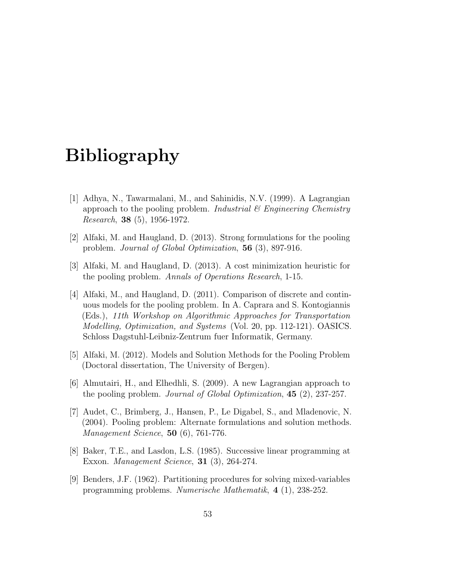### <span id="page-64-0"></span>Bibliography

- <span id="page-64-7"></span>[1] Adhya, N., Tawarmalani, M., and Sahinidis, N.V. (1999). A Lagrangian approach to the pooling problem. Industrial  $\mathcal C$  Engineering Chemistry Research, 38 (5), 1956-1972.
- <span id="page-64-3"></span>[2] Alfaki, M. and Haugland, D. (2013). Strong formulations for the pooling problem. Journal of Global Optimization, 56 (3), 897-916.
- <span id="page-64-1"></span>[3] Alfaki, M. and Haugland, D. (2013). A cost minimization heuristic for the pooling problem. Annals of Operations Research, 1-15.
- <span id="page-64-6"></span>[4] Alfaki, M., and Haugland, D. (2011). Comparison of discrete and continuous models for the pooling problem. In A. Caprara and S. Kontogiannis (Eds.), 11th Workshop on Algorithmic Approaches for Transportation Modelling, Optimization, and Systems (Vol. 20, pp. 112-121). OASICS. Schloss Dagstuhl-Leibniz-Zentrum fuer Informatik, Germany.
- <span id="page-64-9"></span>[5] Alfaki, M. (2012). Models and Solution Methods for the Pooling Problem (Doctoral dissertation, The University of Bergen).
- <span id="page-64-8"></span>[6] Almutairi, H., and Elhedhli, S. (2009). A new Lagrangian approach to the pooling problem. Journal of Global Optimization, 45 (2), 237-257.
- <span id="page-64-2"></span>[7] Audet, C., Brimberg, J., Hansen, P., Le Digabel, S., and Mladenovic, N. (2004). Pooling problem: Alternate formulations and solution methods. Management Science, 50 (6), 761-776.
- <span id="page-64-4"></span>[8] Baker, T.E., and Lasdon, L.S. (1985). Successive linear programming at Exxon. Management Science, 31 (3), 264-274.
- <span id="page-64-5"></span>[9] Benders, J.F. (1962). Partitioning procedures for solving mixed-variables programming problems. Numerische Mathematik, 4 (1), 238-252.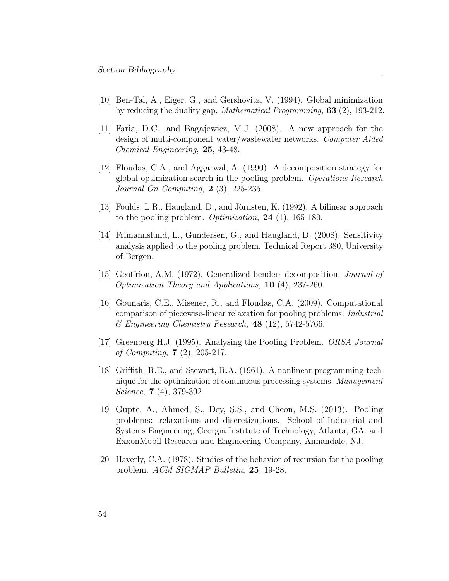- <span id="page-65-8"></span>[10] Ben-Tal, A., Eiger, G., and Gershovitz, V. (1994). Global minimization by reducing the duality gap. Mathematical Programming, 63 (2), 193-212.
- <span id="page-65-5"></span>[11] Faria, D.C., and Bagajewicz, M.J. (2008). A new approach for the design of multi-component water/wastewater networks. Computer Aided Chemical Engineering, 25, 43-48.
- <span id="page-65-4"></span>[12] Floudas, C.A., and Aggarwal, A. (1990). A decomposition strategy for global optimization search in the pooling problem. Operations Research Journal On Computing, 2 (3), 225-235.
- <span id="page-65-9"></span>[13] Foulds, L.R., Haugland, D., and Jörnsten, K. (1992). A bilinear approach to the pooling problem. Optimization, 24 (1), 165-180.
- <span id="page-65-7"></span>[14] Frimannslund, L., Gundersen, G., and Haugland, D. (2008). Sensitivity analysis applied to the pooling problem. Technical Report 380, University of Bergen.
- <span id="page-65-3"></span>[15] Geoffrion, A.M. (1972). Generalized benders decomposition. Journal of Optimization Theory and Applications, 10 (4), 237-260.
- <span id="page-65-10"></span>[16] Gounaris, C.E., Misener, R., and Floudas, C.A. (2009). Computational comparison of piecewise-linear relaxation for pooling problems. Industrial  $\mathscr$ *Engineering Chemistry Research*, **48** (12), 5742-5766.
- <span id="page-65-2"></span>[17] Greenberg H.J. (1995). Analysing the Pooling Problem. ORSA Journal of Computing, 7 (2), 205-217.
- <span id="page-65-1"></span>[18] Griffith, R.E., and Stewart, R.A. (1961). A nonlinear programming technique for the optimization of continuous processing systems. Management Science, **7** (4), 379-392.
- <span id="page-65-6"></span>[19] Gupte, A., Ahmed, S., Dey, S.S., and Cheon, M.S. (2013). Pooling problems: relaxations and discretizations. School of Industrial and Systems Engineering, Georgia Institute of Technology, Atlanta, GA. and ExxonMobil Research and Engineering Company, Annandale, NJ.
- <span id="page-65-0"></span>[20] Haverly, C.A. (1978). Studies of the behavior of recursion for the pooling problem. ACM SIGMAP Bulletin, 25, 19-28.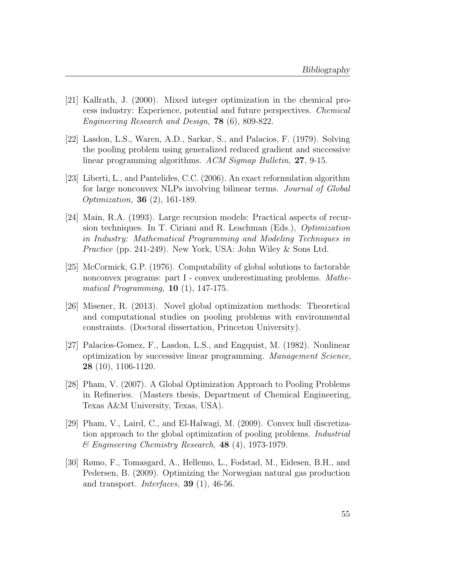- <span id="page-66-0"></span>[21] Kallrath, J. (2000). Mixed integer optimization in the chemical process industry: Experience, potential and future perspectives. Chemical Engineering Research and Design, 78 (6), 809-822.
- <span id="page-66-2"></span>[22] Lasdon, L.S., Waren, A.D., Sarkar, S., and Palacios, F. (1979). Solving the pooling problem using generalized reduced gradient and successive linear programming algorithms. ACM Sigmap Bulletin, 27, 9-15.
- <span id="page-66-8"></span>[23] Liberti, L., and Pantelides, C.C. (2006). An exact reformulation algorithm for large nonconvex NLPs involving bilinear terms. Journal of Global Optimization, 36 (2), 161-189.
- <span id="page-66-1"></span>[24] Main, R.A. (1993). Large recursion models: Practical aspects of recursion techniques. In T. Ciriani and R. Leachman (Eds.), Optimization in Industry: Mathematical Programming and Modeling Techniques in Practice (pp. 241-249). New York, USA: John Wiley & Sons Ltd.
- <span id="page-66-7"></span>[25] McCormick, G.P. (1976). Computability of global solutions to factorable nonconvex programs: part I - convex underestimating problems. Mathematical Programming,  $10$  (1), 147-175.
- <span id="page-66-9"></span>[26] Misener, R. (2013). Novel global optimization methods: Theoretical and computational studies on pooling problems with environmental constraints. (Doctoral dissertation, Princeton University).
- <span id="page-66-3"></span>[27] Palacios-Gomez, F., Lasdon, L.S., and Engquist, M. (1982). Nonlinear optimization by successive linear programming. Management Science, 28 (10), 1106-1120.
- <span id="page-66-5"></span>[28] Pham, V. (2007). A Global Optimization Approach to Pooling Problems in Refineries. (Masters thesis, Department of Chemical Engineering, Texas A&M University, Texas, USA).
- <span id="page-66-6"></span>[29] Pham, V., Laird, C., and El-Halwagi, M. (2009). Convex hull discretization approach to the global optimization of pooling problems. Industrial & Engineering Chemistry Research, 48 (4), 1973-1979.
- <span id="page-66-4"></span>[30] Rømo, F., Tomasgard, A., Hellemo, L., Fodstad, M., Eidesen, B.H., and Pedersen, B. (2009). Optimizing the Norwegian natural gas production and transport. Interfaces, 39 (1), 46-56.